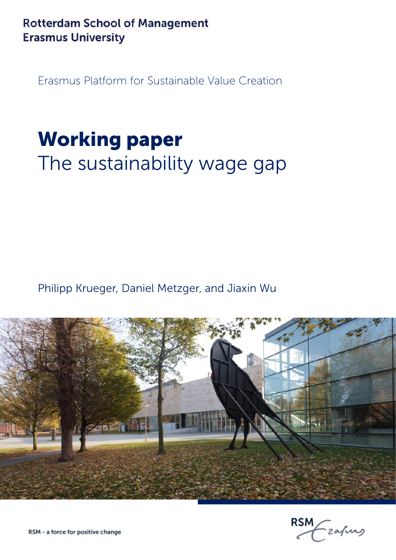**Rotterdam School of Management Erasmus University** 

Erasmus Platform for Sustainable Value Creation

# Working paper The sustainability wage gap

Philipp Krueger, Daniel Metzger, and Jiaxin Wu



**RSM** -zafung

RSM - a force for positive change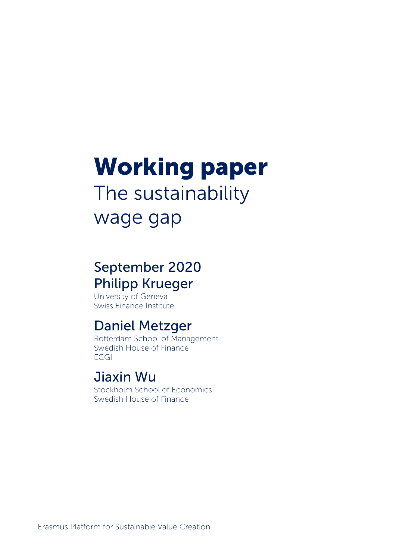# Working paper The sustainability wage gap

# September 2020 Philipp Krueger

University of Geneva Swiss Finance Institute

# Daniel Metzger

Rotterdam School of Management Swedish House of Finance **ECGI** 

# Jiaxin Wu

Stockholm School of Economics Swedish House of Finance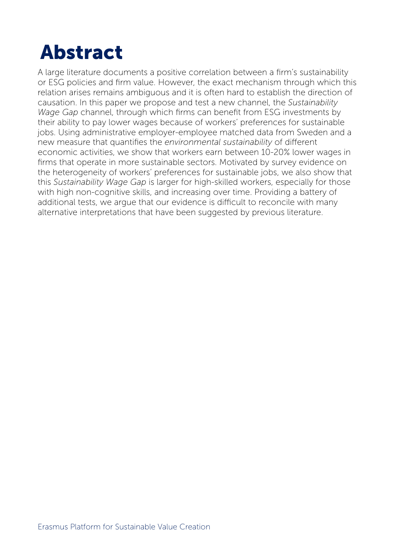# Abstract

A large literature documents a positive correlation between a firm's sustainability or ESG policies and firm value. However, the exact mechanism through which this relation arises remains ambiguous and it is often hard to establish the direction of causation. In this paper we propose and test a new channel, the *Sustainability Wage Gap* channel, through which firms can benefit from ESG investments by their ability to pay lower wages because of workers' preferences for sustainable jobs. Using administrative employer-employee matched data from Sweden and a new measure that quantifies the *environmental sustainability* of different economic activities, we show that workers earn between 10-20% lower wages in firms that operate in more sustainable sectors. Motivated by survey evidence on the heterogeneity of workers' preferences for sustainable jobs, we also show that this *Sustainability Wage Gap* is larger for high-skilled workers, especially for those with high non-cognitive skills, and increasing over time. Providing a battery of additional tests, we argue that our evidence is difficult to reconcile with many alternative interpretations that have been suggested by previous literature.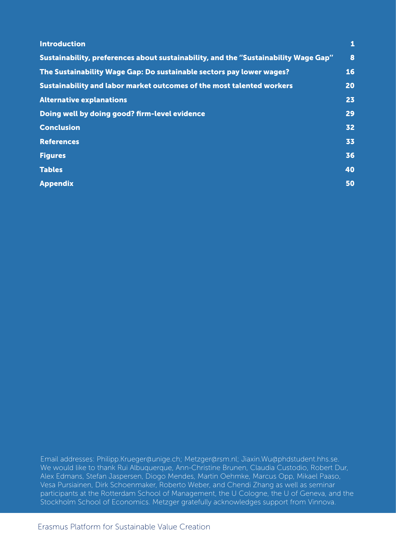| <b>Introduction</b>                                                                 | 1  |
|-------------------------------------------------------------------------------------|----|
| Sustainability, preferences about sustainability, and the "Sustainability Wage Gap" | 8  |
| The Sustainability Wage Gap: Do sustainable sectors pay lower wages?                | 16 |
| Sustainability and labor market outcomes of the most talented workers               | 20 |
| <b>Alternative explanations</b>                                                     | 23 |
| Doing well by doing good? firm-level evidence                                       | 29 |
| <b>Conclusion</b>                                                                   | 32 |
| <b>References</b>                                                                   | 33 |
| <b>Figures</b>                                                                      | 36 |
| <b>Tables</b>                                                                       | 40 |
| <b>Appendix</b>                                                                     | 50 |

Email addresses: Philipp.Krueger@unige.ch; Metzger@rsm.nl; Jiaxin.Wu@phdstudent.hhs.se. We would like to thank Rui Albuquerque, Ann-Christine Brunen, Claudia Custodio, Robert Dur, Alex Edmans, Stefan Jaspersen, Diogo Mendes, Martin Oehmke, Marcus Opp, Mikael Paaso, Vesa Pursiainen, Dirk Schoenmaker, Roberto Weber, and Chendi Zhang as well as seminar participants at the Rotterdam School of Management, the U Cologne, the U of Geneva, and the Stockholm School of Economics. Metzger gratefully acknowledges support from Vinnova.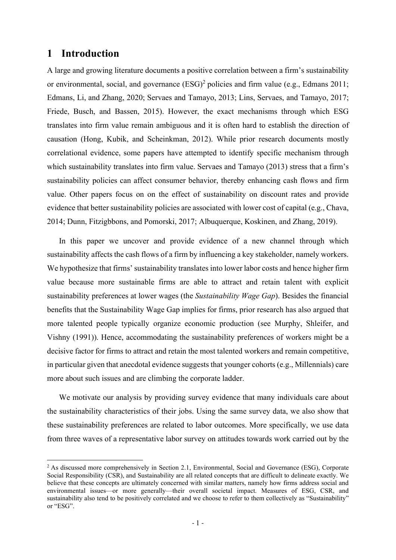### 1 Introduction

A large and growing literature documents a positive correlation between a firm's sustainability or environmental, social, and governance  $(ESG)^2$  policies and firm value (e.g., Edmans 2011; Edmans, Li, and Zhang, 2020; Servaes and Tamayo, 2013; Lins, Servaes, and Tamayo, 2017; Friede, Busch, and Bassen, 2015). However, the exact mechanisms through which ESG translates into firm value remain ambiguous and it is often hard to establish the direction of causation (Hong, Kubik, and Scheinkman, 2012). While prior research documents mostly correlational evidence, some papers have attempted to identify specific mechanism through which sustainability translates into firm value. Servaes and Tamayo (2013) stress that a firm's sustainability policies can affect consumer behavior, thereby enhancing cash flows and firm value. Other papers focus on on the effect of sustainability on discount rates and provide evidence that better sustainability policies are associated with lower cost of capital (e.g., Chava, 2014; Dunn, Fitzigbbons, and Pomorski, 2017; Albuquerque, Koskinen, and Zhang, 2019).

In this paper we uncover and provide evidence of a new channel through which sustainability affects the cash flows of a firm by influencing a key stakeholder, namely workers. We hypothesize that firms' sustainability translates into lower labor costs and hence higher firm value because more sustainable firms are able to attract and retain talent with explicit sustainability preferences at lower wages (the *Sustainability Wage Gap*). Besides the financial benefits that the Sustainability Wage Gap implies for firms, prior research has also argued that more talented people typically organize economic production (see Murphy, Shleifer, and Vishny (1991)). Hence, accommodating the sustainability preferences of workers might be a decisive factor for firms to attract and retain the most talented workers and remain competitive, in particular given that anecdotal evidence suggests that younger cohorts (e.g., Millennials) care more about such issues and are climbing the corporate ladder.

We motivate our analysis by providing survey evidence that many individuals care about the sustainability characteristics of their jobs. Using the same survey data, we also show that these sustainability preferences are related to labor outcomes. More specifically, we use data from three waves of a representative labor survey on attitudes towards work carried out by the

<sup>&</sup>lt;sup>2</sup> As discussed more comprehensively in Section 2.1, Environmental, Social and Governance (ESG), Corporate Social Responsibility (CSR), and Sustainability are all related concepts that are difficult to delineate exactly. We believe that these concepts are ultimately concerned with similar matters, namely how firms address social and environmental issues—or more generally—their overall societal impact. Measures of ESG, CSR, and sustainability also tend to be positively correlated and we choose to refer to them collectively as "Sustainability" or "ESG".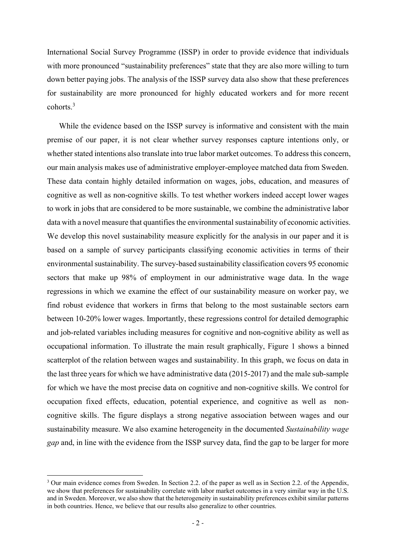International Social Survey Programme (ISSP) in order to provide evidence that individuals with more pronounced "sustainability preferences" state that they are also more willing to turn down better paying jobs. The analysis of the ISSP survey data also show that these preferences for sustainability are more pronounced for highly educated workers and for more recent cohorts.<sup>3</sup>

While the evidence based on the ISSP survey is informative and consistent with the main premise of our paper, it is not clear whether survey responses capture intentions only, or whether stated intentions also translate into true labor market outcomes. To address this concern, our main analysis makes use of administrative employer-employee matched data from Sweden. These data contain highly detailed information on wages, jobs, education, and measures of cognitive as well as non-cognitive skills. To test whether workers indeed accept lower wages to work in jobs that are considered to be more sustainable, we combine the administrative labor data with a novel measure that quantifies the environmental sustainability of economic activities. We develop this novel sustainability measure explicitly for the analysis in our paper and it is based on a sample of survey participants classifying economic activities in terms of their environmental sustainability. The survey-based sustainability classification covers 95 economic sectors that make up 98% of employment in our administrative wage data. In the wage regressions in which we examine the effect of our sustainability measure on worker pay, we find robust evidence that workers in firms that belong to the most sustainable sectors earn between 10-20% lower wages. Importantly, these regressions control for detailed demographic and job-related variables including measures for cognitive and non-cognitive ability as well as occupational information. To illustrate the main result graphically, Figure 1 shows a binned scatterplot of the relation between wages and sustainability. In this graph, we focus on data in the last three years for which we have administrative data (2015-2017) and the male sub-sample for which we have the most precise data on cognitive and non-cognitive skills. We control for occupation fixed effects, education, potential experience, and cognitive as well as noncognitive skills. The figure displays a strong negative association between wages and our sustainability measure. We also examine heterogeneity in the documented Sustainability wage gap and, in line with the evidence from the ISSP survey data, find the gap to be larger for more

<sup>&</sup>lt;sup>3</sup> Our main evidence comes from Sweden. In Section 2.2. of the paper as well as in Section 2.2. of the Appendix, we show that preferences for sustainability correlate with labor market outcomes in a very similar way in the U.S. and in Sweden. Moreover, we also show that the heterogeneity in sustainability preferences exhibit similar patterns in both countries. Hence, we believe that our results also generalize to other countries.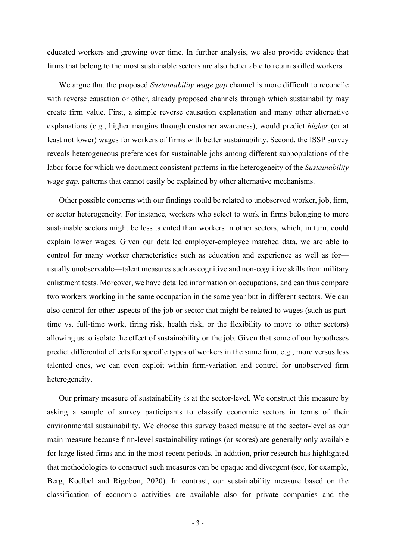educated workers and growing over time. In further analysis, we also provide evidence that firms that belong to the most sustainable sectors are also better able to retain skilled workers.

We argue that the proposed Sustainability wage gap channel is more difficult to reconcile with reverse causation or other, already proposed channels through which sustainability may create firm value. First, a simple reverse causation explanation and many other alternative explanations (e.g., higher margins through customer awareness), would predict higher (or at least not lower) wages for workers of firms with better sustainability. Second, the ISSP survey reveals heterogeneous preferences for sustainable jobs among different subpopulations of the labor force for which we document consistent patterns in the heterogeneity of the Sustainability wage gap, patterns that cannot easily be explained by other alternative mechanisms.

Other possible concerns with our findings could be related to unobserved worker, job, firm, or sector heterogeneity. For instance, workers who select to work in firms belonging to more sustainable sectors might be less talented than workers in other sectors, which, in turn, could explain lower wages. Given our detailed employer-employee matched data, we are able to control for many worker characteristics such as education and experience as well as for usually unobservable—talent measures such as cognitive and non-cognitive skills from military enlistment tests. Moreover, we have detailed information on occupations, and can thus compare two workers working in the same occupation in the same year but in different sectors. We can also control for other aspects of the job or sector that might be related to wages (such as parttime vs. full-time work, firing risk, health risk, or the flexibility to move to other sectors) allowing us to isolate the effect of sustainability on the job. Given that some of our hypotheses predict differential effects for specific types of workers in the same firm, e.g., more versus less talented ones, we can even exploit within firm-variation and control for unobserved firm heterogeneity.

Our primary measure of sustainability is at the sector-level. We construct this measure by asking a sample of survey participants to classify economic sectors in terms of their environmental sustainability. We choose this survey based measure at the sector-level as our main measure because firm-level sustainability ratings (or scores) are generally only available for large listed firms and in the most recent periods. In addition, prior research has highlighted that methodologies to construct such measures can be opaque and divergent (see, for example, Berg, Koelbel and Rigobon, 2020). In contrast, our sustainability measure based on the classification of economic activities are available also for private companies and the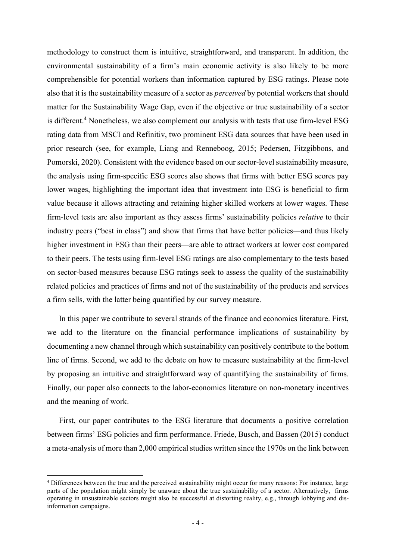methodology to construct them is intuitive, straightforward, and transparent. In addition, the environmental sustainability of a firm's main economic activity is also likely to be more comprehensible for potential workers than information captured by ESG ratings. Please note also that it is the sustainability measure of a sector as *perceived* by potential workers that should matter for the Sustainability Wage Gap, even if the objective or true sustainability of a sector is different.<sup>4</sup> Nonetheless, we also complement our analysis with tests that use firm-level ESG rating data from MSCI and Refinitiv, two prominent ESG data sources that have been used in prior research (see, for example, Liang and Renneboog, 2015; Pedersen, Fitzgibbons, and Pomorski, 2020). Consistent with the evidence based on our sector-level sustainability measure, the analysis using firm-specific ESG scores also shows that firms with better ESG scores pay lower wages, highlighting the important idea that investment into ESG is beneficial to firm value because it allows attracting and retaining higher skilled workers at lower wages. These firm-level tests are also important as they assess firms' sustainability policies *relative* to their industry peers ("best in class") and show that firms that have better policies—and thus likely higher investment in ESG than their peers—are able to attract workers at lower cost compared to their peers. The tests using firm-level ESG ratings are also complementary to the tests based on sector-based measures because ESG ratings seek to assess the quality of the sustainability related policies and practices of firms and not of the sustainability of the products and services a firm sells, with the latter being quantified by our survey measure.

In this paper we contribute to several strands of the finance and economics literature. First, we add to the literature on the financial performance implications of sustainability by documenting a new channel through which sustainability can positively contribute to the bottom line of firms. Second, we add to the debate on how to measure sustainability at the firm-level by proposing an intuitive and straightforward way of quantifying the sustainability of firms. Finally, our paper also connects to the labor-economics literature on non-monetary incentives and the meaning of work.

First, our paper contributes to the ESG literature that documents a positive correlation between firms' ESG policies and firm performance. Friede, Busch, and Bassen (2015) conduct a meta-analysis of more than 2,000 empirical studies written since the 1970s on the link between

<sup>4</sup> Differences between the true and the perceived sustainability might occur for many reasons: For instance, large parts of the population might simply be unaware about the true sustainability of a sector. Alternatively, firms operating in unsustainable sectors might also be successful at distorting reality, e.g., through lobbying and disinformation campaigns.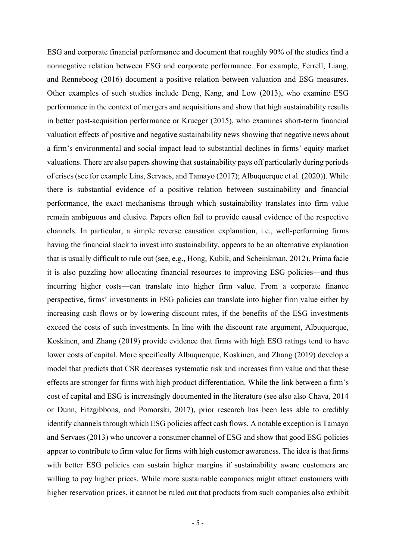ESG and corporate financial performance and document that roughly 90% of the studies find a nonnegative relation between ESG and corporate performance. For example, Ferrell, Liang, and Renneboog (2016) document a positive relation between valuation and ESG measures. Other examples of such studies include Deng, Kang, and Low (2013), who examine ESG performance in the context of mergers and acquisitions and show that high sustainability results in better post-acquisition performance or Krueger (2015), who examines short-term financial valuation effects of positive and negative sustainability news showing that negative news about a firm's environmental and social impact lead to substantial declines in firms' equity market valuations. There are also papers showing that sustainability pays off particularly during periods of crises (see for example Lins, Servaes, and Tamayo (2017); Albuquerque et al. (2020)). While there is substantial evidence of a positive relation between sustainability and financial performance, the exact mechanisms through which sustainability translates into firm value remain ambiguous and elusive. Papers often fail to provide causal evidence of the respective channels. In particular, a simple reverse causation explanation, i.e., well-performing firms having the financial slack to invest into sustainability, appears to be an alternative explanation that is usually difficult to rule out (see, e.g., Hong, Kubik, and Scheinkman, 2012). Prima facie it is also puzzling how allocating financial resources to improving ESG policies—and thus incurring higher costs—can translate into higher firm value. From a corporate finance perspective, firms' investments in ESG policies can translate into higher firm value either by increasing cash flows or by lowering discount rates, if the benefits of the ESG investments exceed the costs of such investments. In line with the discount rate argument, Albuquerque, Koskinen, and Zhang (2019) provide evidence that firms with high ESG ratings tend to have lower costs of capital. More specifically Albuquerque, Koskinen, and Zhang (2019) develop a model that predicts that CSR decreases systematic risk and increases firm value and that these effects are stronger for firms with high product differentiation. While the link between a firm's cost of capital and ESG is increasingly documented in the literature (see also also Chava, 2014 or Dunn, Fitzgibbons, and Pomorski, 2017), prior research has been less able to credibly identify channels through which ESG policies affect cash flows. A notable exception is Tamayo and Servaes (2013) who uncover a consumer channel of ESG and show that good ESG policies appear to contribute to firm value for firms with high customer awareness. The idea is that firms with better ESG policies can sustain higher margins if sustainability aware customers are willing to pay higher prices. While more sustainable companies might attract customers with higher reservation prices, it cannot be ruled out that products from such companies also exhibit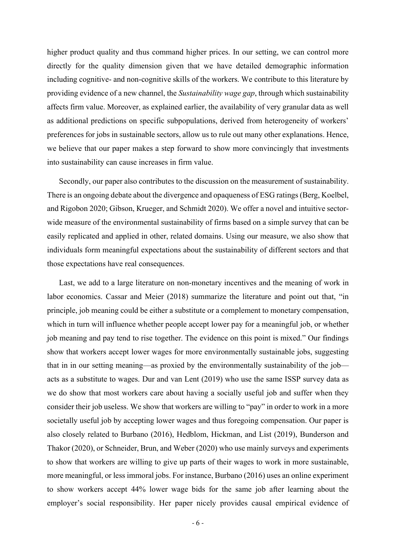higher product quality and thus command higher prices. In our setting, we can control more directly for the quality dimension given that we have detailed demographic information including cognitive- and non-cognitive skills of the workers. We contribute to this literature by providing evidence of a new channel, the Sustainability wage gap, through which sustainability affects firm value. Moreover, as explained earlier, the availability of very granular data as well as additional predictions on specific subpopulations, derived from heterogeneity of workers' preferences for jobs in sustainable sectors, allow us to rule out many other explanations. Hence, we believe that our paper makes a step forward to show more convincingly that investments into sustainability can cause increases in firm value.

Secondly, our paper also contributes to the discussion on the measurement of sustainability. There is an ongoing debate about the divergence and opaqueness of ESG ratings (Berg, Koelbel, and Rigobon 2020; Gibson, Krueger, and Schmidt 2020). We offer a novel and intuitive sectorwide measure of the environmental sustainability of firms based on a simple survey that can be easily replicated and applied in other, related domains. Using our measure, we also show that individuals form meaningful expectations about the sustainability of different sectors and that those expectations have real consequences.

Last, we add to a large literature on non-monetary incentives and the meaning of work in labor economics. Cassar and Meier (2018) summarize the literature and point out that, "in principle, job meaning could be either a substitute or a complement to monetary compensation, which in turn will influence whether people accept lower pay for a meaningful job, or whether job meaning and pay tend to rise together. The evidence on this point is mixed." Our findings show that workers accept lower wages for more environmentally sustainable jobs, suggesting that in in our setting meaning—as proxied by the environmentally sustainability of the job acts as a substitute to wages. Dur and van Lent (2019) who use the same ISSP survey data as we do show that most workers care about having a socially useful job and suffer when they consider their job useless. We show that workers are willing to "pay" in order to work in a more societally useful job by accepting lower wages and thus foregoing compensation. Our paper is also closely related to Burbano (2016), Hedblom, Hickman, and List (2019), Bunderson and Thakor (2020), or Schneider, Brun, and Weber (2020) who use mainly surveys and experiments to show that workers are willing to give up parts of their wages to work in more sustainable, more meaningful, or less immoral jobs. For instance, Burbano (2016) uses an online experiment to show workers accept 44% lower wage bids for the same job after learning about the employer's social responsibility. Her paper nicely provides causal empirical evidence of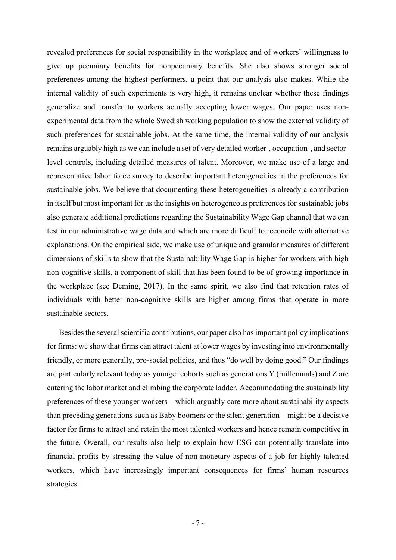revealed preferences for social responsibility in the workplace and of workers' willingness to give up pecuniary benefits for nonpecuniary benefits. She also shows stronger social preferences among the highest performers, a point that our analysis also makes. While the internal validity of such experiments is very high, it remains unclear whether these findings generalize and transfer to workers actually accepting lower wages. Our paper uses nonexperimental data from the whole Swedish working population to show the external validity of such preferences for sustainable jobs. At the same time, the internal validity of our analysis remains arguably high as we can include a set of very detailed worker-, occupation-, and sectorlevel controls, including detailed measures of talent. Moreover, we make use of a large and representative labor force survey to describe important heterogeneities in the preferences for sustainable jobs. We believe that documenting these heterogeneities is already a contribution in itself but most important for us the insights on heterogeneous preferences for sustainable jobs also generate additional predictions regarding the Sustainability Wage Gap channel that we can test in our administrative wage data and which are more difficult to reconcile with alternative explanations. On the empirical side, we make use of unique and granular measures of different dimensions of skills to show that the Sustainability Wage Gap is higher for workers with high non-cognitive skills, a component of skill that has been found to be of growing importance in the workplace (see Deming, 2017). In the same spirit, we also find that retention rates of individuals with better non-cognitive skills are higher among firms that operate in more sustainable sectors.

Besides the several scientific contributions, our paper also has important policy implications for firms: we show that firms can attract talent at lower wages by investing into environmentally friendly, or more generally, pro-social policies, and thus "do well by doing good." Our findings are particularly relevant today as younger cohorts such as generations Y (millennials) and Z are entering the labor market and climbing the corporate ladder. Accommodating the sustainability preferences of these younger workers—which arguably care more about sustainability aspects than preceding generations such as Baby boomers or the silent generation—might be a decisive factor for firms to attract and retain the most talented workers and hence remain competitive in the future. Overall, our results also help to explain how ESG can potentially translate into financial profits by stressing the value of non-monetary aspects of a job for highly talented workers, which have increasingly important consequences for firms' human resources strategies.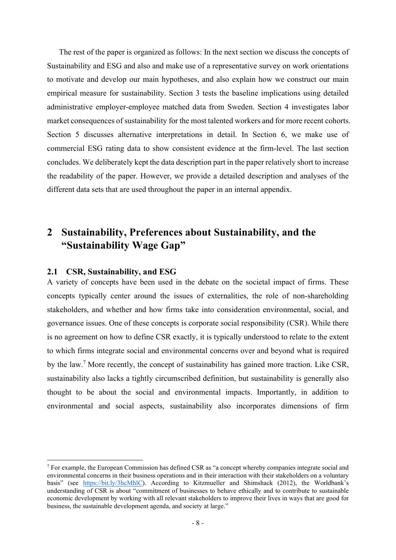The rest of the paper is organized as follows: In the next section we discuss the concepts of Sustainability and ESG and also and make use of a representative survey on work orientations to motivate and develop our main hypotheses, and also explain how we construct our main empirical measure for sustainability. Section 3 tests the baseline implications using detailed administrative employer-employee matched data from Sweden. Section 4 investigates labor market consequences of sustainability for the most talented workers and for more recent cohorts. Section 5 discusses alternative interpretations in detail. In Section 6, we make use of commercial ESG rating data to show consistent evidence at the firm-level. The last section concludes. We deliberately kept the data description part in the paper relatively short to increase the readability of the paper. However, we provide a detailed description and analyses of the different data sets that are used throughout the paper in an internal appendix.

# 2 Sustainability, Preferences about Sustainability, and the "Sustainability Wage Gap"

#### 2.1 CSR, Sustainability, and ESG

A variety of concepts have been used in the debate on the societal impact of firms. These concepts typically center around the issues of externalities, the role of non-shareholding stakeholders, and whether and how firms take into consideration environmental, social, and governance issues. One of these concepts is corporate social responsibility (CSR). While there is no agreement on how to define CSR exactly, it is typically understood to relate to the extent to which firms integrate social and environmental concerns over and beyond what is required by the law.<sup>7</sup> More recently, the concept of sustainability has gained more traction. Like CSR, sustainability also lacks a tightly circumscribed definition, but sustainability is generally also thought to be about the social and environmental impacts. Importantly, in addition to environmental and social aspects, sustainability also incorporates dimensions of firm

<sup>&</sup>lt;sup>7</sup> For example, the European Commission has defined CSR as "a concept whereby companies integrate social and environmental concerns in their business operations and in their interaction with their stakeholders on a voluntary basis" (see https://bit.ly/3hcMhlC). According to Kitzmueller and Shimshack (2012), the Worldbank's understanding of CSR is about "commitment of businesses to behave ethically and to contribute to sustainable economic development by working with all relevant stakeholders to improve their lives in ways that are good for business, the sustainable development agenda, and society at large."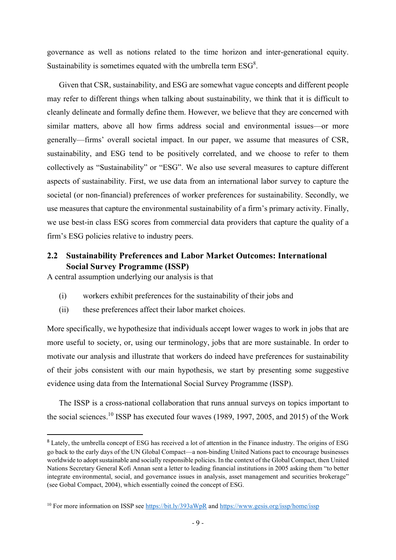governance as well as notions related to the time horizon and inter-generational equity. Sustainability is sometimes equated with the umbrella term  $ESG<sup>8</sup>$ .

Given that CSR, sustainability, and ESG are somewhat vague concepts and different people may refer to different things when talking about sustainability, we think that it is difficult to cleanly delineate and formally define them. However, we believe that they are concerned with similar matters, above all how firms address social and environmental issues—or more generally—firms' overall societal impact. In our paper, we assume that measures of CSR, sustainability, and ESG tend to be positively correlated, and we choose to refer to them collectively as "Sustainability" or "ESG". We also use several measures to capture different aspects of sustainability. First, we use data from an international labor survey to capture the societal (or non-financial) preferences of worker preferences for sustainability. Secondly, we use measures that capture the environmental sustainability of a firm's primary activity. Finally, we use best-in class ESG scores from commercial data providers that capture the quality of a firm's ESG policies relative to industry peers.

#### 2.2 Sustainability Preferences and Labor Market Outcomes: International Social Survey Programme (ISSP)

A central assumption underlying our analysis is that

- (i) workers exhibit preferences for the sustainability of their jobs and
- (ii) these preferences affect their labor market choices.

More specifically, we hypothesize that individuals accept lower wages to work in jobs that are more useful to society, or, using our terminology, jobs that are more sustainable. In order to motivate our analysis and illustrate that workers do indeed have preferences for sustainability of their jobs consistent with our main hypothesis, we start by presenting some suggestive evidence using data from the International Social Survey Programme (ISSP).

The ISSP is a cross-national collaboration that runs annual surveys on topics important to the social sciences.<sup>10</sup> ISSP has executed four waves (1989, 1997, 2005, and 2015) of the Work

<sup>&</sup>lt;sup>8</sup> Lately, the umbrella concept of ESG has received a lot of attention in the Finance industry. The origins of ESG go back to the early days of the UN Global Compact—a non-binding United Nations pact to encourage businesses worldwide to adopt sustainable and socially responsible policies. In the context of the Global Compact, then United Nations Secretary General Kofi Annan sent a letter to leading financial institutions in 2005 asking them "to better integrate environmental, social, and governance issues in analysis, asset management and securities brokerage" (see Gobal Compact, 2004), which essentially coined the concept of ESG.

<sup>10</sup> For more information on ISSP see https://bit.ly/393aWpR and https://www.gesis.org/issp/home/issp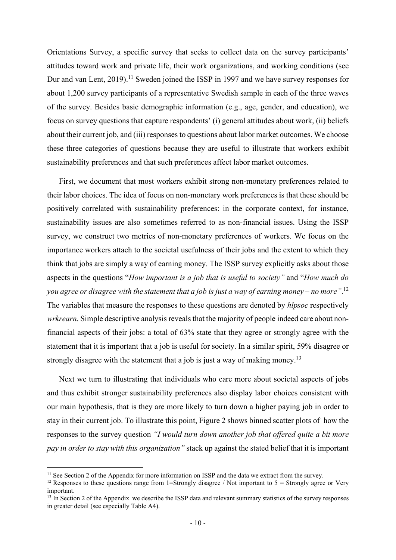Orientations Survey, a specific survey that seeks to collect data on the survey participants' attitudes toward work and private life, their work organizations, and working conditions (see Dur and van Lent,  $2019$ .<sup>11</sup> Sweden joined the ISSP in 1997 and we have survey responses for about 1,200 survey participants of a representative Swedish sample in each of the three waves of the survey. Besides basic demographic information (e.g., age, gender, and education), we focus on survey questions that capture respondents' (i) general attitudes about work, (ii) beliefs about their current job, and (iii) responses to questions about labor market outcomes. We choose these three categories of questions because they are useful to illustrate that workers exhibit sustainability preferences and that such preferences affect labor market outcomes.

First, we document that most workers exhibit strong non-monetary preferences related to their labor choices. The idea of focus on non-monetary work preferences is that these should be positively correlated with sustainability preferences: in the corporate context, for instance, sustainability issues are also sometimes referred to as non-financial issues. Using the ISSP survey, we construct two metrics of non-monetary preferences of workers. We focus on the importance workers attach to the societal usefulness of their jobs and the extent to which they think that jobs are simply a way of earning money. The ISSP survey explicitly asks about those aspects in the questions "How important is a job that is useful to society" and "How much do you agree or disagree with the statement that a job is just a way of earning money – no more". $^{12}$ The variables that measure the responses to these questions are denoted by *hlpsoc* respectively wrkrearn. Simple descriptive analysis reveals that the majority of people indeed care about nonfinancial aspects of their jobs: a total of 63% state that they agree or strongly agree with the statement that it is important that a job is useful for society. In a similar spirit, 59% disagree or strongly disagree with the statement that a job is just a way of making money.<sup>13</sup>

Next we turn to illustrating that individuals who care more about societal aspects of jobs and thus exhibit stronger sustainability preferences also display labor choices consistent with our main hypothesis, that is they are more likely to turn down a higher paying job in order to stay in their current job. To illustrate this point, Figure 2 shows binned scatter plots of how the responses to the survey question "I would turn down another job that offered quite a bit more pay in order to stay with this organization" stack up against the stated belief that it is important

<sup>&</sup>lt;sup>11</sup> See Section 2 of the Appendix for more information on ISSP and the data we extract from the survey.

<sup>&</sup>lt;sup>12</sup> Responses to these questions range from 1=Strongly disagree / Not important to  $5 =$  Strongly agree or Very important.

 $13$  In Section 2 of the Appendix we describe the ISSP data and relevant summary statistics of the survey responses in greater detail (see especially Table A4).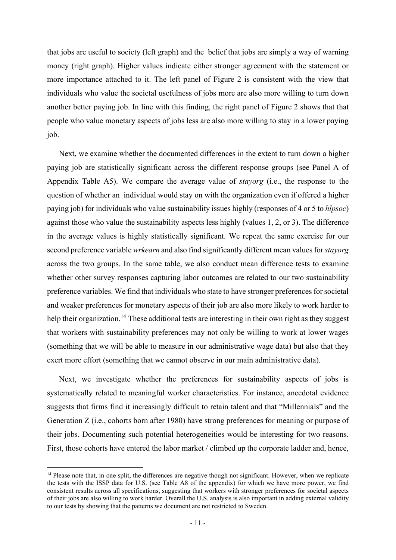that jobs are useful to society (left graph) and the belief that jobs are simply a way of warning money (right graph). Higher values indicate either stronger agreement with the statement or more importance attached to it. The left panel of Figure 2 is consistent with the view that individuals who value the societal usefulness of jobs more are also more willing to turn down another better paying job. In line with this finding, the right panel of Figure 2 shows that that people who value monetary aspects of jobs less are also more willing to stay in a lower paying job.

Next, we examine whether the documented differences in the extent to turn down a higher paying job are statistically significant across the different response groups (see Panel A of Appendix Table A5). We compare the average value of stayorg (i.e., the response to the question of whether an individual would stay on with the organization even if offered a higher paying job) for individuals who value sustainability issues highly (responses of 4 or 5 to hlpsoc) against those who value the sustainability aspects less highly (values 1, 2, or 3). The difference in the average values is highly statistically significant. We repeat the same exercise for our second preference variable *wrkearn* and also find significantly different mean values for *stayorg* across the two groups. In the same table, we also conduct mean difference tests to examine whether other survey responses capturing labor outcomes are related to our two sustainability preference variables. We find that individuals who state to have stronger preferences for societal and weaker preferences for monetary aspects of their job are also more likely to work harder to help their organization.<sup>14</sup> These additional tests are interesting in their own right as they suggest that workers with sustainability preferences may not only be willing to work at lower wages (something that we will be able to measure in our administrative wage data) but also that they exert more effort (something that we cannot observe in our main administrative data).

Next, we investigate whether the preferences for sustainability aspects of jobs is systematically related to meaningful worker characteristics. For instance, anecdotal evidence suggests that firms find it increasingly difficult to retain talent and that "Millennials" and the Generation Z (i.e., cohorts born after 1980) have strong preferences for meaning or purpose of their jobs. Documenting such potential heterogeneities would be interesting for two reasons. First, those cohorts have entered the labor market / climbed up the corporate ladder and, hence,

<sup>&</sup>lt;sup>14</sup> Please note that, in one split, the differences are negative though not significant. However, when we replicate the tests with the ISSP data for U.S. (see Table A8 of the appendix) for which we have more power, we find consistent results across all specifications, suggesting that workers with stronger preferences for societal aspects of their jobs are also willing to work harder. Overall the U.S. analysis is also important in adding external validity to our tests by showing that the patterns we document are not restricted to Sweden.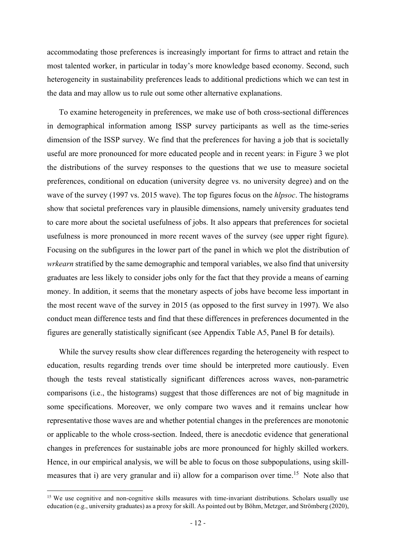accommodating those preferences is increasingly important for firms to attract and retain the most talented worker, in particular in today's more knowledge based economy. Second, such heterogeneity in sustainability preferences leads to additional predictions which we can test in the data and may allow us to rule out some other alternative explanations.

To examine heterogeneity in preferences, we make use of both cross-sectional differences in demographical information among ISSP survey participants as well as the time-series dimension of the ISSP survey. We find that the preferences for having a job that is societally useful are more pronounced for more educated people and in recent years: in Figure 3 we plot the distributions of the survey responses to the questions that we use to measure societal preferences, conditional on education (university degree vs. no university degree) and on the wave of the survey (1997 vs. 2015 wave). The top figures focus on the *hlpsoc*. The histograms show that societal preferences vary in plausible dimensions, namely university graduates tend to care more about the societal usefulness of jobs. It also appears that preferences for societal usefulness is more pronounced in more recent waves of the survey (see upper right figure). Focusing on the subfigures in the lower part of the panel in which we plot the distribution of wrkearn stratified by the same demographic and temporal variables, we also find that university graduates are less likely to consider jobs only for the fact that they provide a means of earning money. In addition, it seems that the monetary aspects of jobs have become less important in the most recent wave of the survey in 2015 (as opposed to the first survey in 1997). We also conduct mean difference tests and find that these differences in preferences documented in the figures are generally statistically significant (see Appendix Table A5, Panel B for details).

While the survey results show clear differences regarding the heterogeneity with respect to education, results regarding trends over time should be interpreted more cautiously. Even though the tests reveal statistically significant differences across waves, non-parametric comparisons (i.e., the histograms) suggest that those differences are not of big magnitude in some specifications. Moreover, we only compare two waves and it remains unclear how representative those waves are and whether potential changes in the preferences are monotonic or applicable to the whole cross-section. Indeed, there is anecdotic evidence that generational changes in preferences for sustainable jobs are more pronounced for highly skilled workers. Hence, in our empirical analysis, we will be able to focus on those subpopulations, using skillmeasures that i) are very granular and ii) allow for a comparison over time.<sup>15</sup> Note also that

<sup>&</sup>lt;sup>15</sup> We use cognitive and non-cognitive skills measures with time-invariant distributions. Scholars usually use education (e.g., university graduates) as a proxy for skill. As pointed out by Böhm, Metzger, and Strömberg (2020),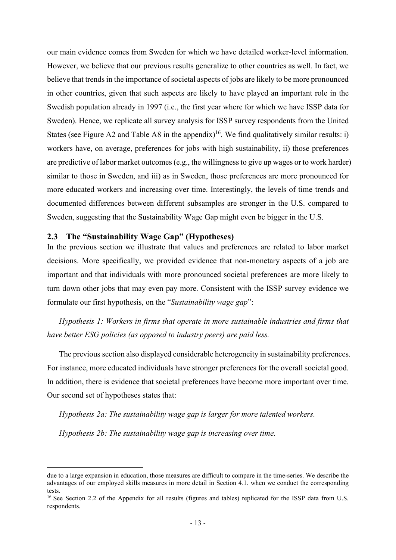our main evidence comes from Sweden for which we have detailed worker-level information. However, we believe that our previous results generalize to other countries as well. In fact, we believe that trends in the importance of societal aspects of jobs are likely to be more pronounced in other countries, given that such aspects are likely to have played an important role in the Swedish population already in 1997 (i.e., the first year where for which we have ISSP data for Sweden). Hence, we replicate all survey analysis for ISSP survey respondents from the United States (see Figure A2 and Table A8 in the appendix)<sup>16</sup>. We find qualitatively similar results: i) workers have, on average, preferences for jobs with high sustainability, ii) those preferences are predictive of labor market outcomes (e.g., the willingness to give up wages or to work harder) similar to those in Sweden, and iii) as in Sweden, those preferences are more pronounced for more educated workers and increasing over time. Interestingly, the levels of time trends and documented differences between different subsamples are stronger in the U.S. compared to Sweden, suggesting that the Sustainability Wage Gap might even be bigger in the U.S.

#### 2.3 The "Sustainability Wage Gap" (Hypotheses)

In the previous section we illustrate that values and preferences are related to labor market decisions. More specifically, we provided evidence that non-monetary aspects of a job are important and that individuals with more pronounced societal preferences are more likely to turn down other jobs that may even pay more. Consistent with the ISSP survey evidence we formulate our first hypothesis, on the "Sustainability wage gap":

Hypothesis 1: Workers in firms that operate in more sustainable industries and firms that have better ESG policies (as opposed to industry peers) are paid less.

The previous section also displayed considerable heterogeneity in sustainability preferences. For instance, more educated individuals have stronger preferences for the overall societal good. In addition, there is evidence that societal preferences have become more important over time. Our second set of hypotheses states that:

Hypothesis 2a: The sustainability wage gap is larger for more talented workers.

Hypothesis 2b: The sustainability wage gap is increasing over time.

due to a large expansion in education, those measures are difficult to compare in the time-series. We describe the advantages of our employed skills measures in more detail in Section 4.1. when we conduct the corresponding tests.

<sup>&</sup>lt;sup>16</sup> See Section 2.2 of the Appendix for all results (figures and tables) replicated for the ISSP data from U.S. respondents.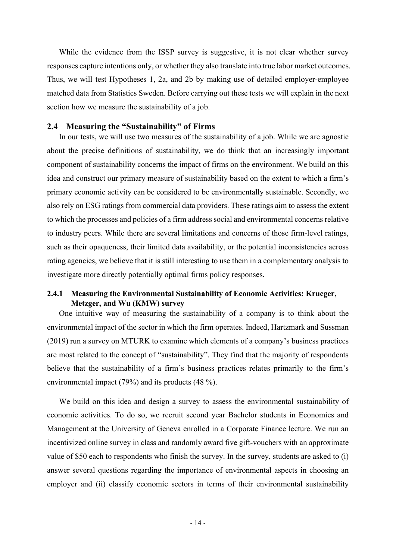While the evidence from the ISSP survey is suggestive, it is not clear whether survey responses capture intentions only, or whether they also translate into true labor market outcomes. Thus, we will test Hypotheses 1, 2a, and 2b by making use of detailed employer-employee matched data from Statistics Sweden. Before carrying out these tests we will explain in the next section how we measure the sustainability of a job.

#### 2.4 Measuring the "Sustainability" of Firms

In our tests, we will use two measures of the sustainability of a job. While we are agnostic about the precise definitions of sustainability, we do think that an increasingly important component of sustainability concerns the impact of firms on the environment. We build on this idea and construct our primary measure of sustainability based on the extent to which a firm's primary economic activity can be considered to be environmentally sustainable. Secondly, we also rely on ESG ratings from commercial data providers. These ratings aim to assess the extent to which the processes and policies of a firm address social and environmental concerns relative to industry peers. While there are several limitations and concerns of those firm-level ratings, such as their opaqueness, their limited data availability, or the potential inconsistencies across rating agencies, we believe that it is still interesting to use them in a complementary analysis to investigate more directly potentially optimal firms policy responses.

#### 2.4.1 Measuring the Environmental Sustainability of Economic Activities: Krueger, Metzger, and Wu (KMW) survey

One intuitive way of measuring the sustainability of a company is to think about the environmental impact of the sector in which the firm operates. Indeed, Hartzmark and Sussman (2019) run a survey on MTURK to examine which elements of a company's business practices are most related to the concept of "sustainability". They find that the majority of respondents believe that the sustainability of a firm's business practices relates primarily to the firm's environmental impact (79%) and its products (48 %).

We build on this idea and design a survey to assess the environmental sustainability of economic activities. To do so, we recruit second year Bachelor students in Economics and Management at the University of Geneva enrolled in a Corporate Finance lecture. We run an incentivized online survey in class and randomly award five gift-vouchers with an approximate value of \$50 each to respondents who finish the survey. In the survey, students are asked to (i) answer several questions regarding the importance of environmental aspects in choosing an employer and (ii) classify economic sectors in terms of their environmental sustainability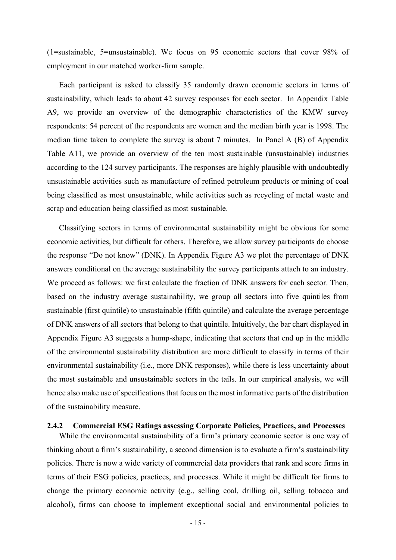(1=sustainable, 5=unsustainable). We focus on 95 economic sectors that cover 98% of employment in our matched worker-firm sample.

Each participant is asked to classify 35 randomly drawn economic sectors in terms of sustainability, which leads to about 42 survey responses for each sector. In Appendix Table A9, we provide an overview of the demographic characteristics of the KMW survey respondents: 54 percent of the respondents are women and the median birth year is 1998. The median time taken to complete the survey is about 7 minutes. In Panel A (B) of Appendix Table A11, we provide an overview of the ten most sustainable (unsustainable) industries according to the 124 survey participants. The responses are highly plausible with undoubtedly unsustainable activities such as manufacture of refined petroleum products or mining of coal being classified as most unsustainable, while activities such as recycling of metal waste and scrap and education being classified as most sustainable.

Classifying sectors in terms of environmental sustainability might be obvious for some economic activities, but difficult for others. Therefore, we allow survey participants do choose the response "Do not know" (DNK). In Appendix Figure A3 we plot the percentage of DNK answers conditional on the average sustainability the survey participants attach to an industry. We proceed as follows: we first calculate the fraction of DNK answers for each sector. Then, based on the industry average sustainability, we group all sectors into five quintiles from sustainable (first quintile) to unsustainable (fifth quintile) and calculate the average percentage of DNK answers of all sectors that belong to that quintile. Intuitively, the bar chart displayed in Appendix Figure A3 suggests a hump-shape, indicating that sectors that end up in the middle of the environmental sustainability distribution are more difficult to classify in terms of their environmental sustainability (i.e., more DNK responses), while there is less uncertainty about the most sustainable and unsustainable sectors in the tails. In our empirical analysis, we will hence also make use of specifications that focus on the most informative parts of the distribution of the sustainability measure.

#### 2.4.2 Commercial ESG Ratings assessing Corporate Policies, Practices, and Processes

While the environmental sustainability of a firm's primary economic sector is one way of thinking about a firm's sustainability, a second dimension is to evaluate a firm's sustainability policies. There is now a wide variety of commercial data providers that rank and score firms in terms of their ESG policies, practices, and processes. While it might be difficult for firms to change the primary economic activity (e.g., selling coal, drilling oil, selling tobacco and alcohol), firms can choose to implement exceptional social and environmental policies to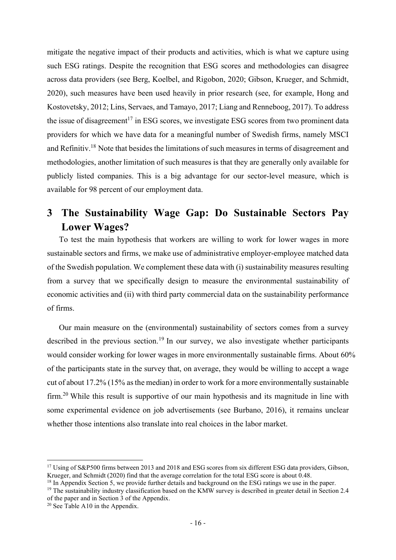mitigate the negative impact of their products and activities, which is what we capture using such ESG ratings. Despite the recognition that ESG scores and methodologies can disagree across data providers (see Berg, Koelbel, and Rigobon, 2020; Gibson, Krueger, and Schmidt, 2020), such measures have been used heavily in prior research (see, for example, Hong and Kostovetsky, 2012; Lins, Servaes, and Tamayo, 2017; Liang and Renneboog, 2017). To address the issue of disagreement<sup>17</sup> in ESG scores, we investigate ESG scores from two prominent data providers for which we have data for a meaningful number of Swedish firms, namely MSCI and Refinitiv.<sup>18</sup> Note that besides the limitations of such measures in terms of disagreement and methodologies, another limitation of such measures is that they are generally only available for publicly listed companies. This is a big advantage for our sector-level measure, which is available for 98 percent of our employment data.

# 3 The Sustainability Wage Gap: Do Sustainable Sectors Pay Lower Wages?

To test the main hypothesis that workers are willing to work for lower wages in more sustainable sectors and firms, we make use of administrative employer-employee matched data of the Swedish population. We complement these data with (i) sustainability measures resulting from a survey that we specifically design to measure the environmental sustainability of economic activities and (ii) with third party commercial data on the sustainability performance of firms.

Our main measure on the (environmental) sustainability of sectors comes from a survey described in the previous section.<sup>19</sup> In our survey, we also investigate whether participants would consider working for lower wages in more environmentally sustainable firms. About 60% of the participants state in the survey that, on average, they would be willing to accept a wage cut of about 17.2% (15% as the median) in order to work for a more environmentally sustainable firm.<sup>20</sup> While this result is supportive of our main hypothesis and its magnitude in line with some experimental evidence on job advertisements (see Burbano, 2016), it remains unclear whether those intentions also translate into real choices in the labor market.

<sup>&</sup>lt;sup>17</sup> Using of S&P500 firms between 2013 and 2018 and ESG scores from six different ESG data providers, Gibson, Krueger, and Schmidt (2020) find that the average correlation for the total ESG score is about 0.48.

<sup>&</sup>lt;sup>18</sup> In Appendix Section 5, we provide further details and background on the ESG ratings we use in the paper.

<sup>&</sup>lt;sup>19</sup> The sustainability industry classification based on the KMW survey is described in greater detail in Section 2.4 of the paper and in Section 3 of the Appendix.

<sup>&</sup>lt;sup>20</sup> See Table A10 in the Appendix.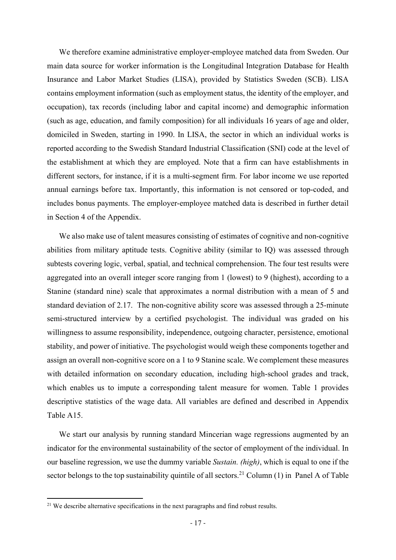We therefore examine administrative employer-employee matched data from Sweden. Our main data source for worker information is the Longitudinal Integration Database for Health Insurance and Labor Market Studies (LISA), provided by Statistics Sweden (SCB). LISA contains employment information (such as employment status, the identity of the employer, and occupation), tax records (including labor and capital income) and demographic information (such as age, education, and family composition) for all individuals 16 years of age and older, domiciled in Sweden, starting in 1990. In LISA, the sector in which an individual works is reported according to the Swedish Standard Industrial Classification (SNI) code at the level of the establishment at which they are employed. Note that a firm can have establishments in different sectors, for instance, if it is a multi-segment firm. For labor income we use reported annual earnings before tax. Importantly, this information is not censored or top-coded, and includes bonus payments. The employer-employee matched data is described in further detail in Section 4 of the Appendix.

We also make use of talent measures consisting of estimates of cognitive and non-cognitive abilities from military aptitude tests. Cognitive ability (similar to IQ) was assessed through subtests covering logic, verbal, spatial, and technical comprehension. The four test results were aggregated into an overall integer score ranging from 1 (lowest) to 9 (highest), according to a Stanine (standard nine) scale that approximates a normal distribution with a mean of 5 and standard deviation of 2.17. The non-cognitive ability score was assessed through a 25-minute semi-structured interview by a certified psychologist. The individual was graded on his willingness to assume responsibility, independence, outgoing character, persistence, emotional stability, and power of initiative. The psychologist would weigh these components together and assign an overall non-cognitive score on a 1 to 9 Stanine scale. We complement these measures with detailed information on secondary education, including high-school grades and track, which enables us to impute a corresponding talent measure for women. Table 1 provides descriptive statistics of the wage data. All variables are defined and described in Appendix Table A15.

We start our analysis by running standard Mincerian wage regressions augmented by an indicator for the environmental sustainability of the sector of employment of the individual. In our baseline regression, we use the dummy variable Sustain. (high), which is equal to one if the sector belongs to the top sustainability quintile of all sectors.<sup>21</sup> Column (1) in Panel A of Table

 $21$  We describe alternative specifications in the next paragraphs and find robust results.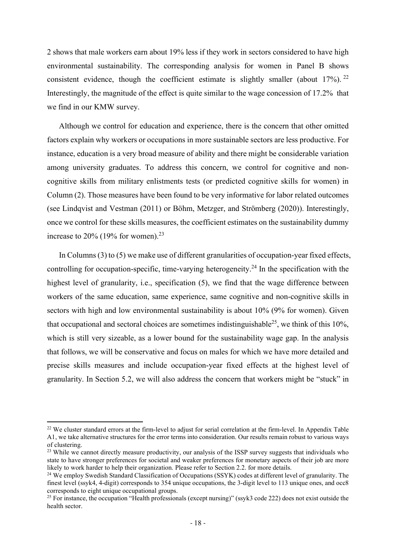2 shows that male workers earn about 19% less if they work in sectors considered to have high environmental sustainability. The corresponding analysis for women in Panel B shows consistent evidence, though the coefficient estimate is slightly smaller (about  $17\%$ ). <sup>22</sup> Interestingly, the magnitude of the effect is quite similar to the wage concession of 17.2% that we find in our KMW survey.

Although we control for education and experience, there is the concern that other omitted factors explain why workers or occupations in more sustainable sectors are less productive. For instance, education is a very broad measure of ability and there might be considerable variation among university graduates. To address this concern, we control for cognitive and noncognitive skills from military enlistments tests (or predicted cognitive skills for women) in Column (2). Those measures have been found to be very informative for labor related outcomes (see Lindqvist and Vestman (2011) or Böhm, Metzger, and Strömberg (2020)). Interestingly, once we control for these skills measures, the coefficient estimates on the sustainability dummy increase to 20% (19% for women).<sup>23</sup>

In Columns (3) to (5) we make use of different granularities of occupation-year fixed effects, controlling for occupation-specific, time-varying heterogeneity.<sup>24</sup> In the specification with the highest level of granularity, i.e., specification (5), we find that the wage difference between workers of the same education, same experience, same cognitive and non-cognitive skills in sectors with high and low environmental sustainability is about 10% (9% for women). Given that occupational and sectoral choices are sometimes indistinguishable<sup>25</sup>, we think of this 10%, which is still very sizeable, as a lower bound for the sustainability wage gap. In the analysis that follows, we will be conservative and focus on males for which we have more detailed and precise skills measures and include occupation-year fixed effects at the highest level of granularity. In Section 5.2, we will also address the concern that workers might be "stuck" in

<sup>&</sup>lt;sup>22</sup> We cluster standard errors at the firm-level to adjust for serial correlation at the firm-level. In Appendix Table A1, we take alternative structures for the error terms into consideration. Our results remain robust to various ways of clustering.

<sup>&</sup>lt;sup>23</sup> While we cannot directly measure productivity, our analysis of the ISSP survey suggests that individuals who state to have stronger preferences for societal and weaker preferences for monetary aspects of their job are more likely to work harder to help their organization. Please refer to Section 2.2. for more details.

<sup>&</sup>lt;sup>24</sup> We employ Swedish Standard Classification of Occupations (SSYK) codes at different level of granularity. The finest level (ssyk4, 4-digit) corresponds to 354 unique occupations, the 3-digit level to 113 unique ones, and occ8 corresponds to eight unique occupational groups.

<sup>&</sup>lt;sup>25</sup> For instance, the occupation "Health professionals (except nursing)" (ssyk3 code 222) does not exist outside the health sector.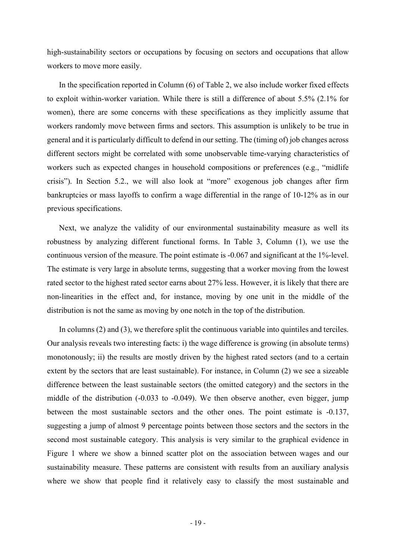high-sustainability sectors or occupations by focusing on sectors and occupations that allow workers to move more easily.

In the specification reported in Column (6) of Table 2, we also include worker fixed effects to exploit within-worker variation. While there is still a difference of about 5.5% (2.1% for women), there are some concerns with these specifications as they implicitly assume that workers randomly move between firms and sectors. This assumption is unlikely to be true in general and it is particularly difficult to defend in our setting. The (timing of) job changes across different sectors might be correlated with some unobservable time-varying characteristics of workers such as expected changes in household compositions or preferences (e.g., "midlife crisis"). In Section 5.2., we will also look at "more" exogenous job changes after firm bankruptcies or mass layoffs to confirm a wage differential in the range of 10-12% as in our previous specifications.

Next, we analyze the validity of our environmental sustainability measure as well its robustness by analyzing different functional forms. In Table 3, Column (1), we use the continuous version of the measure. The point estimate is -0.067 and significant at the 1%-level. The estimate is very large in absolute terms, suggesting that a worker moving from the lowest rated sector to the highest rated sector earns about 27% less. However, it is likely that there are non-linearities in the effect and, for instance, moving by one unit in the middle of the distribution is not the same as moving by one notch in the top of the distribution.

In columns (2) and (3), we therefore split the continuous variable into quintiles and terciles. Our analysis reveals two interesting facts: i) the wage difference is growing (in absolute terms) monotonously; ii) the results are mostly driven by the highest rated sectors (and to a certain extent by the sectors that are least sustainable). For instance, in Column (2) we see a sizeable difference between the least sustainable sectors (the omitted category) and the sectors in the middle of the distribution (-0.033 to -0.049). We then observe another, even bigger, jump between the most sustainable sectors and the other ones. The point estimate is -0.137, suggesting a jump of almost 9 percentage points between those sectors and the sectors in the second most sustainable category. This analysis is very similar to the graphical evidence in Figure 1 where we show a binned scatter plot on the association between wages and our sustainability measure. These patterns are consistent with results from an auxiliary analysis where we show that people find it relatively easy to classify the most sustainable and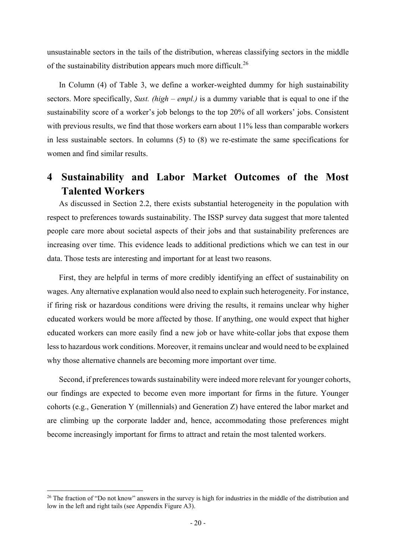unsustainable sectors in the tails of the distribution, whereas classifying sectors in the middle of the sustainability distribution appears much more difficult.<sup>26</sup>

In Column (4) of Table 3, we define a worker-weighted dummy for high sustainability sectors. More specifically, Sust. (high – empl.) is a dummy variable that is equal to one if the sustainability score of a worker's job belongs to the top 20% of all workers' jobs. Consistent with previous results, we find that those workers earn about 11% less than comparable workers in less sustainable sectors. In columns (5) to (8) we re-estimate the same specifications for women and find similar results.

# 4 Sustainability and Labor Market Outcomes of the Most Talented Workers

As discussed in Section 2.2, there exists substantial heterogeneity in the population with respect to preferences towards sustainability. The ISSP survey data suggest that more talented people care more about societal aspects of their jobs and that sustainability preferences are increasing over time. This evidence leads to additional predictions which we can test in our data. Those tests are interesting and important for at least two reasons.

First, they are helpful in terms of more credibly identifying an effect of sustainability on wages. Any alternative explanation would also need to explain such heterogeneity. For instance, if firing risk or hazardous conditions were driving the results, it remains unclear why higher educated workers would be more affected by those. If anything, one would expect that higher educated workers can more easily find a new job or have white-collar jobs that expose them less to hazardous work conditions. Moreover, it remains unclear and would need to be explained why those alternative channels are becoming more important over time.

Second, if preferences towards sustainability were indeed more relevant for younger cohorts, our findings are expected to become even more important for firms in the future. Younger cohorts (e.g., Generation Y (millennials) and Generation Z) have entered the labor market and are climbing up the corporate ladder and, hence, accommodating those preferences might become increasingly important for firms to attract and retain the most talented workers.

<sup>&</sup>lt;sup>26</sup> The fraction of "Do not know" answers in the survey is high for industries in the middle of the distribution and low in the left and right tails (see Appendix Figure A3).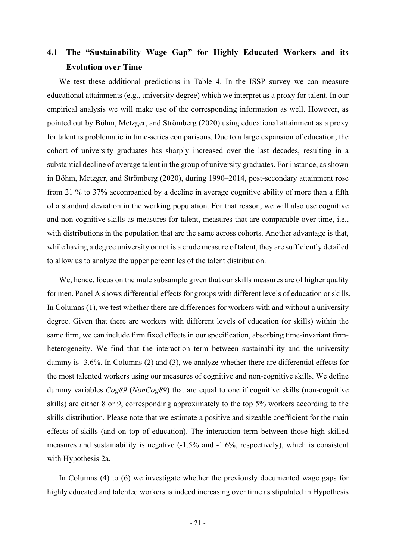## 4.1 The "Sustainability Wage Gap" for Highly Educated Workers and its Evolution over Time

We test these additional predictions in Table 4. In the ISSP survey we can measure educational attainments (e.g., university degree) which we interpret as a proxy for talent. In our empirical analysis we will make use of the corresponding information as well. However, as pointed out by Böhm, Metzger, and Strömberg (2020) using educational attainment as a proxy for talent is problematic in time-series comparisons. Due to a large expansion of education, the cohort of university graduates has sharply increased over the last decades, resulting in a substantial decline of average talent in the group of university graduates. For instance, as shown in Böhm, Metzger, and Strömberg (2020), during 1990–2014, post-secondary attainment rose from 21 % to 37% accompanied by a decline in average cognitive ability of more than a fifth of a standard deviation in the working population. For that reason, we will also use cognitive and non-cognitive skills as measures for talent, measures that are comparable over time, i.e., with distributions in the population that are the same across cohorts. Another advantage is that, while having a degree university or not is a crude measure of talent, they are sufficiently detailed to allow us to analyze the upper percentiles of the talent distribution.

We, hence, focus on the male subsample given that our skills measures are of higher quality for men. Panel A shows differential effects for groups with different levels of education or skills. In Columns (1), we test whether there are differences for workers with and without a university degree. Given that there are workers with different levels of education (or skills) within the same firm, we can include firm fixed effects in our specification, absorbing time-invariant firmheterogeneity. We find that the interaction term between sustainability and the university dummy is -3.6%. In Columns (2) and (3), we analyze whether there are differential effects for the most talented workers using our measures of cognitive and non-cognitive skills. We define dummy variables Cog89 (NonCog89) that are equal to one if cognitive skills (non-cognitive skills) are either 8 or 9, corresponding approximately to the top 5% workers according to the skills distribution. Please note that we estimate a positive and sizeable coefficient for the main effects of skills (and on top of education). The interaction term between those high-skilled measures and sustainability is negative (-1.5% and -1.6%, respectively), which is consistent with Hypothesis 2a.

In Columns (4) to (6) we investigate whether the previously documented wage gaps for highly educated and talented workers is indeed increasing over time as stipulated in Hypothesis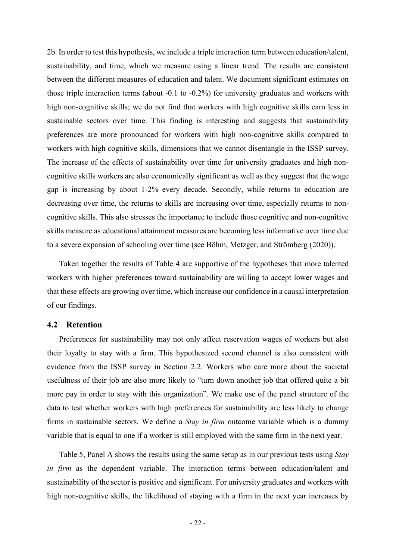2b. In order to test this hypothesis, we include a triple interaction term between education/talent, sustainability, and time, which we measure using a linear trend. The results are consistent between the different measures of education and talent. We document significant estimates on those triple interaction terms (about -0.1 to -0.2%) for university graduates and workers with high non-cognitive skills; we do not find that workers with high cognitive skills earn less in sustainable sectors over time. This finding is interesting and suggests that sustainability preferences are more pronounced for workers with high non-cognitive skills compared to workers with high cognitive skills, dimensions that we cannot disentangle in the ISSP survey. The increase of the effects of sustainability over time for university graduates and high noncognitive skills workers are also economically significant as well as they suggest that the wage gap is increasing by about 1-2% every decade. Secondly, while returns to education are decreasing over time, the returns to skills are increasing over time, especially returns to noncognitive skills. This also stresses the importance to include those cognitive and non-cognitive skills measure as educational attainment measures are becoming less informative over time due to a severe expansion of schooling over time (see Böhm, Metzger, and Strömberg (2020)).

Taken together the results of Table 4 are supportive of the hypotheses that more talented workers with higher preferences toward sustainability are willing to accept lower wages and that these effects are growing over time, which increase our confidence in a causal interpretation of our findings.

#### 4.2 Retention

Preferences for sustainability may not only affect reservation wages of workers but also their loyalty to stay with a firm. This hypothesized second channel is also consistent with evidence from the ISSP survey in Section 2.2. Workers who care more about the societal usefulness of their job are also more likely to "turn down another job that offered quite a bit more pay in order to stay with this organization". We make use of the panel structure of the data to test whether workers with high preferences for sustainability are less likely to change firms in sustainable sectors. We define a Stay in firm outcome variable which is a dummy variable that is equal to one if a worker is still employed with the same firm in the next year.

Table 5, Panel A shows the results using the same setup as in our previous tests using *Stay* in firm as the dependent variable. The interaction terms between education/talent and sustainability of the sector is positive and significant. For university graduates and workers with high non-cognitive skills, the likelihood of staying with a firm in the next year increases by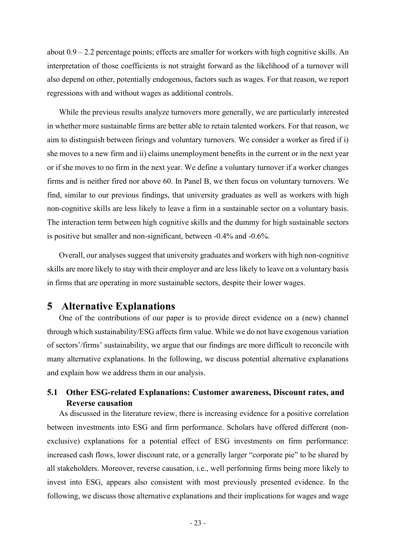about 0.9 – 2.2 percentage points; effects are smaller for workers with high cognitive skills. An interpretation of those coefficients is not straight forward as the likelihood of a turnover will also depend on other, potentially endogenous, factors such as wages. For that reason, we report regressions with and without wages as additional controls.

While the previous results analyze turnovers more generally, we are particularly interested in whether more sustainable firms are better able to retain talented workers. For that reason, we aim to distinguish between firings and voluntary turnovers. We consider a worker as fired if i) she moves to a new firm and ii) claims unemployment benefits in the current or in the next year or if she moves to no firm in the next year. We define a voluntary turnover if a worker changes firms and is neither fired nor above 60. In Panel B, we then focus on voluntary turnovers. We find, similar to our previous findings, that university graduates as well as workers with high non-cognitive skills are less likely to leave a firm in a sustainable sector on a voluntary basis. The interaction term between high cognitive skills and the dummy for high sustainable sectors is positive but smaller and non-significant, between -0.4% and -0.6%.

Overall, our analyses suggest that university graduates and workers with high non-cognitive skills are more likely to stay with their employer and are less likely to leave on a voluntary basis in firms that are operating in more sustainable sectors, despite their lower wages.

### 5 Alternative Explanations

One of the contributions of our paper is to provide direct evidence on a (new) channel through which sustainability/ESG affects firm value. While we do not have exogenous variation of sectors'/firms' sustainability, we argue that our findings are more difficult to reconcile with many alternative explanations. In the following, we discuss potential alternative explanations and explain how we address them in our analysis.

#### 5.1 Other ESG-related Explanations: Customer awareness, Discount rates, and Reverse causation

As discussed in the literature review, there is increasing evidence for a positive correlation between investments into ESG and firm performance. Scholars have offered different (nonexclusive) explanations for a potential effect of ESG investments on firm performance: increased cash flows, lower discount rate, or a generally larger "corporate pie" to be shared by all stakeholders. Moreover, reverse causation, i.e., well performing firms being more likely to invest into ESG, appears also consistent with most previously presented evidence. In the following, we discuss those alternative explanations and their implications for wages and wage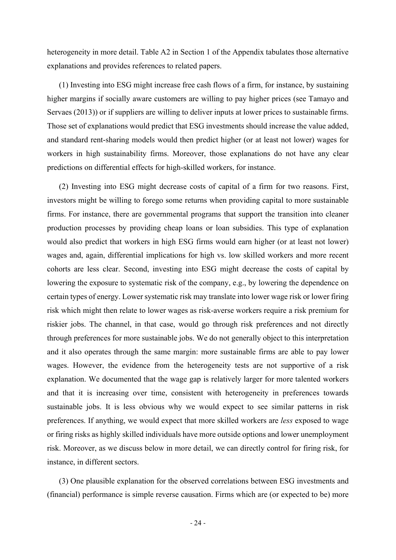heterogeneity in more detail. Table A2 in Section 1 of the Appendix tabulates those alternative explanations and provides references to related papers.

(1) Investing into ESG might increase free cash flows of a firm, for instance, by sustaining higher margins if socially aware customers are willing to pay higher prices (see Tamayo and Servaes (2013)) or if suppliers are willing to deliver inputs at lower prices to sustainable firms. Those set of explanations would predict that ESG investments should increase the value added, and standard rent-sharing models would then predict higher (or at least not lower) wages for workers in high sustainability firms. Moreover, those explanations do not have any clear predictions on differential effects for high-skilled workers, for instance.

(2) Investing into ESG might decrease costs of capital of a firm for two reasons. First, investors might be willing to forego some returns when providing capital to more sustainable firms. For instance, there are governmental programs that support the transition into cleaner production processes by providing cheap loans or loan subsidies. This type of explanation would also predict that workers in high ESG firms would earn higher (or at least not lower) wages and, again, differential implications for high vs. low skilled workers and more recent cohorts are less clear. Second, investing into ESG might decrease the costs of capital by lowering the exposure to systematic risk of the company, e.g., by lowering the dependence on certain types of energy. Lower systematic risk may translate into lower wage risk or lower firing risk which might then relate to lower wages as risk-averse workers require a risk premium for riskier jobs. The channel, in that case, would go through risk preferences and not directly through preferences for more sustainable jobs. We do not generally object to this interpretation and it also operates through the same margin: more sustainable firms are able to pay lower wages. However, the evidence from the heterogeneity tests are not supportive of a risk explanation. We documented that the wage gap is relatively larger for more talented workers and that it is increasing over time, consistent with heterogeneity in preferences towards sustainable jobs. It is less obvious why we would expect to see similar patterns in risk preferences. If anything, we would expect that more skilled workers are less exposed to wage or firing risks as highly skilled individuals have more outside options and lower unemployment risk. Moreover, as we discuss below in more detail, we can directly control for firing risk, for instance, in different sectors.

(3) One plausible explanation for the observed correlations between ESG investments and (financial) performance is simple reverse causation. Firms which are (or expected to be) more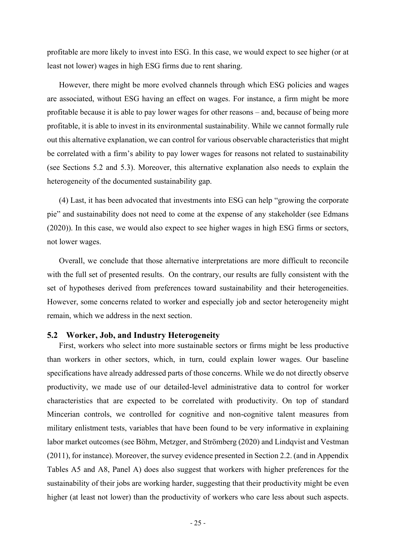profitable are more likely to invest into ESG. In this case, we would expect to see higher (or at least not lower) wages in high ESG firms due to rent sharing.

However, there might be more evolved channels through which ESG policies and wages are associated, without ESG having an effect on wages. For instance, a firm might be more profitable because it is able to pay lower wages for other reasons – and, because of being more profitable, it is able to invest in its environmental sustainability. While we cannot formally rule out this alternative explanation, we can control for various observable characteristics that might be correlated with a firm's ability to pay lower wages for reasons not related to sustainability (see Sections 5.2 and 5.3). Moreover, this alternative explanation also needs to explain the heterogeneity of the documented sustainability gap.

(4) Last, it has been advocated that investments into ESG can help "growing the corporate pie" and sustainability does not need to come at the expense of any stakeholder (see Edmans (2020)). In this case, we would also expect to see higher wages in high ESG firms or sectors, not lower wages.

Overall, we conclude that those alternative interpretations are more difficult to reconcile with the full set of presented results. On the contrary, our results are fully consistent with the set of hypotheses derived from preferences toward sustainability and their heterogeneities. However, some concerns related to worker and especially job and sector heterogeneity might remain, which we address in the next section.

#### 5.2 Worker, Job, and Industry Heterogeneity

First, workers who select into more sustainable sectors or firms might be less productive than workers in other sectors, which, in turn, could explain lower wages. Our baseline specifications have already addressed parts of those concerns. While we do not directly observe productivity, we made use of our detailed-level administrative data to control for worker characteristics that are expected to be correlated with productivity. On top of standard Mincerian controls, we controlled for cognitive and non-cognitive talent measures from military enlistment tests, variables that have been found to be very informative in explaining labor market outcomes (see Böhm, Metzger, and Strömberg (2020) and Lindqvist and Vestman (2011), for instance). Moreover, the survey evidence presented in Section 2.2. (and in Appendix Tables A5 and A8, Panel A) does also suggest that workers with higher preferences for the sustainability of their jobs are working harder, suggesting that their productivity might be even higher (at least not lower) than the productivity of workers who care less about such aspects.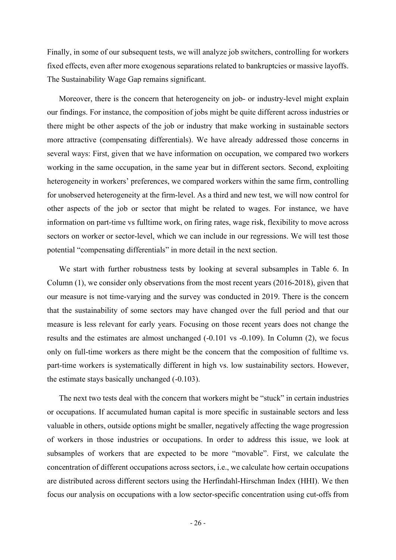Finally, in some of our subsequent tests, we will analyze job switchers, controlling for workers fixed effects, even after more exogenous separations related to bankruptcies or massive layoffs. The Sustainability Wage Gap remains significant.

Moreover, there is the concern that heterogeneity on job- or industry-level might explain our findings. For instance, the composition of jobs might be quite different across industries or there might be other aspects of the job or industry that make working in sustainable sectors more attractive (compensating differentials). We have already addressed those concerns in several ways: First, given that we have information on occupation, we compared two workers working in the same occupation, in the same year but in different sectors. Second, exploiting heterogeneity in workers' preferences, we compared workers within the same firm, controlling for unobserved heterogeneity at the firm-level. As a third and new test, we will now control for other aspects of the job or sector that might be related to wages. For instance, we have information on part-time vs fulltime work, on firing rates, wage risk, flexibility to move across sectors on worker or sector-level, which we can include in our regressions. We will test those potential "compensating differentials" in more detail in the next section.

We start with further robustness tests by looking at several subsamples in Table 6. In Column (1), we consider only observations from the most recent years (2016-2018), given that our measure is not time-varying and the survey was conducted in 2019. There is the concern that the sustainability of some sectors may have changed over the full period and that our measure is less relevant for early years. Focusing on those recent years does not change the results and the estimates are almost unchanged (-0.101 vs -0.109). In Column (2), we focus only on full-time workers as there might be the concern that the composition of fulltime vs. part-time workers is systematically different in high vs. low sustainability sectors. However, the estimate stays basically unchanged (-0.103).

The next two tests deal with the concern that workers might be "stuck" in certain industries or occupations. If accumulated human capital is more specific in sustainable sectors and less valuable in others, outside options might be smaller, negatively affecting the wage progression of workers in those industries or occupations. In order to address this issue, we look at subsamples of workers that are expected to be more "movable". First, we calculate the concentration of different occupations across sectors, i.e., we calculate how certain occupations are distributed across different sectors using the Herfindahl-Hirschman Index (HHI). We then focus our analysis on occupations with a low sector-specific concentration using cut-offs from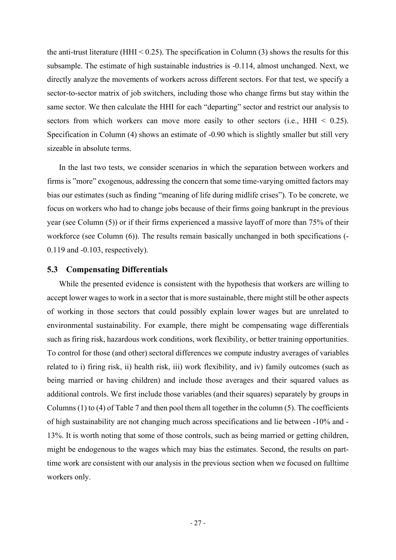the anti-trust literature (HHI  $\leq$  0.25). The specification in Column (3) shows the results for this subsample. The estimate of high sustainable industries is -0.114, almost unchanged. Next, we directly analyze the movements of workers across different sectors. For that test, we specify a sector-to-sector matrix of job switchers, including those who change firms but stay within the same sector. We then calculate the HHI for each "departing" sector and restrict our analysis to sectors from which workers can move more easily to other sectors (i.e.,  $HHI < 0.25$ ). Specification in Column (4) shows an estimate of -0.90 which is slightly smaller but still very sizeable in absolute terms.

In the last two tests, we consider scenarios in which the separation between workers and firms is "more" exogenous, addressing the concern that some time-varying omitted factors may bias our estimates (such as finding "meaning of life during midlife crises"). To be concrete, we focus on workers who had to change jobs because of their firms going bankrupt in the previous year (see Column (5)) or if their firms experienced a massive layoff of more than 75% of their workforce (see Column (6)). The results remain basically unchanged in both specifications (-0.119 and -0.103, respectively).

#### 5.3 Compensating Differentials

While the presented evidence is consistent with the hypothesis that workers are willing to accept lower wages to work in a sector that is more sustainable, there might still be other aspects of working in those sectors that could possibly explain lower wages but are unrelated to environmental sustainability. For example, there might be compensating wage differentials such as firing risk, hazardous work conditions, work flexibility, or better training opportunities. To control for those (and other) sectoral differences we compute industry averages of variables related to i) firing risk, ii) health risk, iii) work flexibility, and iv) family outcomes (such as being married or having children) and include those averages and their squared values as additional controls. We first include those variables (and their squares) separately by groups in Columns (1) to (4) of Table 7 and then pool them all together in the column (5). The coefficients of high sustainability are not changing much across specifications and lie between -10% and - 13%. It is worth noting that some of those controls, such as being married or getting children, might be endogenous to the wages which may bias the estimates. Second, the results on parttime work are consistent with our analysis in the previous section when we focused on fulltime workers only.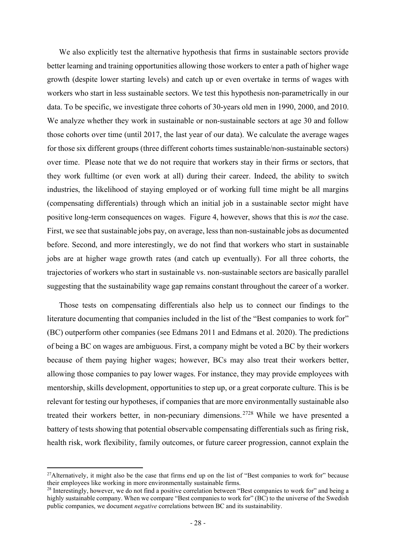We also explicitly test the alternative hypothesis that firms in sustainable sectors provide better learning and training opportunities allowing those workers to enter a path of higher wage growth (despite lower starting levels) and catch up or even overtake in terms of wages with workers who start in less sustainable sectors. We test this hypothesis non-parametrically in our data. To be specific, we investigate three cohorts of 30-years old men in 1990, 2000, and 2010. We analyze whether they work in sustainable or non-sustainable sectors at age 30 and follow those cohorts over time (until 2017, the last year of our data). We calculate the average wages for those six different groups (three different cohorts times sustainable/non-sustainable sectors) over time. Please note that we do not require that workers stay in their firms or sectors, that they work fulltime (or even work at all) during their career. Indeed, the ability to switch industries, the likelihood of staying employed or of working full time might be all margins (compensating differentials) through which an initial job in a sustainable sector might have positive long-term consequences on wages. Figure 4, however, shows that this is not the case. First, we see that sustainable jobs pay, on average, less than non-sustainable jobs as documented before. Second, and more interestingly, we do not find that workers who start in sustainable jobs are at higher wage growth rates (and catch up eventually). For all three cohorts, the trajectories of workers who start in sustainable vs. non-sustainable sectors are basically parallel suggesting that the sustainability wage gap remains constant throughout the career of a worker.

Those tests on compensating differentials also help us to connect our findings to the literature documenting that companies included in the list of the "Best companies to work for" (BC) outperform other companies (see Edmans 2011 and Edmans et al. 2020). The predictions of being a BC on wages are ambiguous. First, a company might be voted a BC by their workers because of them paying higher wages; however, BCs may also treat their workers better, allowing those companies to pay lower wages. For instance, they may provide employees with mentorship, skills development, opportunities to step up, or a great corporate culture. This is be relevant for testing our hypotheses, if companies that are more environmentally sustainable also treated their workers better, in non-pecuniary dimensions. <sup>2728</sup> While we have presented a battery of tests showing that potential observable compensating differentials such as firing risk, health risk, work flexibility, family outcomes, or future career progression, cannot explain the

<sup>&</sup>lt;sup>27</sup>Alternatively, it might also be the case that firms end up on the list of "Best companies to work for" because their employees like working in more environmentally sustainable firms.

<sup>&</sup>lt;sup>28</sup> Interestingly, however, we do not find a positive correlation between "Best companies to work for" and being a highly sustainable company. When we compare "Best companies to work for" (BC) to the universe of the Swedish public companies, we document negative correlations between BC and its sustainability.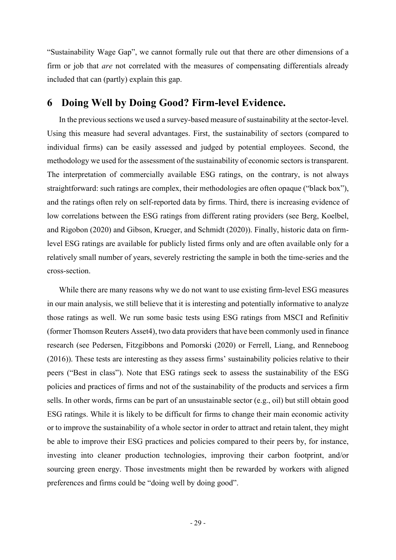"Sustainability Wage Gap", we cannot formally rule out that there are other dimensions of a firm or job that *are* not correlated with the measures of compensating differentials already included that can (partly) explain this gap.

## 6 Doing Well by Doing Good? Firm-level Evidence.

In the previous sections we used a survey-based measure of sustainability at the sector-level. Using this measure had several advantages. First, the sustainability of sectors (compared to individual firms) can be easily assessed and judged by potential employees. Second, the methodology we used for the assessment of the sustainability of economic sectors is transparent. The interpretation of commercially available ESG ratings, on the contrary, is not always straightforward: such ratings are complex, their methodologies are often opaque ("black box"), and the ratings often rely on self-reported data by firms. Third, there is increasing evidence of low correlations between the ESG ratings from different rating providers (see Berg, Koelbel, and Rigobon (2020) and Gibson, Krueger, and Schmidt (2020)). Finally, historic data on firmlevel ESG ratings are available for publicly listed firms only and are often available only for a relatively small number of years, severely restricting the sample in both the time-series and the cross-section.

While there are many reasons why we do not want to use existing firm-level ESG measures in our main analysis, we still believe that it is interesting and potentially informative to analyze those ratings as well. We run some basic tests using ESG ratings from MSCI and Refinitiv (former Thomson Reuters Asset4), two data providers that have been commonly used in finance research (see Pedersen, Fitzgibbons and Pomorski (2020) or Ferrell, Liang, and Renneboog (2016)). These tests are interesting as they assess firms' sustainability policies relative to their peers ("Best in class"). Note that ESG ratings seek to assess the sustainability of the ESG policies and practices of firms and not of the sustainability of the products and services a firm sells. In other words, firms can be part of an unsustainable sector (e.g., oil) but still obtain good ESG ratings. While it is likely to be difficult for firms to change their main economic activity or to improve the sustainability of a whole sector in order to attract and retain talent, they might be able to improve their ESG practices and policies compared to their peers by, for instance, investing into cleaner production technologies, improving their carbon footprint, and/or sourcing green energy. Those investments might then be rewarded by workers with aligned preferences and firms could be "doing well by doing good".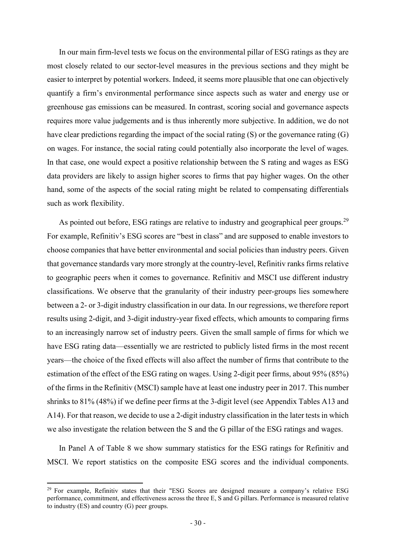In our main firm-level tests we focus on the environmental pillar of ESG ratings as they are most closely related to our sector-level measures in the previous sections and they might be easier to interpret by potential workers. Indeed, it seems more plausible that one can objectively quantify a firm's environmental performance since aspects such as water and energy use or greenhouse gas emissions can be measured. In contrast, scoring social and governance aspects requires more value judgements and is thus inherently more subjective. In addition, we do not have clear predictions regarding the impact of the social rating (S) or the governance rating (G) on wages. For instance, the social rating could potentially also incorporate the level of wages. In that case, one would expect a positive relationship between the S rating and wages as ESG data providers are likely to assign higher scores to firms that pay higher wages. On the other hand, some of the aspects of the social rating might be related to compensating differentials such as work flexibility.

As pointed out before, ESG ratings are relative to industry and geographical peer groups.<sup>29</sup> For example, Refinitiv's ESG scores are "best in class" and are supposed to enable investors to choose companies that have better environmental and social policies than industry peers. Given that governance standards vary more strongly at the country-level, Refinitiv ranks firms relative to geographic peers when it comes to governance. Refinitiv and MSCI use different industry classifications. We observe that the granularity of their industry peer-groups lies somewhere between a 2- or 3-digit industry classification in our data. In our regressions, we therefore report results using 2-digit, and 3-digit industry-year fixed effects, which amounts to comparing firms to an increasingly narrow set of industry peers. Given the small sample of firms for which we have ESG rating data—essentially we are restricted to publicly listed firms in the most recent years—the choice of the fixed effects will also affect the number of firms that contribute to the estimation of the effect of the ESG rating on wages. Using 2-digit peer firms, about 95% (85%) of the firms in the Refinitiv (MSCI) sample have at least one industry peer in 2017. This number shrinks to 81% (48%) if we define peer firms at the 3-digit level (see Appendix Tables A13 and A14). For that reason, we decide to use a 2-digit industry classification in the later tests in which we also investigate the relation between the S and the G pillar of the ESG ratings and wages.

In Panel A of Table 8 we show summary statistics for the ESG ratings for Refinitiv and MSCI. We report statistics on the composite ESG scores and the individual components.

<sup>&</sup>lt;sup>29</sup> For example, Refinitiv states that their "ESG Scores are designed measure a company's relative ESG performance, commitment, and effectiveness across the three E, S and G pillars. Performance is measured relative to industry (ES) and country (G) peer groups.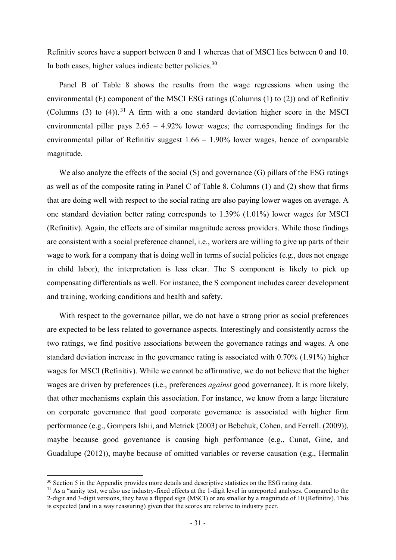Refinitiv scores have a support between 0 and 1 whereas that of MSCI lies between 0 and 10. In both cases, higher values indicate better policies.<sup>30</sup>

Panel B of Table 8 shows the results from the wage regressions when using the environmental (E) component of the MSCI ESG ratings (Columns (1) to (2)) and of Refinitiv (Columns  $(3)$  to  $(4)$ ). <sup>31</sup> A firm with a one standard deviation higher score in the MSCI environmental pillar pays 2.65 – 4.92% lower wages; the corresponding findings for the environmental pillar of Refinitiv suggest 1.66 – 1.90% lower wages, hence of comparable magnitude.

We also analyze the effects of the social (S) and governance (G) pillars of the ESG ratings as well as of the composite rating in Panel C of Table 8. Columns (1) and (2) show that firms that are doing well with respect to the social rating are also paying lower wages on average. A one standard deviation better rating corresponds to 1.39% (1.01%) lower wages for MSCI (Refinitiv). Again, the effects are of similar magnitude across providers. While those findings are consistent with a social preference channel, i.e., workers are willing to give up parts of their wage to work for a company that is doing well in terms of social policies (e.g., does not engage in child labor), the interpretation is less clear. The S component is likely to pick up compensating differentials as well. For instance, the S component includes career development and training, working conditions and health and safety.

With respect to the governance pillar, we do not have a strong prior as social preferences are expected to be less related to governance aspects. Interestingly and consistently across the two ratings, we find positive associations between the governance ratings and wages. A one standard deviation increase in the governance rating is associated with 0.70% (1.91%) higher wages for MSCI (Refinitiv). While we cannot be affirmative, we do not believe that the higher wages are driven by preferences (i.e., preferences *against* good governance). It is more likely, that other mechanisms explain this association. For instance, we know from a large literature on corporate governance that good corporate governance is associated with higher firm performance (e.g., Gompers Ishii, and Metrick (2003) or Bebchuk, Cohen, and Ferrell. (2009)), maybe because good governance is causing high performance (e.g., Cunat, Gine, and Guadalupe (2012)), maybe because of omitted variables or reverse causation (e.g., Hermalin

<sup>&</sup>lt;sup>30</sup> Section 5 in the Appendix provides more details and descriptive statistics on the ESG rating data.

 $31$  As a "sanity test, we also use industry-fixed effects at the 1-digit level in unreported analyses. Compared to the 2-digit and 3-digit versions, they have a flipped sign (MSCI) or are smaller by a magnitude of 10 (Refinitiv). This is expected (and in a way reassuring) given that the scores are relative to industry peer.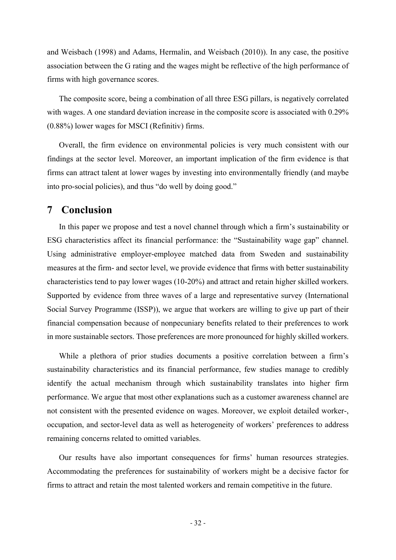and Weisbach (1998) and Adams, Hermalin, and Weisbach (2010)). In any case, the positive association between the G rating and the wages might be reflective of the high performance of firms with high governance scores.

The composite score, being a combination of all three ESG pillars, is negatively correlated with wages. A one standard deviation increase in the composite score is associated with 0.29% (0.88%) lower wages for MSCI (Refinitiv) firms.

Overall, the firm evidence on environmental policies is very much consistent with our findings at the sector level. Moreover, an important implication of the firm evidence is that firms can attract talent at lower wages by investing into environmentally friendly (and maybe into pro-social policies), and thus "do well by doing good."

### 7 Conclusion

In this paper we propose and test a novel channel through which a firm's sustainability or ESG characteristics affect its financial performance: the "Sustainability wage gap" channel. Using administrative employer-employee matched data from Sweden and sustainability measures at the firm- and sector level, we provide evidence that firms with better sustainability characteristics tend to pay lower wages (10-20%) and attract and retain higher skilled workers. Supported by evidence from three waves of a large and representative survey (International Social Survey Programme (ISSP)), we argue that workers are willing to give up part of their financial compensation because of nonpecuniary benefits related to their preferences to work in more sustainable sectors. Those preferences are more pronounced for highly skilled workers.

While a plethora of prior studies documents a positive correlation between a firm's sustainability characteristics and its financial performance, few studies manage to credibly identify the actual mechanism through which sustainability translates into higher firm performance. We argue that most other explanations such as a customer awareness channel are not consistent with the presented evidence on wages. Moreover, we exploit detailed worker-, occupation, and sector-level data as well as heterogeneity of workers' preferences to address remaining concerns related to omitted variables.

Our results have also important consequences for firms' human resources strategies. Accommodating the preferences for sustainability of workers might be a decisive factor for firms to attract and retain the most talented workers and remain competitive in the future.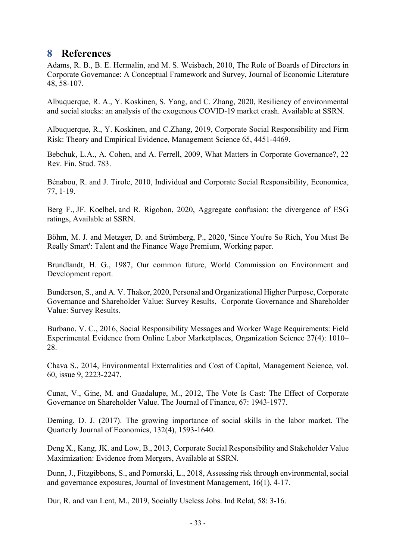# 8 References

Adams, R. B., B. E. Hermalin, and M. S. Weisbach, 2010, The Role of Boards of Directors in Corporate Governance: A Conceptual Framework and Survey, Journal of Economic Literature 48, 58-107.

Albuquerque, R. A., Y. Koskinen, S. Yang, and C. Zhang, 2020, Resiliency of environmental and social stocks: an analysis of the exogenous COVID-19 market crash. Available at SSRN.

Albuquerque, R., Y. Koskinen, and C.Zhang, 2019, Corporate Social Responsibility and Firm Risk: Theory and Empirical Evidence, Management Science 65, 4451-4469.

Bebchuk, L.A., A. Cohen, and A. Ferrell, 2009, What Matters in Corporate Governance?, 22 Rev. Fin. Stud. 783.

Bénabou, R. and J. Tirole, 2010, Individual and Corporate Social Responsibility, Economica, 77, 1-19.

Berg F., JF. Koelbel, and R. Rigobon, 2020, Aggregate confusion: the divergence of ESG ratings, Available at SSRN.

Böhm, M. J. and Metzger, D. and Strömberg, P., 2020, 'Since You're So Rich, You Must Be Really Smart': Talent and the Finance Wage Premium, Working paper.

Brundlandt, H. G., 1987, Our common future, World Commission on Environment and Development report.

Bunderson, S., and A. V. Thakor, 2020, Personal and Organizational Higher Purpose, Corporate Governance and Shareholder Value: Survey Results, Corporate Governance and Shareholder Value: Survey Results.

Burbano, V. C., 2016, Social Responsibility Messages and Worker Wage Requirements: Field Experimental Evidence from Online Labor Marketplaces, Organization Science 27(4): 1010– 28.

Chava S., 2014, Environmental Externalities and Cost of Capital, Management Science, vol. 60, issue 9, 2223-2247.

Cunat, V., Gine, M. and Guadalupe, M., 2012, The Vote Is Cast: The Effect of Corporate Governance on Shareholder Value. The Journal of Finance, 67: 1943-1977.

Deming, D. J. (2017). The growing importance of social skills in the labor market. The Quarterly Journal of Economics, 132(4), 1593-1640.

Deng X., Kang, JK. and Low, B., 2013, Corporate Social Responsibility and Stakeholder Value Maximization: Evidence from Mergers, Available at SSRN.

Dunn, J., Fitzgibbons, S., and Pomorski, L., 2018, Assessing risk through environmental, social and governance exposures, Journal of Investment Management, 16(1), 4-17.

Dur, R. and van Lent, M., 2019, Socially Useless Jobs. Ind Relat, 58: 3-16.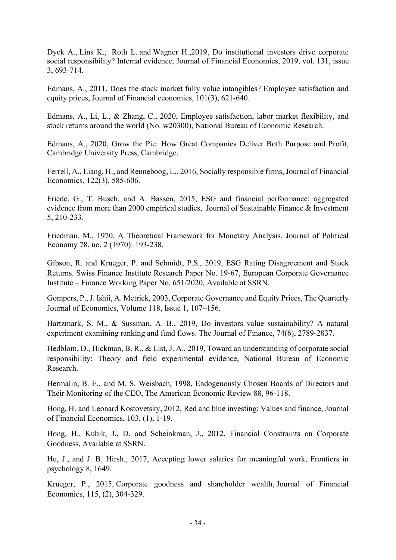Dyck A., Lins K., Roth L. and Wagner H.,2019, Do institutional investors drive corporate social responsibility? Internal evidence, Journal of Financial Economics, 2019, vol. 131, issue 3, 693-714.

Edmans, A., 2011, Does the stock market fully value intangibles? Employee satisfaction and equity prices, Journal of Financial economics, 101(3), 621-640.

Edmans, A., Li, L., & Zhang, C., 2020, Employee satisfaction, labor market flexibility, and stock returns around the world (No. w20300), National Bureau of Economic Research.

Edmans, A., 2020, Grow the Pie: How Great Companies Deliver Both Purpose and Profit, Cambridge University Press, Cambridge.

Ferrell, A., Liang, H., and Renneboog, L., 2016, Socially responsible firms, Journal of Financial Economics, 122(3), 585-606.

Friede, G., T. Busch, and A. Bassen, 2015, ESG and financial performance: aggregated evidence from more than 2000 empirical studies, Journal of Sustainable Finance & Investment 5, 210-233.

Friedman, M., 1970, A Theoretical Framework for Monetary Analysis, Journal of Political Economy 78, no. 2 (1970): 193-238.

Gibson, R. and Krueger, P. and Schmidt, P.S., 2019, ESG Rating Disagreement and Stock Returns. Swiss Finance Institute Research Paper No. 19-67, European Corporate Governance Institute – Finance Working Paper No. 651/2020, Available at SSRN.

Gompers, P., J. Ishii, A. Metrick, 2003, Corporate Governance and Equity Prices, The Quarterly Journal of Economics, Volume 118, Issue 1, 107–156.

Hartzmark, S. M., & Sussman, A. B., 2019, Do investors value sustainability? A natural experiment examining ranking and fund flows. The Journal of Finance, 74(6), 2789-2837.

Hedblom, D., Hickman, B. R., & List, J. A., 2019, Toward an understanding of corporate social responsibility: Theory and field experimental evidence, National Bureau of Economic Research.

Hermalin, B. E., and M. S. Weisbach, 1998, Endogenously Chosen Boards of Directors and Their Monitoring of the CEO, The American Economic Review 88, 96-118.

Hong, H. and Leonard Kostovetsky, 2012, Red and blue investing: Values and finance, Journal of Financial Economics, 103, (1), 1-19.

Hong, H., Kubik, J., D. and Scheinkman, J., 2012, Financial Constraints on Corporate Goodness, Available at SSRN.

Hu, J., and J. B. Hirsh., 2017, Accepting lower salaries for meaningful work, Frontiers in psychology 8, 1649.

Krueger, P., 2015, Corporate goodness and shareholder wealth, Journal of Financial Economics, 115, (2), 304-329.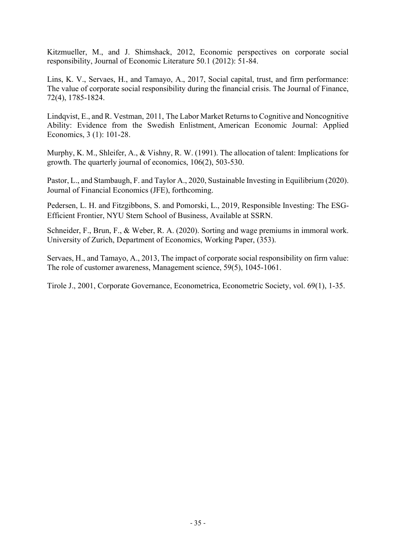Kitzmueller, M., and J. Shimshack, 2012, Economic perspectives on corporate social responsibility, Journal of Economic Literature 50.1 (2012): 51-84.

Lins, K. V., Servaes, H., and Tamayo, A., 2017, Social capital, trust, and firm performance: The value of corporate social responsibility during the financial crisis. The Journal of Finance, 72(4), 1785-1824.

Lindqvist, E., and R. Vestman, 2011, The Labor Market Returns to Cognitive and Noncognitive Ability: Evidence from the Swedish Enlistment, American Economic Journal: Applied Economics, 3 (1): 101-28.

Murphy, K. M., Shleifer, A., & Vishny, R. W. (1991). The allocation of talent: Implications for growth. The quarterly journal of economics, 106(2), 503-530.

Pastor, L., and Stambaugh, F. and Taylor A., 2020, Sustainable Investing in Equilibrium (2020). Journal of Financial Economics (JFE), forthcoming.

Pedersen, L. H. and Fitzgibbons, S. and Pomorski, L., 2019, Responsible Investing: The ESG-Efficient Frontier, NYU Stern School of Business, Available at SSRN.

Schneider, F., Brun, F., & Weber, R. A. (2020). Sorting and wage premiums in immoral work. University of Zurich, Department of Economics, Working Paper, (353).

Servaes, H., and Tamayo, A., 2013, The impact of corporate social responsibility on firm value: The role of customer awareness, Management science, 59(5), 1045-1061.

Tirole J., 2001, Corporate Governance, Econometrica, Econometric Society, vol. 69(1), 1-35.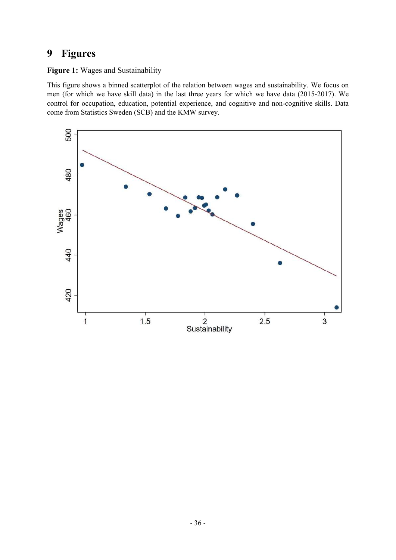# 9 Figures

Figure 1: Wages and Sustainability

This figure shows a binned scatterplot of the relation between wages and sustainability. We focus on men (for which we have skill data) in the last three years for which we have data (2015-2017). We control for occupation, education, potential experience, and cognitive and non-cognitive skills. Data come from Statistics Sweden (SCB) and the KMW survey.

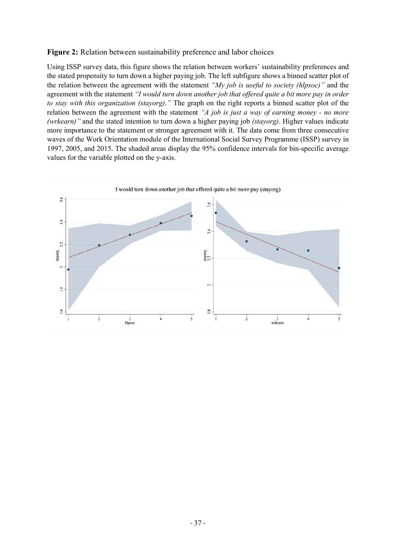#### Figure 2: Relation between sustainability preference and labor choices

Using ISSP survey data, this figure shows the relation between workers' sustainability preferences and the stated propensity to turn down a higher paying job. The left subfigure shows a binned scatter plot of the relation between the agreement with the statement "My job is useful to society (hlpsoc)" and the agreement with the statement "I would turn down another job that offered quite a bit more pay in order to stay with this organization (stayorg)." The graph on the right reports a binned scatter plot of the relation between the agreement with the statement "A job is just a way of earning money - no more (wrkearn)" and the stated intention to turn down a higher paying job (stayorg). Higher values indicate more importance to the statement or stronger agreement with it. The data come from three consecutive waves of the Work Orientation module of the International Social Survey Programme (ISSP) survey in 1997, 2005, and 2015. The shaded areas display the 95% confidence intervals for bin-specific average values for the variable plotted on the y-axis.

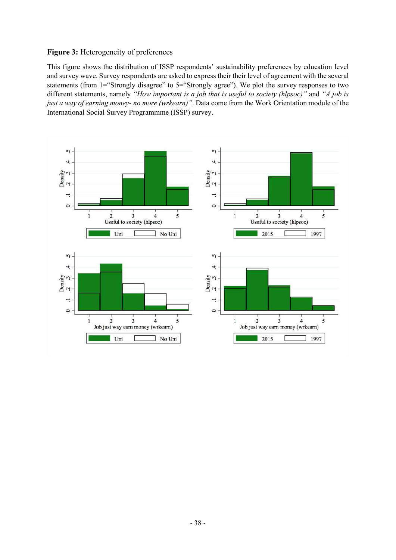#### Figure 3: Heterogeneity of preferences

This figure shows the distribution of ISSP respondents' sustainability preferences by education level and survey wave. Survey respondents are asked to express their their level of agreement with the several statements (from 1="Strongly disagree" to 5="Strongly agree"). We plot the survey responses to two different statements, namely "How important is a job that is useful to society (hlpsoc)" and "A job is just a way of earning money- no more (wrkearn)". Data come from the Work Orientation module of the International Social Survey Programmme (ISSP) survey.

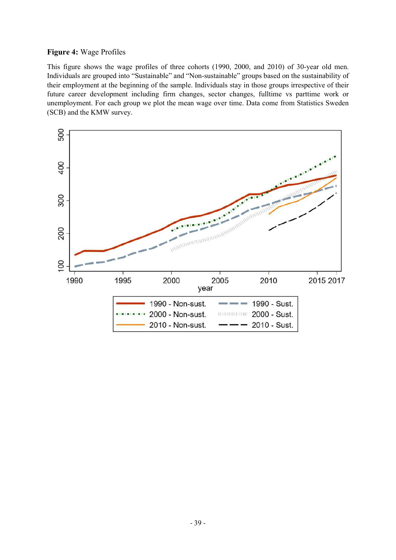#### Figure 4: Wage Profiles

This figure shows the wage profiles of three cohorts (1990, 2000, and 2010) of 30-year old men. Individuals are grouped into "Sustainable" and "Non-sustainable" groups based on the sustainability of their employment at the beginning of the sample. Individuals stay in those groups irrespective of their future career development including firm changes, sector changes, fulltime vs parttime work or unemployment. For each group we plot the mean wage over time. Data come from Statistics Sweden (SCB) and the KMW survey.

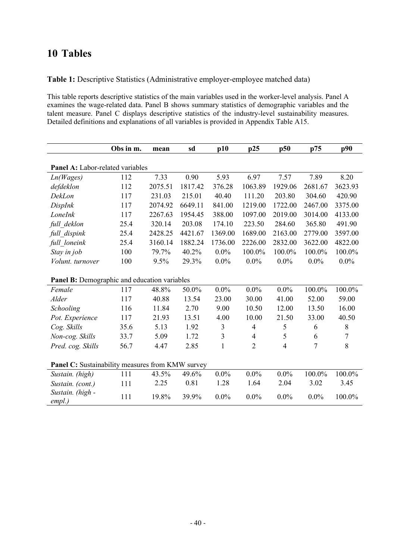# 10 Tables

Table 1: Descriptive Statistics (Administrative employer-employee matched data)

This table reports descriptive statistics of the main variables used in the worker-level analysis. Panel A examines the wage-related data. Panel B shows summary statistics of demographic variables and the talent measure. Panel C displays descriptive statistics of the industry-level sustainability measures. Detailed definitions and explanations of all variables is provided in Appendix Table A15.

|                                              | Obs in m.                                        | mean    | sd      | p10            | p25                      | p50     | p75     | p90         |  |  |
|----------------------------------------------|--------------------------------------------------|---------|---------|----------------|--------------------------|---------|---------|-------------|--|--|
|                                              |                                                  |         |         |                |                          |         |         |             |  |  |
| Panel A: Labor-related variables             |                                                  |         |         |                |                          |         |         |             |  |  |
| Ln(Wages)                                    | 112                                              | 7.33    | 0.90    | 5.93           | 6.97                     | 7.57    | 7.89    | 8.20        |  |  |
| defdeklon                                    | 112                                              | 2075.51 | 1817.42 | 376.28         | 1063.89                  | 1929.06 | 2681.67 | 3623.93     |  |  |
| DekLon                                       | 117                                              | 231.03  | 215.01  | 40.40          | 111.20                   | 203.80  | 304.60  | 420.90      |  |  |
| DispInk                                      | 117                                              | 2074.92 | 6649.11 | 841.00         | 1219.00                  | 1722.00 | 2467.00 | 3375.00     |  |  |
| LoneInk                                      | 117                                              | 2267.63 | 1954.45 | 388.00         | 1097.00                  | 2019.00 | 3014.00 | 4133.00     |  |  |
| full deklon                                  | 25.4                                             | 320.14  | 203.08  | 174.10         | 223.50                   | 284.60  | 365.80  | 491.90      |  |  |
| full_dispink                                 | 25.4                                             | 2428.25 | 4421.67 | 1369.00        | 1689.00                  | 2163.00 | 2779.00 | 3597.00     |  |  |
| full_loneink                                 | 25.4                                             | 3160.14 | 1882.24 | 1736.00        | 2226.00                  | 2832.00 | 3622.00 | 4822.00     |  |  |
| Stay in job                                  | 100                                              | 79.7%   | 40.2%   | $0.0\%$        | 100.0%                   | 100.0%  | 100.0%  | 100.0%      |  |  |
| Volunt. turnover                             | 100                                              | 9.5%    | 29.3%   | $0.0\%$        | $0.0\%$                  | $0.0\%$ | $0.0\%$ | $0.0\%$     |  |  |
| Panel B: Demographic and education variables |                                                  |         |         |                |                          |         |         |             |  |  |
| Female                                       | 117                                              | 48.8%   | 50.0%   | $0.0\%$        | $0.0\%$                  | $0.0\%$ | 100.0%  | 100.0%      |  |  |
| Alder                                        | 117                                              | 40.88   | 13.54   | 23.00          | 30.00                    | 41.00   | 52.00   | 59.00       |  |  |
| Schooling                                    | 116                                              | 11.84   | 2.70    | 9.00           | 10.50                    | 12.00   | 13.50   | 16.00       |  |  |
| Pot. Experience                              | 117                                              | 21.93   | 13.51   | 4.00           | 10.00                    | 21.50   | 33.00   | 40.50       |  |  |
| Cog. Skills                                  | 35.6                                             | 5.13    | 1.92    | $\mathfrak{Z}$ | $\overline{\mathcal{A}}$ | 5       | 6       | $\,$ 8 $\,$ |  |  |
| Non-cog. Skills                              | 33.7                                             | 5.09    | 1.72    | 3              | 4                        | 5       | 6       | 7           |  |  |
| Pred. cog. Skills                            | 56.7                                             | 4.47    | 2.85    | $\mathbf{1}$   | $\overline{2}$           | 4       | 7       | 8           |  |  |
|                                              | Panel C: Sustainability measures from KMW survey |         |         |                |                          |         |         |             |  |  |
| Sustain. (high)                              | 111                                              | 43.5%   | 49.6%   | $0.0\%$        | $0.0\%$                  | $0.0\%$ | 100.0%  | 100.0%      |  |  |
| Sustain. (cont.)                             | 111                                              | 2.25    | 0.81    | 1.28           | 1.64                     | 2.04    | 3.02    | 3.45        |  |  |
| Sustain. (high -<br>$empl.$ )                | 111                                              | 19.8%   | 39.9%   | $0.0\%$        | $0.0\%$                  | $0.0\%$ | $0.0\%$ | 100.0%      |  |  |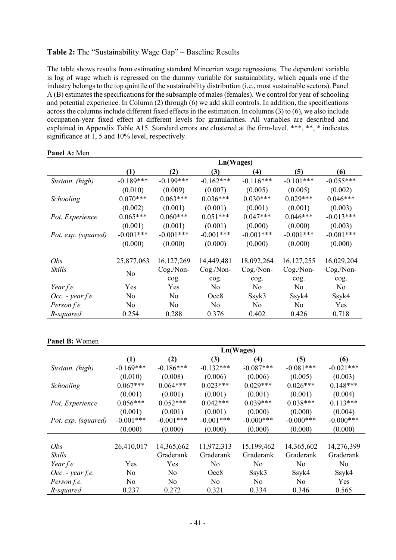#### Table 2: The "Sustainability Wage Gap" – Baseline Results

The table shows results from estimating standard Mincerian wage regressions. The dependent variable is log of wage which is regressed on the dummy variable for sustainability, which equals one if the industry belongs to the top quintile of the sustainability distribution (i.e., most sustainable sectors). Panel A (B) estimates the specifications for the subsample of males (females). We control for year of schooling and potential experience. In Column (2) through (6) we add skill controls. In addition, the specifications across the columns include different fixed effects in the estimation. In columns (3) to (6), we also include occupation-year fixed effect at different levels for granularities. All variables are described and explained in Appendix Table A15. Standard errors are clustered at the firm-level. \*\*\*, \*\*, \* indicates significance at 1, 5 and 10% level, respectively.

|                     |             | Ln(Wages)    |                |                |              |                |  |  |  |
|---------------------|-------------|--------------|----------------|----------------|--------------|----------------|--|--|--|
|                     | (1)         | (2)          | (3)            | (4)            | (5)          | (6)            |  |  |  |
| Sustain. (high)     | $-0.189***$ | $-0.199***$  | $-0.162***$    | $-0.116***$    | $-0.101***$  | $-0.055***$    |  |  |  |
|                     | (0.010)     | (0.009)      | (0.007)        | (0.005)        | (0.005)      | (0.002)        |  |  |  |
| Schooling           | $0.070***$  | $0.063***$   | $0.036***$     | $0.030***$     | $0.029***$   | $0.046***$     |  |  |  |
|                     | (0.002)     | (0.001)      | (0.001)        | (0.001)        | (0.001)      | (0.003)        |  |  |  |
| Pot. Experience     | $0.065***$  | $0.060***$   | $0.051***$     | $0.047***$     | $0.046***$   | $-0.013***$    |  |  |  |
|                     | (0.001)     | (0.001)      | (0.001)        | (0.000)        | (0.000)      | (0.003)        |  |  |  |
| Pot. exp. (squared) | $-0.001***$ | $-0.001***$  | $-0.001***$    | $-0.001***$    | $-0.001***$  | $-0.001***$    |  |  |  |
|                     | (0.000)     | (0.000)      | (0.000)        | (0.000)        | (0.000)      | (0.000)        |  |  |  |
|                     |             |              |                |                |              |                |  |  |  |
| Obs                 | 25,877,063  | 16, 127, 269 | 14,449,481     | 18,092,264     | 16, 127, 255 | 16,029,204     |  |  |  |
| Skills              | No          | Cog./Non-    | Cog./Non-      | Cog./Non-      | Cog./Non-    | Cog./Non-      |  |  |  |
|                     |             | cog.         | cog.           | cog.           | cog.         | cog.           |  |  |  |
| Year f.e.           | Yes         | Yes          | N <sub>0</sub> | N <sub>o</sub> | No           | N <sub>o</sub> |  |  |  |
| $Occ.$ - year f.e.  | No          | No           | Occ8           | Ssyk3          | Ssyk4        | Ssyk4          |  |  |  |
| Person f.e.         | No          | No           | No             | No.            | No           | <b>Yes</b>     |  |  |  |
| R-squared           | 0.254       | 0.288        | 0.376          | 0.402          | 0.426        | 0.718          |  |  |  |

#### Panel A: Men

#### Panel B: Women

|                     | Ln(Wages)   |                |                |                |              |                |  |  |
|---------------------|-------------|----------------|----------------|----------------|--------------|----------------|--|--|
|                     | (1)         | (2)            | (3)            | (4)            | (5)          | (6)            |  |  |
| Sustain. (high)     | $-0.169***$ | $-0.186***$    | $-0.132***$    | $-0.087***$    | $-0.081***$  | $-0.021***$    |  |  |
|                     | (0.010)     | (0.008)        | (0.006)        | (0.006)        | (0.005)      | (0.003)        |  |  |
| Schooling           | $0.067***$  | $0.064***$     | $0.023***$     | $0.029***$     | $0.026***$   | $0.148***$     |  |  |
|                     | (0.001)     | (0.001)        | (0.001)        | (0.001)        | (0.001)      | (0.004)        |  |  |
| Pot. Experience     | $0.056***$  | $0.052***$     | $0.042***$     | $0.039***$     | $0.038***$   | $0.113***$     |  |  |
|                     | (0.001)     | (0.001)        | (0.001)        | (0.000)        | (0.000)      | (0.004)        |  |  |
| Pot. exp. (squared) | $-0.001***$ | $-0.001***$    | $-0.001***$    | $-0.000***$    | $-0.000$ *** | $-0.000$ ***   |  |  |
|                     | (0.000)     | (0.000)        | (0.000)        | (0.000)        | (0.000)      | (0.000)        |  |  |
|                     |             |                |                |                |              |                |  |  |
| <i>Obs</i>          | 26,410,017  | 14,365,662     | 11,972,313     | 15,199,462     | 14,365,602   | 14,276,399     |  |  |
| Skills              |             | Graderank      | Graderank      | Graderank      | Graderank    | Graderank      |  |  |
| Year f.e.           | Yes         | Yes            | No             | N <sub>o</sub> | No           | N <sub>o</sub> |  |  |
| $Occ.$ - year f.e.  | No          | N <sub>o</sub> | Occ8           | Ssyk3          | Ssyk4        | Ssyk4          |  |  |
| Person f.e.         | No          | N <sub>o</sub> | N <sub>o</sub> | N <sub>o</sub> | No           | Yes            |  |  |
| R-squared           | 0.237       | 0.272          | 0.321          | 0.334          | 0.346        | 0.565          |  |  |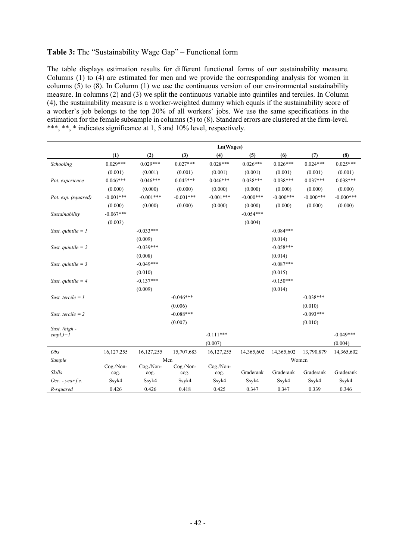#### Table 3: The "Sustainability Wage Gap" – Functional form

The table displays estimation results for different functional forms of our sustainability measure. Columns (1) to (4) are estimated for men and we provide the corresponding analysis for women in columns (5) to (8). In Column (1) we use the continuous version of our environmental sustainability measure. In columns (2) and (3) we split the continuous variable into quintiles and terciles. In Column (4), the sustainability measure is a worker-weighted dummy which equals if the sustainability score of a worker's job belongs to the top 20% of all workers' jobs. We use the same specifications in the estimation for the female subsample in columns (5) to (8). Standard errors are clustered at the firm-level. \*\*\*, \*\*, \* indicates significance at 1, 5 and 10% level, respectively.

|                      | Ln(Wages)         |             |                   |              |             |             |             |             |
|----------------------|-------------------|-------------|-------------------|--------------|-------------|-------------|-------------|-------------|
|                      | (1)               | (2)         | (3)               | (4)          | (5)         | (6)         | (7)         | (8)         |
| Schooling            | $0.029***$        | $0.029***$  | $0.027***$        | $0.028***$   | $0.026***$  | $0.026***$  | $0.024***$  | $0.025***$  |
|                      | (0.001)           | (0.001)     | (0.001)           | (0.001)      | (0.001)     | (0.001)     | (0.001)     | (0.001)     |
| Pot. experience      | $0.046***$        | $0.046***$  | $0.045***$        | $0.046***$   | $0.038***$  | $0.038***$  | $0.037***$  | $0.038***$  |
|                      | (0.000)           | (0.000)     | (0.000)           | (0.000)      | (0.000)     | (0.000)     | (0.000)     | (0.000)     |
| Pot. exp. (squared)  | $-0.001***$       | $-0.001***$ | $-0.001***$       | $-0.001***$  | $-0.000***$ | $-0.000***$ | $-0.000***$ | $-0.000***$ |
|                      | (0.000)           | (0.000)     | (0.000)           | (0.000)      | (0.000)     | (0.000)     | (0.000)     | (0.000)     |
| Sustainability       | $-0.067***$       |             |                   |              | $-0.054***$ |             |             |             |
|                      | (0.003)           |             |                   |              | (0.004)     |             |             |             |
| Sust. quintile $= 1$ |                   | $-0.033***$ |                   |              |             | $-0.084***$ |             |             |
|                      |                   | (0.009)     |                   |              |             | (0.014)     |             |             |
| Sust. quintile $= 2$ |                   | $-0.039***$ |                   |              |             | $-0.058***$ |             |             |
|                      |                   | (0.008)     |                   |              |             | (0.014)     |             |             |
| Sust. quintile = $3$ |                   | $-0.049***$ |                   |              |             | $-0.087***$ |             |             |
|                      |                   | (0.010)     |                   |              |             | (0.015)     |             |             |
| Sust. quintile = $4$ |                   | $-0.137***$ |                   |              |             | $-0.150***$ |             |             |
|                      |                   | (0.009)     |                   |              |             | (0.014)     |             |             |
| Sust. tercile $= 1$  |                   |             | $-0.046***$       |              |             |             | $-0.038***$ |             |
|                      |                   |             | (0.006)           |              |             |             | (0.010)     |             |
| Sust. tercile $= 2$  |                   |             | $-0.088***$       |              |             |             | $-0.093***$ |             |
|                      |                   |             | (0.007)           |              |             |             | (0.010)     |             |
| Sust. (high -        |                   |             |                   |              |             |             |             |             |
| $empl.$ )= $I$       |                   |             |                   | $-0.111***$  |             |             |             | $-0.049***$ |
|                      |                   |             |                   | (0.007)      |             |             |             | (0.004)     |
| Obs                  | 16,127,255        | 16,127,255  | 15,707,683        | 16, 127, 255 | 14,365,602  | 14,365,602  | 13,790,879  | 14,365,602  |
| Sample               |                   | Cog./Non-   | Men               | Cog./Non-    |             |             | Women       |             |
| Skills               | Cog./Non-<br>cog. | cog.        | Cog./Non-<br>cog. | cog.         | Graderank   | Graderank   | Graderank   | Graderank   |
| $Occ.$ - year f.e.   | Ssyk4             | Ssyk4       | Ssyk4             | Ssyk4        | Ssyk4       | Ssyk4       | Ssyk4       | Ssyk4       |
| R-squared            | 0.426             | 0.426       | 0.418             | 0.425        | 0.347       | 0.347       | 0.339       | 0.346       |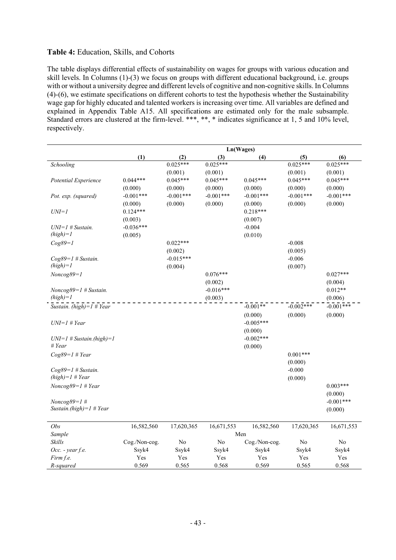#### Table 4: Education, Skills, and Cohorts

The table displays differential effects of sustainability on wages for groups with various education and skill levels. In Columns (1)-(3) we focus on groups with different educational background, i.e. groups with or without a university degree and different levels of cognitive and non-cognitive skills. In Columns (4)-(6), we estimate specifications on different cohorts to test the hypothesis whether the Sustainability wage gap for highly educated and talented workers is increasing over time. All variables are defined and explained in Appendix Table A15. All specifications are estimated only for the male subsample. Standard errors are clustered at the firm-level. \*\*\*, \*\*, \* indicates significance at 1, 5 and 10% level, respectively.

|                             | Ln(Wages)     |             |             |               |             |             |  |  |
|-----------------------------|---------------|-------------|-------------|---------------|-------------|-------------|--|--|
|                             | (1)           | (2)         | (3)         | (4)           | (5)         | (6)         |  |  |
| Schooling                   |               | $0.025***$  | $0.025***$  |               | $0.025***$  | $0.025***$  |  |  |
|                             |               | (0.001)     | (0.001)     |               | (0.001)     | (0.001)     |  |  |
| Potential Experience        | $0.044***$    | $0.045***$  | $0.045***$  | $0.045***$    | $0.045***$  | $0.045***$  |  |  |
|                             | (0.000)       | (0.000)     | (0.000)     | (0.000)       | (0.000)     | (0.000)     |  |  |
| Pot. exp. (squared)         | $-0.001***$   | $-0.001***$ | $-0.001***$ | $-0.001***$   | $-0.001***$ | $-0.001***$ |  |  |
|                             | (0.000)       | (0.000)     | (0.000)     | (0.000)       | (0.000)     | (0.000)     |  |  |
| $UNI=1$                     | $0.124***$    |             |             | $0.218***$    |             |             |  |  |
|                             | (0.003)       |             |             | (0.007)       |             |             |  |  |
| $UNI=1$ # Sustain.          | $-0.036***$   |             |             | $-0.004$      |             |             |  |  |
| $(high)=1$                  | (0.005)       |             |             | (0.010)       |             |             |  |  |
| $Cog89=1$                   |               | $0.022***$  |             |               | $-0.008$    |             |  |  |
|                             |               | (0.002)     |             |               | (0.005)     |             |  |  |
| $Cog89=1$ # Sustain.        |               | $-0.015***$ |             |               | $-0.006$    |             |  |  |
| $(high)=1$                  |               | (0.004)     |             |               | (0.007)     |             |  |  |
| $Noncog89 = 1$              |               |             | $0.076***$  |               |             | $0.027***$  |  |  |
|                             |               |             | (0.002)     |               |             | (0.004)     |  |  |
| $Noncog89=1$ # Sustain.     |               |             | $-0.016***$ |               |             | $0.012**$   |  |  |
| $(high)=1$                  |               |             | (0.003)     |               |             | (0.006)     |  |  |
| Sustain. (high)= $1$ # Year |               |             |             | $-0.001**$    | $-0.002***$ | $-0.001***$ |  |  |
|                             |               |             |             | (0.000)       | (0.000)     | (0.000)     |  |  |
| $UNI=1$ # Year              |               |             |             | $-0.005***$   |             |             |  |  |
|                             |               |             |             | (0.000)       |             |             |  |  |
| $UNI=1$ # Sustain.(high)=1  |               |             |             | $-0.002***$   |             |             |  |  |
| # Year                      |               |             |             | (0.000)       |             |             |  |  |
| $Cog89=1$ # Year            |               |             |             |               | $0.001***$  |             |  |  |
|                             |               |             |             |               | (0.000)     |             |  |  |
| $Cog89=1$ # Sustain.        |               |             |             |               | $-0.000$    |             |  |  |
| $(high)=1$ # Year           |               |             |             |               | (0.000)     |             |  |  |
| $Noncog89=1$ # Year         |               |             |             |               |             | $0.003***$  |  |  |
|                             |               |             |             |               |             | (0.000)     |  |  |
| $Noncog89 = 1$ #            |               |             |             |               |             | $-0.001***$ |  |  |
| Sustain.( $high$ )=1 # Year |               |             |             |               |             | (0.000)     |  |  |
|                             |               |             |             |               |             |             |  |  |
| Obs                         | 16,582,560    | 17,620,365  | 16,671,553  | 16,582,560    | 17,620,365  | 16,671,553  |  |  |
| Sample                      |               |             |             | Men           |             |             |  |  |
| Skills                      | Cog./Non-cog. | No          | No          | Cog./Non-cog. | No          | No          |  |  |
| Occ. - year f.e.            | Ssyk4         | Ssyk4       | Ssyk4       | Ssyk4         | Ssyk4       | Ssyk4       |  |  |
| Firm f.e.                   | Yes           | Yes         | Yes         | Yes           | Yes         | Yes         |  |  |
| R-squared                   | 0.569         | 0.565       | 0.568       | 0.569         | 0.565       | 0.568       |  |  |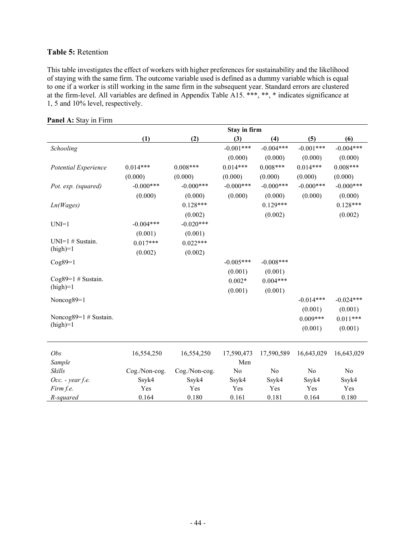#### Table 5: Retention

This table investigates the effect of workers with higher preferences for sustainability and the likelihood of staying with the same firm. The outcome variable used is defined as a dummy variable which is equal to one if a worker is still working in the same firm in the subsequent year. Standard errors are clustered at the firm-level. All variables are defined in Appendix Table A15. \*\*\*, \*\*, \* indicates significance at 1, 5 and 10% level, respectively.

|                          | Stay in firm  |               |             |             |             |             |  |  |  |
|--------------------------|---------------|---------------|-------------|-------------|-------------|-------------|--|--|--|
|                          | (1)           | (2)           | (3)         | (4)         | (5)         | (6)         |  |  |  |
| Schooling                |               |               | $-0.001***$ | $-0.004***$ | $-0.001***$ | $-0.004***$ |  |  |  |
|                          |               |               | (0.000)     | (0.000)     | (0.000)     | (0.000)     |  |  |  |
| Potential Experience     | $0.014***$    | $0.008***$    | $0.014***$  | $0.008***$  | $0.014***$  | $0.008***$  |  |  |  |
|                          | (0.000)       | (0.000)       | (0.000)     | (0.000)     | (0.000)     | (0.000)     |  |  |  |
| Pot. exp. (squared)      | $-0.000***$   | $-0.000***$   | $-0.000***$ | $-0.000***$ | $-0.000***$ | $-0.000***$ |  |  |  |
|                          | (0.000)       | (0.000)       | (0.000)     | (0.000)     | (0.000)     | (0.000)     |  |  |  |
| Ln(Wages)                |               | $0.128***$    |             | $0.129***$  |             | $0.128***$  |  |  |  |
|                          |               | (0.002)       |             | (0.002)     |             | (0.002)     |  |  |  |
| $UNI=1$                  | $-0.004***$   | $-0.020***$   |             |             |             |             |  |  |  |
|                          | (0.001)       | (0.001)       |             |             |             |             |  |  |  |
| UNI=1 # Sustain.         | $0.017***$    | $0.022***$    |             |             |             |             |  |  |  |
| $(high)=1$               | (0.002)       | (0.002)       |             |             |             |             |  |  |  |
| $Cog89=1$                |               |               | $-0.005***$ | $-0.008***$ |             |             |  |  |  |
|                          |               |               | (0.001)     | (0.001)     |             |             |  |  |  |
| Cog $89=1$ # Sustain.    |               |               | $0.002*$    | $0.004***$  |             |             |  |  |  |
| $(high)=1$               |               |               | (0.001)     | (0.001)     |             |             |  |  |  |
| Noncog89=1               |               |               |             |             | $-0.014***$ | $-0.024***$ |  |  |  |
|                          |               |               |             |             | (0.001)     | (0.001)     |  |  |  |
| Noncog $89=1$ # Sustain. |               |               |             |             | $0.009***$  | $0.011***$  |  |  |  |
| $(high)=1$               |               |               |             |             | (0.001)     | (0.001)     |  |  |  |
|                          |               |               |             |             |             |             |  |  |  |
|                          |               |               |             |             |             |             |  |  |  |
| Obs                      | 16,554,250    | 16,554,250    | 17,590,473  | 17,590,589  | 16,643,029  | 16,643,029  |  |  |  |
| Sample                   |               |               | Men         |             |             |             |  |  |  |
| Skills                   | Cog./Non-cog. | Cog./Non-cog. | No          | No          | No          | No          |  |  |  |
| Occ. - year f.e.         | Ssyk4         | Ssyk4         | Ssyk4       | Ssyk4       | Ssyk4       | Ssyk4       |  |  |  |
| Firm f.e.                | Yes           | Yes           | Yes         | Yes         | Yes         | Yes         |  |  |  |
| R-squared                | 0.164         | 0.180         | 0.161       | 0.181       | 0.164       | 0.180       |  |  |  |

Panel A: Stay in Firm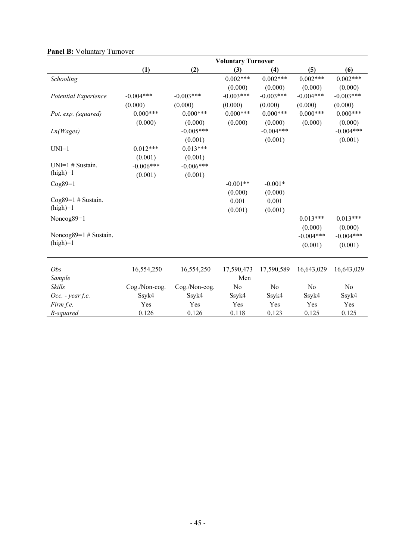|                          | <b>Voluntary Turnover</b> |               |             |             |             |             |  |  |  |
|--------------------------|---------------------------|---------------|-------------|-------------|-------------|-------------|--|--|--|
|                          | (1)                       | (2)           | (3)         | (4)         | (5)         | (6)         |  |  |  |
| Schooling                |                           |               | $0.002***$  | $0.002***$  | $0.002***$  | $0.002***$  |  |  |  |
|                          |                           |               | (0.000)     | (0.000)     | (0.000)     | (0.000)     |  |  |  |
| Potential Experience     | $-0.004***$               | $-0.003***$   | $-0.003***$ | $-0.003***$ | $-0.004***$ | $-0.003***$ |  |  |  |
|                          | (0.000)                   | (0.000)       | (0.000)     | (0.000)     | (0.000)     | (0.000)     |  |  |  |
| Pot. exp. (squared)      | $0.000***$                | $0.000***$    | $0.000***$  | $0.000***$  | $0.000***$  | $0.000***$  |  |  |  |
|                          | (0.000)                   | (0.000)       | (0.000)     | (0.000)     | (0.000)     | (0.000)     |  |  |  |
| Ln(Wages)                |                           | $-0.005***$   |             | $-0.004***$ |             | $-0.004***$ |  |  |  |
|                          |                           | (0.001)       |             | (0.001)     |             | (0.001)     |  |  |  |
| $UNI=1$                  | $0.012***$                | $0.013***$    |             |             |             |             |  |  |  |
|                          | (0.001)                   | (0.001)       |             |             |             |             |  |  |  |
| $UNI=1$ # Sustain.       | $-0.006***$               | $-0.006***$   |             |             |             |             |  |  |  |
| $(high)=1$               | (0.001)                   | (0.001)       |             |             |             |             |  |  |  |
| $Cog89=1$                |                           |               | $-0.001**$  | $-0.001*$   |             |             |  |  |  |
|                          |                           |               | (0.000)     | (0.000)     |             |             |  |  |  |
| Cog $89=1$ # Sustain.    |                           |               | 0.001       | 0.001       |             |             |  |  |  |
| $(high)=1$               |                           |               | (0.001)     | (0.001)     |             |             |  |  |  |
| Noncog89=1               |                           |               |             |             | $0.013***$  | $0.013***$  |  |  |  |
|                          |                           |               |             |             | (0.000)     | (0.000)     |  |  |  |
| Noncog $89=1$ # Sustain. |                           |               |             |             | $-0.004***$ | $-0.004***$ |  |  |  |
| $(high)=1$               |                           |               |             |             | (0.001)     | (0.001)     |  |  |  |
|                          |                           |               |             |             |             |             |  |  |  |
| Obs                      | 16,554,250                | 16,554,250    | 17,590,473  | 17,590,589  | 16,643,029  | 16,643,029  |  |  |  |
| Sample                   |                           |               | Men         |             |             |             |  |  |  |
| Skills                   | Cog./Non-cog.             | Cog./Non-cog. | No          | No          | No          | No          |  |  |  |
| $Occ.$ - year f.e.       | Ssyk4                     | Ssyk4         | Ssyk4       | Ssyk4       | Ssyk4       | Ssyk4       |  |  |  |
| Firm f.e.                | Yes                       | Yes           | Yes         | Yes         | Yes         | Yes         |  |  |  |
| R-squared                | 0.126                     | 0.126         | 0.118       | 0.123       | 0.125       | 0.125       |  |  |  |

#### Panel B: Voluntary Turnover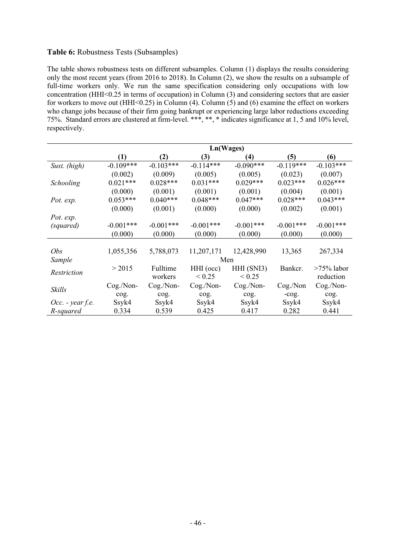#### Table 6: Robustness Tests (Subsamples)

The table shows robustness tests on different subsamples. Column (1) displays the results considering only the most recent years (from 2016 to 2018). In Column (2), we show the results on a subsample of full-time workers only. We run the same specification considering only occupations with low concentration (HHI<0.25 in terms of occupation) in Column (3) and considering sectors that are easier for workers to move out (HHI<0.25) in Column (4). Column (5) and (6) examine the effect on workers who change jobs because of their firm going bankrupt or experiencing large labor reductions exceeding 75%. Standard errors are clustered at firm-level. \*\*\*, \*\*, \* indicates significance at 1, 5 and 10% level, respectively.

|                    | Ln(Wages)        |             |             |             |             |               |  |
|--------------------|------------------|-------------|-------------|-------------|-------------|---------------|--|
|                    | $\left(1\right)$ | (2)         | (3)         | (4)         | (5)         | (6)           |  |
| Sust. (high)       | $-0.109***$      | $-0.103***$ | $-0.114***$ | $-0.090***$ | $-0.119***$ | $-0.103***$   |  |
|                    | (0.002)          | (0.009)     | (0.005)     | (0.005)     | (0.023)     | (0.007)       |  |
| Schooling          | $0.021***$       | $0.028***$  | $0.031***$  | $0.029***$  | $0.023***$  | $0.026***$    |  |
|                    | (0.000)          | (0.001)     | (0.001)     | (0.001)     | (0.004)     | (0.001)       |  |
| Pot. exp.          | $0.053***$       | $0.040***$  | $0.048***$  | $0.047***$  | $0.028***$  | $0.043***$    |  |
|                    | (0.000)          | (0.001)     | (0.000)     | (0.000)     | (0.002)     | (0.001)       |  |
| Pot. exp.          |                  |             |             |             |             |               |  |
| (squared)          | $-0.001***$      | $-0.001***$ | $-0.001***$ | $-0.001***$ | $-0.001***$ | $-0.001***$   |  |
|                    | (0.000)          | (0.000)     | (0.000)     | (0.000)     | (0.000)     | (0.000)       |  |
|                    |                  |             |             |             |             |               |  |
| <i>Obs</i>         | 1,055,356        | 5,788,073   | 11,207,171  | 12,428,990  | 13,365      | 267,334       |  |
| Sample             |                  |             |             | Men         |             |               |  |
| Restriction        | > 2015           | Fulltime    | HHI (occ)   | HHI (SNI3)  | Bankcr.     | $>75\%$ labor |  |
|                    |                  | workers     | ${}< 0.25$  | < 0.25      |             | reduction     |  |
| Skills             | Cog./Non-        | Cog./Non-   | Cog./Non-   | Cog./Non-   | Cog./Non    | Cog./Non-     |  |
|                    | cog.             | cog.        | cog.        | cog.        | $-cog.$     | cog.          |  |
| $Occ.$ - year f.e. | Ssyk4            | Ssyk4       | Ssyk4       | Ssyk4       | Ssyk4       | Ssyk4         |  |
| R-squared          | 0.334            | 0.539       | 0.425       | 0.417       | 0.282       | 0.441         |  |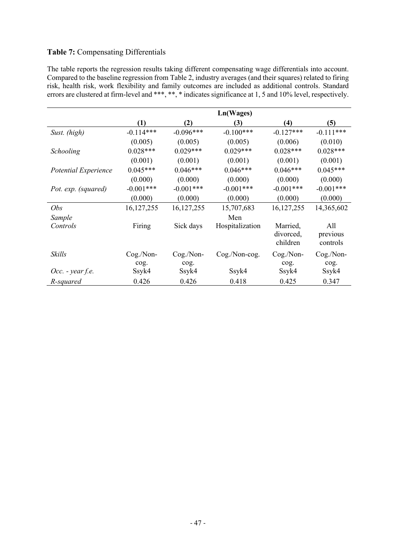### Table 7: Compensating Differentials

The table reports the regression results taking different compensating wage differentials into account. Compared to the baseline regression from Table 2, industry averages (and their squares) related to firing risk, health risk, work flexibility and family outcomes are included as additional controls. Standard errors are clustered at firm-level and \*\*\*, \*\*, \* indicates significance at 1, 5 and 10% level, respectively.

|                      |                  |              | Ln(Wages)         |                                   |                             |
|----------------------|------------------|--------------|-------------------|-----------------------------------|-----------------------------|
|                      | $\left(1\right)$ | (2)          | (3)               | (4)                               | (5)                         |
| Sust. (high)         | $-0.114***$      | $-0.096***$  | $-0.100***$       | $-0.127***$                       | $-0.111***$                 |
|                      | (0.005)          | (0.005)      | (0.005)           | (0.006)                           | (0.010)                     |
| Schooling            | $0.028***$       | $0.029***$   | $0.029***$        | $0.028***$                        | $0.028***$                  |
|                      | (0.001)          | (0.001)      | (0.001)           | (0.001)                           | (0.001)                     |
| Potential Experience | $0.045***$       | $0.046***$   | $0.046***$        | $0.046***$                        | $0.045***$                  |
|                      | (0.000)          | (0.000)      | (0.000)           | (0.000)                           | (0.000)                     |
| Pot. exp. (squared)  | $-0.001***$      | $-0.001***$  | $-0.001***$       | $-0.001***$                       | $-0.001***$                 |
|                      | (0.000)          | (0.000)      | (0.000)           | (0.000)                           | (0.000)                     |
| Obs                  | 16, 127, 255     | 16, 127, 255 | 15,707,683        | 16, 127, 255                      | 14,365,602                  |
| Sample               |                  |              | Men               |                                   |                             |
| Controls             | Firing           | Sick days    | Hospitalization   | Married,<br>divorced,<br>children | All<br>previous<br>controls |
| Skills               | Cog./Non-        | Cog./Non-    | $Cog. / Non-cog.$ | Cog./Non-                         | Cog./Non-                   |
|                      | cog.             | cog.         |                   | cog.                              | cog.                        |
| $Occ.$ - year f.e.   | Ssyk4            | Ssyk4        | Ssyk4             | Ssyk4                             | Ssyk4                       |
| R-squared            | 0.426            | 0.426        | 0.418             | 0.425                             | 0.347                       |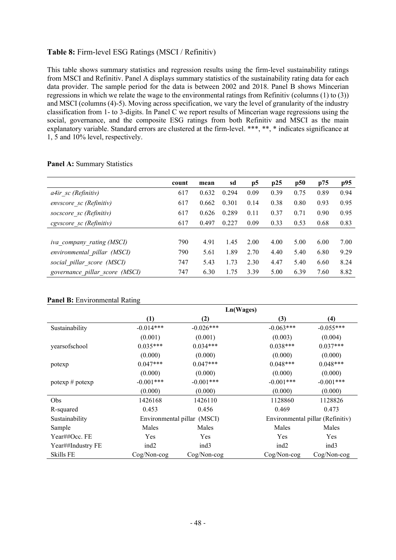#### Table 8: Firm-level ESG Ratings (MSCI / Refinitiv)

This table shows summary statistics and regression results using the firm-level sustainability ratings from MSCI and Refinitiv. Panel A displays summary statistics of the sustainability rating data for each data provider. The sample period for the data is between 2002 and 2018. Panel B shows Mincerian regressions in which we relate the wage to the environmental ratings from Refinitiv (columns (1) to (3)) and MSCI (columns (4)-5). Moving across specification, we vary the level of granularity of the industry classification from 1- to 3-digits. In Panel C we report results of Mincerian wage regressions using the social, governance, and the composite ESG ratings from both Refinitiv and MSCI as the main explanatory variable. Standard errors are clustered at the firm-level. \*\*\*, \*\*, \* indicates significance at 1, 5 and 10% level, respectively.

#### Panel A: Summary Statistics

|                                | count | mean  | sd    | p5   | p25  | p50  | p75  | p95  |
|--------------------------------|-------|-------|-------|------|------|------|------|------|
| a4ir sc (Refinitiv)            | 617   | 0.632 | 0.294 | 0.09 | 0.39 | 0.75 | 0.89 | 0.94 |
| envscore sc (Refinitiv)        | 617   | 0.662 | 0.301 | 0.14 | 0.38 | 0.80 | 0.93 | 0.95 |
| socscore sc (Refinitiv)        | 617   | 0.626 | 0.289 | 0.11 | 0.37 | 0.71 | 0.90 | 0.95 |
| cgyscore sc (Refinitiv)        | 617   | 0.497 | 0.227 | 0.09 | 0.33 | 0.53 | 0.68 | 0.83 |
|                                |       |       |       |      |      |      |      |      |
| iva_company_rating (MSCI)      | 790   | 4.91  | 1.45  | 2.00 | 4.00 | 5.00 | 6.00 | 7.00 |
| environmental pillar (MSCI)    | 790   | 5.61  | 1.89  | 2.70 | 4.40 | 5.40 | 6.80 | 9.29 |
| social pillar score (MSCI)     | 747   | 5.43  | 1.73  | 2.30 | 4.47 | 5.40 | 6.60 | 8.24 |
| governance pillar score (MSCI) | 747   | 6.30  | 1.75  | 3.39 | 5.00 | 6.39 | 7.60 | 8.82 |

#### Panel B: Environmental Rating

|                   | Ln(Wages)        |                             |                  |                                  |  |  |
|-------------------|------------------|-----------------------------|------------------|----------------------------------|--|--|
|                   | $\left(1\right)$ | (2)                         | (3)              | (4)                              |  |  |
| Sustainability    | $-0.014***$      | $-0.026***$                 | $-0.063***$      | $-0.055***$                      |  |  |
|                   | (0.001)          | (0.001)                     | (0.003)          | (0.004)                          |  |  |
| yearsofschool     | $0.035***$       | $0.034***$                  | $0.038***$       | $0.037***$                       |  |  |
|                   | (0.000)          | (0.000)                     | (0.000)          | (0.000)                          |  |  |
| potexp            | $0.047***$       | $0.047***$                  | $0.048***$       | $0.048***$                       |  |  |
|                   | (0.000)          | (0.000)                     | (0.000)          | (0.000)                          |  |  |
| potexp # potexp   | $-0.001***$      | $-0.001$ ***                | $-0.001$ ***     | $-0.001$ ***                     |  |  |
|                   | (0.000)          | (0.000)                     | (0.000)          | (0.000)                          |  |  |
| Obs               | 1426168          | 1426110                     | 1128860          | 1128826                          |  |  |
| R-squared         | 0.453            | 0.456                       | 0.469            | 0.473                            |  |  |
| Sustainability    |                  | Environmental pillar (MSCI) |                  | Environmental pillar (Refinitiv) |  |  |
| Sample            | Males            | Males                       | Males            | Males                            |  |  |
| Year##Occ. FE     | Yes              | Yes                         | Yes              | Yes                              |  |  |
| Year##Industry FE | ind <sub>2</sub> | ind <sub>3</sub>            | ind <sub>2</sub> | ind <sub>3</sub>                 |  |  |
| <b>Skills FE</b>  | $Cog/Non-cog$    | $Cog/Non-cog$               | $Cog/Non-cog$    | $Cog/Non-cog$                    |  |  |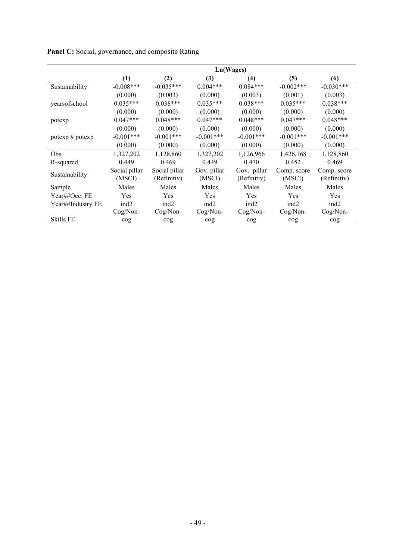|                   | Ln(Wages)               |                              |                       |                            |                       |                            |  |
|-------------------|-------------------------|------------------------------|-----------------------|----------------------------|-----------------------|----------------------------|--|
|                   | (1)                     | (2)                          | (3)                   | (4)                        | (5)                   | (6)                        |  |
| Sustainability    | $-0.008***$             | $-0.035***$                  | $0.004***$            | $0.084***$                 | $-0.002***$           | $-0.030***$                |  |
|                   | (0.000)                 | (0.003)                      | (0.000)               | (0.003)                    | (0.001)               | (0.003)                    |  |
| yearsofschool     | $0.035***$              | $0.038***$                   | $0.035***$            | $0.038***$                 | $0.035***$            | $0.038***$                 |  |
|                   | (0.000)                 | (0.000)                      | (0.000)               | (0.000)                    | (0.000)               | (0.000)                    |  |
| potexp            | $0.047***$              | $0.048***$                   | $0.047***$            | $0.048***$                 | $0.047***$            | $0.048***$                 |  |
|                   | (0.000)                 | (0.000)                      | (0.000)               | (0.000)                    | (0.000)               | (0.000)                    |  |
| potexp # potexp   | $-0.001***$             | $-0.001***$                  | $-0.001***$           | $-0.001$ ***               | $-0.001***$           | $-0.001***$                |  |
|                   | (0.000)                 | (0.000)                      | (0.000)               | (0.000)                    | (0.000)               | (0.000)                    |  |
| Obs               | 1,327,202               | 1,128,860                    | 1,327,202             | 1,126,966                  | 1,426,168             | 1,128,860                  |  |
| R-squared         | 0.449                   | 0.469                        | 0.449                 | 0.470                      | 0.452                 | 0.469                      |  |
| Sustainability    | Social pillar<br>(MSCI) | Social pillar<br>(Refinitiv) | Gov. pillar<br>(MSCI) | Gov. pillar<br>(Refinitiv) | Comp. score<br>(MSCI) | Comp. score<br>(Refinitiv) |  |
| Sample            | Males                   | Males                        | Males                 | Males                      | Males                 | Males                      |  |
| Year##Occ. FE     | Yes                     | Yes                          | Yes                   | Yes                        | Yes                   | Yes                        |  |
| Year##Industry FE | ind <sub>2</sub>        | ind <sub>2</sub>             | ind <sub>2</sub>      | ind <sub>2</sub>           | ind <sub>2</sub>      | ind <sub>2</sub>           |  |
|                   | Cog/Non-                | $Cog/Non-$                   | Cog/Non-              | Cog/Non-                   | Cog/Non-              | Cog/Non-                   |  |
| <b>Skills FE</b>  | cog                     | cog                          | $\cos$                | cog                        | cog                   | cog                        |  |

Panel C: Social, governance, and composite Rating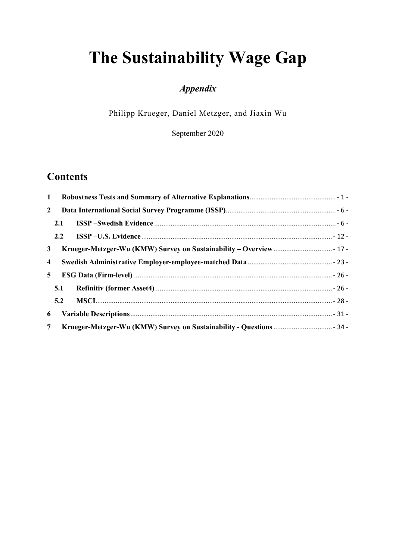# The Sustainability Wage Gap

# Appendix

Philipp Krueger, Daniel Metzger, and Jiaxin Wu

September 2020

# **Contents**

| $\mathbf{1}$            |     |  |
|-------------------------|-----|--|
| $\mathbf{2}$            |     |  |
|                         | 2.1 |  |
|                         | 2.2 |  |
| 3 <sup>7</sup>          |     |  |
| $\overline{\mathbf{4}}$ |     |  |
| 5 <sup>5</sup>          |     |  |
|                         | 5.1 |  |
|                         | 5.2 |  |
| 6                       |     |  |
| 7 <sup>7</sup>          |     |  |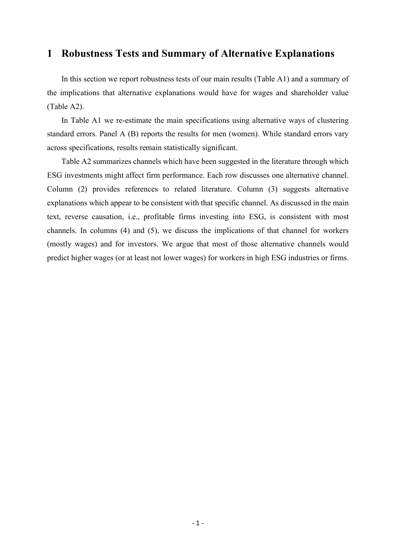### 1 Robustness Tests and Summary of Alternative Explanations

In this section we report robustness tests of our main results (Table A1) and a summary of the implications that alternative explanations would have for wages and shareholder value (Table A2).

In Table A1 we re-estimate the main specifications using alternative ways of clustering standard errors. Panel A (B) reports the results for men (women). While standard errors vary across specifications, results remain statistically significant.

Table A2 summarizes channels which have been suggested in the literature through which ESG investments might affect firm performance. Each row discusses one alternative channel. Column (2) provides references to related literature. Column (3) suggests alternative explanations which appear to be consistent with that specific channel. As discussed in the main text, reverse causation, i.e., profitable firms investing into ESG, is consistent with most channels. In columns (4) and (5), we discuss the implications of that channel for workers (mostly wages) and for investors. We argue that most of those alternative channels would predict higher wages (or at least not lower wages) for workers in high ESG industries or firms.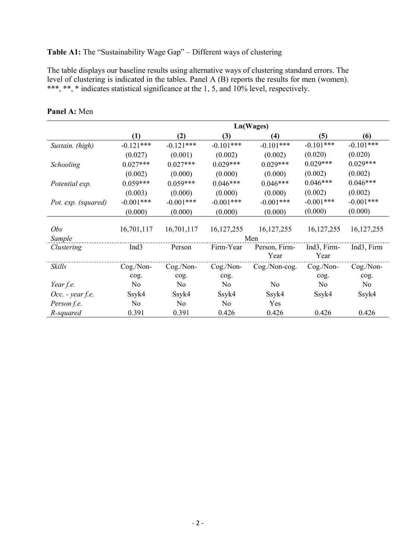### Table A1: The "Sustainability Wage Gap" – Different ways of clustering

The table displays our baseline results using alternative ways of clustering standard errors. The level of clustering is indicated in the tables. Panel A (B) reports the results for men (women). \*\*\*, \*\*, \* indicates statistical significance at the 1, 5, and 10% level, respectively.

|                     | $\left(1\right)$ | (2)         | (3)                                                                                                                                                                                                                                                 | (4)           | (5)                              | (6)                     |
|---------------------|------------------|-------------|-----------------------------------------------------------------------------------------------------------------------------------------------------------------------------------------------------------------------------------------------------|---------------|----------------------------------|-------------------------|
| Sustain. (high)     | $-0.121***$      | $-0.121***$ | $-0.101***$                                                                                                                                                                                                                                         | $-0.101***$   | $-0.101***$                      | $-0.101***$             |
|                     | (0.027)          | (0.001)     | (0.002)                                                                                                                                                                                                                                             | (0.002)       | (0.020)                          | (0.020)                 |
| Schooling           | $0.027***$       | $0.027***$  | $0.029***$                                                                                                                                                                                                                                          | $0.029***$    | $0.029***$                       | $0.029***$              |
|                     | (0.002)          | (0.000)     | (0.000)                                                                                                                                                                                                                                             | (0.000)       | (0.002)                          | (0.002)                 |
| Potential exp.      | $0.059***$       | $0.059***$  | Ln(Wages)<br>$0.046***$<br>$0.046***$<br>(0.000)<br>(0.000)<br>$-0.001***$<br>$-0.001***$<br>(0.000)<br>(0.000)<br>16, 127, 255<br>Men<br>Firm-Year<br>Year<br>Cog./Non-<br>cog.<br>No<br>N <sub>o</sub><br>Ssyk4<br>Ssyk4<br>N <sub>o</sub><br>Yes |               | $0.046***$                       | $0.046***$              |
|                     | (0.003)          | (0.000)     |                                                                                                                                                                                                                                                     |               | (0.002)                          | (0.002)                 |
| Pot. exp. (squared) | $-0.001***$      | $-0.001***$ |                                                                                                                                                                                                                                                     |               | $-0.001***$                      | $-0.001***$             |
|                     | (0.000)          | (0.000)     |                                                                                                                                                                                                                                                     |               | (0.000)                          | (0.000)                 |
| Obs                 | 16,701,117       | 16,701,117  |                                                                                                                                                                                                                                                     | 16, 127, 255  | 16, 127, 255                     | 16, 127, 255            |
| Sample              |                  |             |                                                                                                                                                                                                                                                     |               |                                  |                         |
| Clustering          | Ind <sub>3</sub> | Person      |                                                                                                                                                                                                                                                     | Person, Firm- | Ind <sub>3</sub> , Firm-<br>Year | Ind <sub>3</sub> , Firm |
| Skills              | Cog./Non-        | Cog./Non-   |                                                                                                                                                                                                                                                     | Cog./Non-cog. | Cog./Non-                        | Cog./Non-               |
|                     | cog.             | cog.        |                                                                                                                                                                                                                                                     |               | cog.                             | cog.                    |
| Year f.e.           | No               | No          |                                                                                                                                                                                                                                                     |               | No                               | No                      |
| $Occ.$ - year f.e.  | Ssyk4            | Ssyk4       |                                                                                                                                                                                                                                                     |               | Ssyk4                            | Ssyk4                   |
| Person f.e.         | No               | No          |                                                                                                                                                                                                                                                     |               |                                  |                         |
| R-squared           | 0.391            | 0.391       | 0.426                                                                                                                                                                                                                                               | 0.426         | 0.426                            | 0.426                   |

#### Panel A: Men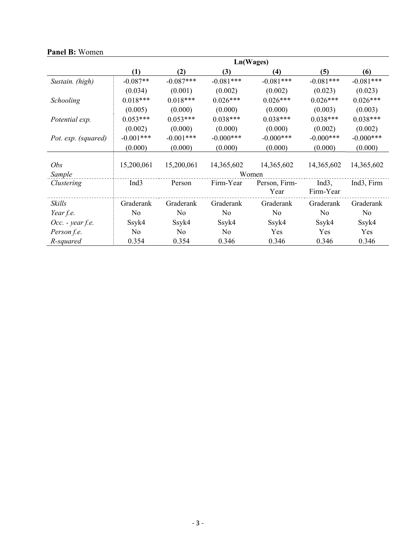|                      | (1)              | (2)                                                                                                                                                                                                                                               | (3)         | (4)                                                                                                       | (5)         | (6)                                                                                                                                                                                   |
|----------------------|------------------|---------------------------------------------------------------------------------------------------------------------------------------------------------------------------------------------------------------------------------------------------|-------------|-----------------------------------------------------------------------------------------------------------|-------------|---------------------------------------------------------------------------------------------------------------------------------------------------------------------------------------|
| Sustain. (high)      | $-0.087**$       | $-0.087***$                                                                                                                                                                                                                                       | $-0.081***$ | $-0.081***$                                                                                               | $-0.081***$ | $-0.081***$                                                                                                                                                                           |
|                      | (0.034)          | (0.001)                                                                                                                                                                                                                                           | (0.002)     | (0.002)                                                                                                   | (0.023)     | (0.023)<br>$0.026***$<br>(0.003)<br>$0.038***$<br>(0.002)<br>$-0.000$ ***<br>(0.000)<br>14,365,602<br>Ind <sub>3</sub> , Firm<br>Graderank<br>N <sub>o</sub><br>Ssyk4<br>Yes<br>0.346 |
| Schooling            | $0.018***$       | $0.018***$                                                                                                                                                                                                                                        | $0.026***$  | $0.026***$                                                                                                | $0.026***$  |                                                                                                                                                                                       |
|                      | (0.005)          | (0.000)                                                                                                                                                                                                                                           | (0.000)     | (0.000)                                                                                                   | (0.003)     |                                                                                                                                                                                       |
| Potential exp.       | $0.053***$       | $0.053***$                                                                                                                                                                                                                                        | $0.038***$  | $0.038***$                                                                                                | $0.038***$  |                                                                                                                                                                                       |
|                      | (0.002)          | Ln(Wages)<br>(0.000)<br>(0.000)<br>$-0.001***$<br>$-0.000***$<br>(0.000)<br>(0.000)<br>15,200,061<br>14,365,602<br>Women<br>Firm-Year<br>Person<br>Graderank<br>Graderank<br>No<br>No<br>Ssyk4<br>Ssyk4<br>No<br>N <sub>o</sub><br>0.346<br>0.354 | (0.000)     | (0.002)                                                                                                   |             |                                                                                                                                                                                       |
| Pot. exp. (squared)  | $-0.001***$      |                                                                                                                                                                                                                                                   |             | $-0.000$ ***                                                                                              | $-0.000***$ |                                                                                                                                                                                       |
|                      | (0.000)          | No<br>No                                                                                                                                                                                                                                          | (0.000)     | (0.000)                                                                                                   |             |                                                                                                                                                                                       |
|                      |                  |                                                                                                                                                                                                                                                   |             |                                                                                                           |             |                                                                                                                                                                                       |
| Obs                  | 15,200,061       |                                                                                                                                                                                                                                                   |             | 14,365,602                                                                                                | 14,365,602  |                                                                                                                                                                                       |
| Sample               |                  |                                                                                                                                                                                                                                                   |             |                                                                                                           |             |                                                                                                                                                                                       |
| Clustering           | Ind <sub>3</sub> |                                                                                                                                                                                                                                                   |             | Person, Firm-                                                                                             | Ind $3$ ,   |                                                                                                                                                                                       |
|                      |                  |                                                                                                                                                                                                                                                   |             | Firm-Year<br>Year<br>Graderank<br>Graderank<br>No<br>No<br>Ssyk4<br>Ssyk4<br>Yes<br>Yes<br>0.346<br>0.346 |             |                                                                                                                                                                                       |
| Skills               | Graderank        |                                                                                                                                                                                                                                                   |             |                                                                                                           |             |                                                                                                                                                                                       |
| Year f.e.            |                  |                                                                                                                                                                                                                                                   |             |                                                                                                           |             |                                                                                                                                                                                       |
| $Occ.$ - year $f.e.$ | Ssyk4            |                                                                                                                                                                                                                                                   |             |                                                                                                           |             |                                                                                                                                                                                       |
| Person f.e.          |                  |                                                                                                                                                                                                                                                   |             |                                                                                                           |             |                                                                                                                                                                                       |
| R-squared            | 0.354            |                                                                                                                                                                                                                                                   |             |                                                                                                           |             |                                                                                                                                                                                       |

### Panel B: Women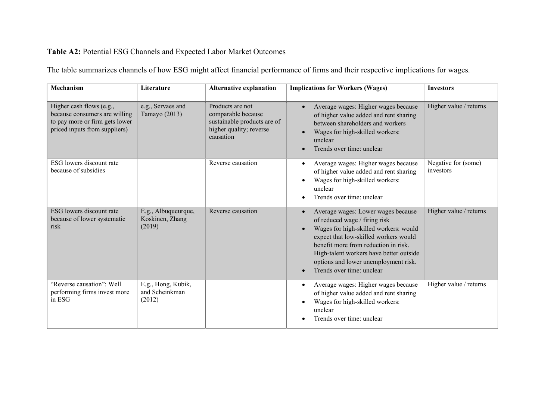# Table A2: Potential ESG Channels and Expected Labor Market Outcomes

| The table summarizes channels of how ESG might affect financial performance of firms and their respective implications for wages. |  |  |  |
|-----------------------------------------------------------------------------------------------------------------------------------|--|--|--|
|                                                                                                                                   |  |  |  |

| Mechanism                                                                                                                    | Literature                                       | <b>Alternative explanation</b>                                                                                | <b>Implications for Workers (Wages)</b>                                                                                                                                                                                                                                                                                    | <b>Investors</b>                 |
|------------------------------------------------------------------------------------------------------------------------------|--------------------------------------------------|---------------------------------------------------------------------------------------------------------------|----------------------------------------------------------------------------------------------------------------------------------------------------------------------------------------------------------------------------------------------------------------------------------------------------------------------------|----------------------------------|
| Higher cash flows (e.g.,<br>because consumers are willing<br>to pay more or firm gets lower<br>priced inputs from suppliers) | e.g., Servaes and<br>Tamayo (2013)               | Products are not<br>comparable because<br>sustainable products are of<br>higher quality; reverse<br>causation | Average wages: Higher wages because<br>of higher value added and rent sharing<br>between shareholders and workers<br>Wages for high-skilled workers:<br>$\bullet$<br>unclear<br>Trends over time: unclear                                                                                                                  | Higher value / returns           |
| ESG lowers discount rate<br>because of subsidies                                                                             |                                                  | Reverse causation                                                                                             | Average wages: Higher wages because<br>$\bullet$<br>of higher value added and rent sharing<br>Wages for high-skilled workers:<br>unclear<br>Trends over time: unclear                                                                                                                                                      | Negative for (some)<br>investors |
| ESG lowers discount rate<br>because of lower systematic<br>risk                                                              | E.g., Albuqueurque,<br>Koskinen, Zhang<br>(2019) | Reverse causation                                                                                             | Average wages: Lower wages because<br>$\bullet$<br>of reduced wage / firing risk<br>Wages for high-skilled workers: would<br>expect that low-skilled workers would<br>benefit more from reduction in risk.<br>High-talent workers have better outside<br>options and lower unemployment risk.<br>Trends over time: unclear | Higher value / returns           |
| "Reverse causation": Well<br>performing firms invest more<br>in ESG                                                          | E.g., Hong, Kubik,<br>and Scheinkman<br>(2012)   |                                                                                                               | Average wages: Higher wages because<br>$\bullet$<br>of higher value added and rent sharing<br>Wages for high-skilled workers:<br>unclear<br>Trends over time: unclear                                                                                                                                                      | Higher value / returns           |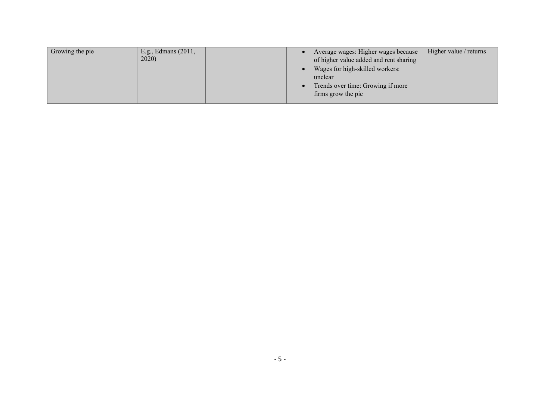| Growing the pie | E.g., Edmans (2011,<br>2020) | Average wages: Higher wages because<br>of higher value added and rent sharing                         | Higher value / returns |
|-----------------|------------------------------|-------------------------------------------------------------------------------------------------------|------------------------|
|                 |                              | Wages for high-skilled workers:<br>unclear<br>Trends over time: Growing if more<br>firms grow the pie |                        |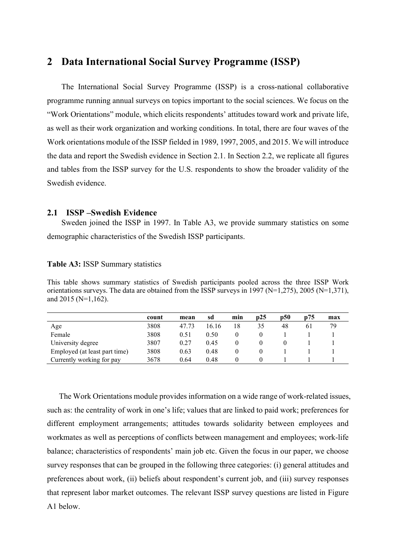### 2 Data International Social Survey Programme (ISSP)

The International Social Survey Programme (ISSP) is a cross-national collaborative programme running annual surveys on topics important to the social sciences. We focus on the "Work Orientations" module, which elicits respondents' attitudes toward work and private life, as well as their work organization and working conditions. In total, there are four waves of the Work orientations module of the ISSP fielded in 1989, 1997, 2005, and 2015. We will introduce the data and report the Swedish evidence in Section 2.1. In Section 2.2, we replicate all figures and tables from the ISSP survey for the U.S. respondents to show the broader validity of the Swedish evidence.

#### 2.1 ISSP –Swedish Evidence

Sweden joined the ISSP in 1997. In Table A3, we provide summary statistics on some demographic characteristics of the Swedish ISSP participants.

#### Table A3: ISSP Summary statistics

This table shows summary statistics of Swedish participants pooled across the three ISSP Work orientations surveys. The data are obtained from the ISSP surveys in 1997 (N=1,275), 2005 (N=1,371), and 2015 (N=1,162).

|                               | count | mean  | sd    | min | p25 | <b>p50</b> | p75 | max |
|-------------------------------|-------|-------|-------|-----|-----|------------|-----|-----|
| Age                           | 3808  | 47.73 | 16.16 | 18  |     | 48         |     | 79  |
| Female                        | 3808  | 0.51  | 0.50  |     |     |            |     |     |
| University degree             | 3807  | 0.27  | 0.45  |     |     |            |     |     |
| Employed (at least part time) | 3808  | 0.63  | 0.48  |     |     |            |     |     |
| Currently working for pay     | 3678  | 0.64  | 0.48  |     |     |            |     |     |

The Work Orientations module provides information on a wide range of work-related issues, such as: the centrality of work in one's life; values that are linked to paid work; preferences for different employment arrangements; attitudes towards solidarity between employees and workmates as well as perceptions of conflicts between management and employees; work-life balance; characteristics of respondents' main job etc. Given the focus in our paper, we choose survey responses that can be grouped in the following three categories: (i) general attitudes and preferences about work, (ii) beliefs about respondent's current job, and (iii) survey responses that represent labor market outcomes. The relevant ISSP survey questions are listed in Figure A1 below.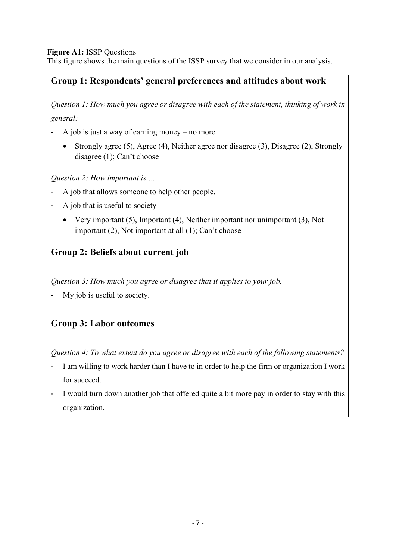#### Figure A1: ISSP Questions

This figure shows the main questions of the ISSP survey that we consider in our analysis.

# Group 1: Respondents' general preferences and attitudes about work

Question 1: How much you agree or disagree with each of the statement, thinking of work in general:

- A job is just a way of earning money no more
	- Strongly agree (5), Agree (4), Neither agree nor disagree (3), Disagree (2), Strongly disagree (1); Can't choose

Question 2: How important is …

- A job that allows someone to help other people.
- A job that is useful to society
	- Very important (5), Important (4), Neither important nor unimportant (3), Not important (2), Not important at all (1); Can't choose

# Group 2: Beliefs about current job

Question 3: How much you agree or disagree that it applies to your job.

My job is useful to society.

# Group 3: Labor outcomes

Question 4: To what extent do you agree or disagree with each of the following statements?

- I am willing to work harder than I have to in order to help the firm or organization I work for succeed.
- I would turn down another job that offered quite a bit more pay in order to stay with this organization.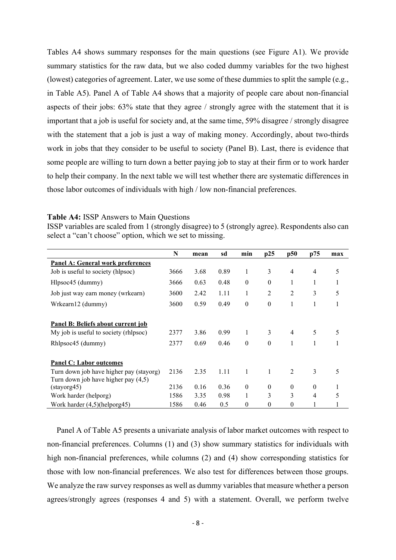Tables A4 shows summary responses for the main questions (see Figure A1). We provide summary statistics for the raw data, but we also coded dummy variables for the two highest (lowest) categories of agreement. Later, we use some of these dummies to split the sample (e.g., in Table A5). Panel A of Table A4 shows that a majority of people care about non-financial aspects of their jobs: 63% state that they agree / strongly agree with the statement that it is important that a job is useful for society and, at the same time, 59% disagree / strongly disagree with the statement that a job is just a way of making money. Accordingly, about two-thirds work in jobs that they consider to be useful to society (Panel B). Last, there is evidence that some people are willing to turn down a better paying job to stay at their firm or to work harder to help their company. In the next table we will test whether there are systematic differences in those labor outcomes of individuals with high / low non-financial preferences.

#### Table A4: ISSP Answers to Main Questions

ISSP variables are scaled from 1 (strongly disagree) to 5 (strongly agree). Respondents also can select a "can't choose" option, which we set to missing.

|                                         | N    | mean | sd   | min              | p25            | p50            | p75            | max |
|-----------------------------------------|------|------|------|------------------|----------------|----------------|----------------|-----|
| Panel A: General work preferences       |      |      |      |                  |                |                |                |     |
| Job is useful to society (hlpsoc)       | 3666 | 3.68 | 0.89 | 1                | 3              | $\overline{4}$ | $\overline{4}$ | 5   |
| Hlpsoc45 (dummy)                        | 3666 | 0.63 | 0.48 | $\boldsymbol{0}$ | $\mathbf{0}$   | 1              | 1              |     |
| Job just way earn money (wrkearn)       | 3600 | 2.42 | 1.11 | $\mathbf{1}$     | $\overline{2}$ | $\overline{2}$ | 3              | 5   |
| Wrkearn12 (dummy)                       | 3600 | 0.59 | 0.49 | $\boldsymbol{0}$ | $\theta$       | 1              | 1              |     |
|                                         |      |      |      |                  |                |                |                |     |
| Panel B: Beliefs about current job      |      |      |      |                  |                |                |                |     |
| My job is useful to society (rhlpsoc)   | 2377 | 3.86 | 0.99 | $\mathbf{1}$     | 3              | $\overline{4}$ | 5              | 5   |
| Rhlpsoc45 (dummy)                       | 2377 | 0.69 | 0.46 | $\theta$         | $\theta$       | 1              | 1              |     |
|                                         |      |      |      |                  |                |                |                |     |
| <b>Panel C: Labor outcomes</b>          |      |      |      |                  |                |                |                |     |
| Turn down job have higher pay (stayorg) | 2136 | 2.35 | 1.11 | 1                | 1              | $\overline{2}$ | 3              | 5   |
| Turn down job have higher pay (4,5)     |      |      |      |                  |                |                |                |     |
| (stayorg45)                             | 2136 | 0.16 | 0.36 | $\mathbf{0}$     | $\mathbf{0}$   | $\mathbf{0}$   | $\theta$       | 1   |
| Work harder (helporg)                   | 1586 | 3.35 | 0.98 | 1                | 3              | 3              | $\overline{4}$ | 5   |
| Work harder $(4,5)$ (helporg45)         | 1586 | 0.46 | 0.5  | $\mathbf{0}$     | $\mathbf{0}$   | $\mathbf{0}$   | 1              |     |

Panel A of Table A5 presents a univariate analysis of labor market outcomes with respect to non-financial preferences. Columns (1) and (3) show summary statistics for individuals with high non-financial preferences, while columns (2) and (4) show corresponding statistics for those with low non-financial preferences. We also test for differences between those groups. We analyze the raw survey responses as well as dummy variables that measure whether a person agrees/strongly agrees (responses 4 and 5) with a statement. Overall, we perform twelve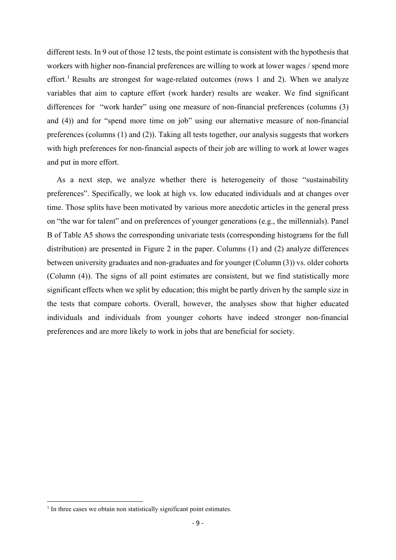different tests. In 9 out of those 12 tests, the point estimate is consistent with the hypothesis that workers with higher non-financial preferences are willing to work at lower wages / spend more effort.<sup>1</sup> Results are strongest for wage-related outcomes (rows 1 and 2). When we analyze variables that aim to capture effort (work harder) results are weaker. We find significant differences for "work harder" using one measure of non-financial preferences (columns (3) and (4)) and for "spend more time on job" using our alternative measure of non-financial preferences (columns (1) and (2)). Taking all tests together, our analysis suggests that workers with high preferences for non-financial aspects of their job are willing to work at lower wages and put in more effort.

As a next step, we analyze whether there is heterogeneity of those "sustainability preferences". Specifically, we look at high vs. low educated individuals and at changes over time. Those splits have been motivated by various more anecdotic articles in the general press on "the war for talent" and on preferences of younger generations (e.g., the millennials). Panel B of Table A5 shows the corresponding univariate tests (corresponding histograms for the full distribution) are presented in Figure 2 in the paper. Columns (1) and (2) analyze differences between university graduates and non-graduates and for younger (Column (3)) vs. older cohorts (Column (4)). The signs of all point estimates are consistent, but we find statistically more significant effects when we split by education; this might be partly driven by the sample size in the tests that compare cohorts. Overall, however, the analyses show that higher educated individuals and individuals from younger cohorts have indeed stronger non-financial preferences and are more likely to work in jobs that are beneficial for society.

<sup>&</sup>lt;sup>1</sup> In three cases we obtain non statistically significant point estimates.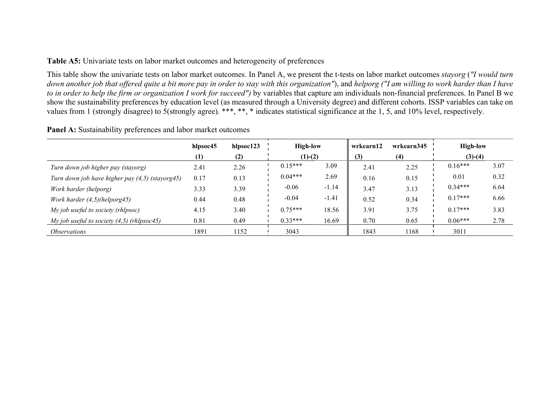#### Table A5: Univariate tests on labor market outcomes and heterogeneity of preferences

This table show the univariate tests on labor market outcomes. In Panel A, we present the t-tests on labor market outcomes stayorg ("I would turn down another job that offered quite a bit more pay in order to stay with this organization"), and helporg ("I am willing to work harder than I have to in order to help the firm or organization I work for succeed") by variables that capture am individuals non-financial preferences. In Panel B we show the sustainability preferences by education level (as measured through a University degree) and different cohorts. ISSP variables can take on values from 1 (strongly disagree) to 5(strongly agree). \*\*\*, \*\*, \* indicates statistical significance at the 1, 5, and 10% level, respectively.

Panel A: Sustainability preferences and labor market outcomes

|                                                    | hlpsoc45 | hlpsoc123 | <b>High-low</b> |         | wrkearn12 | wrkearn345 | <b>High-low</b> |      |
|----------------------------------------------------|----------|-----------|-----------------|---------|-----------|------------|-----------------|------|
|                                                    | (1)      | (2)       | $(1)-(2)$       |         | (3)       | (4)        | $(3)-(4)$       |      |
| Turn down job higher pay (stayorg)                 | 2.41     | 2.26      | $0.15***$       | 3.09    | 2.41      | 2.25       | $0.16***$       | 3.07 |
| Turn down job have higher pay $(4,5)$ (stayorg 45) | 0.17     | 0.13      | $0.04***$       | 2.69    | 0.16      | 0.15       | 0.01            | 0.32 |
| Work harder (helporg)                              | 3.33     | 3.39      | $-0.06$         | $-1.14$ | 3.47      | 3.13       | $0.34***$       | 6.64 |
| Work harder (4,5)(helporg45)                       | 0.44     | 0.48      | $-0.04$         | $-1.41$ | 0.52      | 0.34       | $0.17***$       | 6.66 |
| My job useful to society (rhlpsoc)                 | 4.15     | 3.40      | $0.75***$       | 18.56   | 3.91      | 3.75       | $0.17***$       | 3.83 |
| My job useful to society $(4,5)$ (rhlpsoc45)       | 0.81     | 0.49      | $0.33***$       | 16.69   | 0.70      | 0.65       | $0.06***$       | 2.78 |
| <i><b>Observations</b></i>                         | 1891     | 1152      | 3043            |         | 1843      | 1168       | 3011            |      |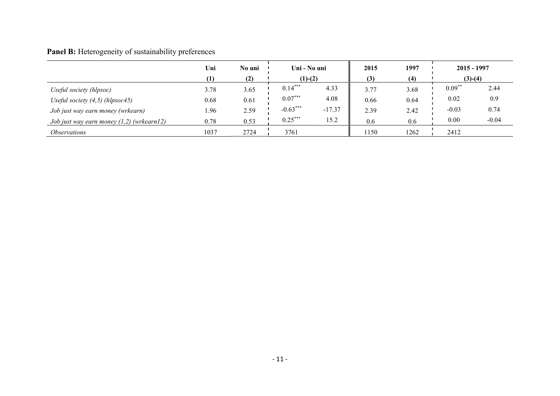# Panel B: Heterogeneity of sustainability preferences

|                                             | Uni              | No uni |            | Uni - No uni |      | 1997 | $2015 - 1997$ |         |
|---------------------------------------------|------------------|--------|------------|--------------|------|------|---------------|---------|
|                                             | $\left(1\right)$ | (2)    |            | $(1)-(2)$    |      | (4)  | $(3)-(4)$     |         |
| Useful society (hlpsoc)                     | 3.78             | 3.65   | $0.14***$  | 4.33         | 3.77 | 3.68 | $0.09**$      | 2.44    |
| Useful society $(4,5)$ (hlpsoc45)           | 0.68             | 0.61   | $0.07***$  | 4.08         | 0.66 | 0.64 | 0.02          | 0.9     |
| Job just way earn money (wrkearn)           | 1.96             | 2.59   | $-0.63***$ | $-17.37$     | 2.39 | 2.42 | $-0.03$       | 0.74    |
| Job just way earn money $(1,2)$ (wrkearn12) | 0.78             | 0.53   | $0.25***$  | 15.2         | 0.6  | 0.6  | 0.00          | $-0.04$ |
| <i><b>Observations</b></i>                  | 1037             | 2724   | 3761       |              | 1150 | 1262 | 2412          |         |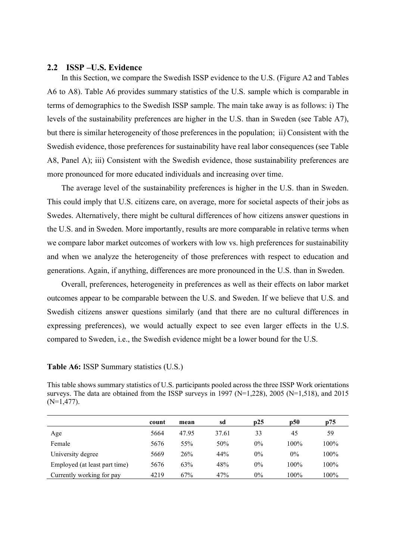#### 2.2 ISSP –U.S. Evidence

In this Section, we compare the Swedish ISSP evidence to the U.S. (Figure A2 and Tables A6 to A8). Table A6 provides summary statistics of the U.S. sample which is comparable in terms of demographics to the Swedish ISSP sample. The main take away is as follows: i) The levels of the sustainability preferences are higher in the U.S. than in Sweden (see Table A7), but there is similar heterogeneity of those preferences in the population; ii) Consistent with the Swedish evidence, those preferences for sustainability have real labor consequences (see Table A8, Panel A); iii) Consistent with the Swedish evidence, those sustainability preferences are more pronounced for more educated individuals and increasing over time.

The average level of the sustainability preferences is higher in the U.S. than in Sweden. This could imply that U.S. citizens care, on average, more for societal aspects of their jobs as Swedes. Alternatively, there might be cultural differences of how citizens answer questions in the U.S. and in Sweden. More importantly, results are more comparable in relative terms when we compare labor market outcomes of workers with low vs. high preferences for sustainability and when we analyze the heterogeneity of those preferences with respect to education and generations. Again, if anything, differences are more pronounced in the U.S. than in Sweden.

Overall, preferences, heterogeneity in preferences as well as their effects on labor market outcomes appear to be comparable between the U.S. and Sweden. If we believe that U.S. and Swedish citizens answer questions similarly (and that there are no cultural differences in expressing preferences), we would actually expect to see even larger effects in the U.S. compared to Sweden, i.e., the Swedish evidence might be a lower bound for the U.S.

#### Table A6: ISSP Summary statistics (U.S.)

This table shows summary statistics of U.S. participants pooled across the three ISSP Work orientations surveys. The data are obtained from the ISSP surveys in 1997 (N=1,228), 2005 (N=1,518), and 2015 (N=1,477).

|                               | count | mean  | sd    | p25   | <b>p50</b> | p75  |
|-------------------------------|-------|-------|-------|-------|------------|------|
| Age                           | 5664  | 47.95 | 37.61 | 33    | 45         | 59   |
| Female                        | 5676  | 55%   | 50%   | $0\%$ | $100\%$    | 100% |
| University degree             | 5669  | 26%   | 44%   | $0\%$ | $0\%$      | 100% |
| Employed (at least part time) | 5676  | 63%   | 48%   | $0\%$ | $100\%$    | 100% |
| Currently working for pay     | 4219  | 67%   | 47%   | 0%    | 100%       | 100% |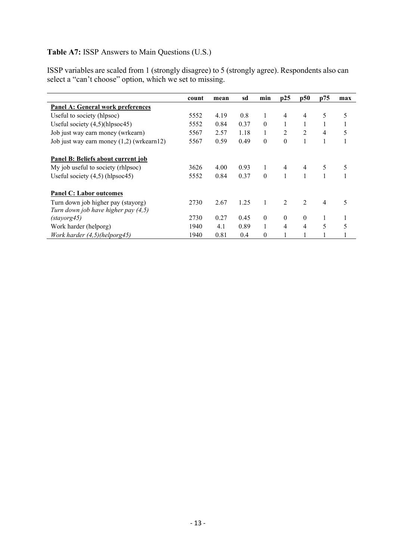### Table A7: ISSP Answers to Main Questions (U.S.)

ISSP variables are scaled from 1 (strongly disagree) to 5 (strongly agree). Respondents also can select a "can't choose" option, which we set to missing.

|                                             | count | mean | sd   | min      | p25            | p50            | p75            | max |
|---------------------------------------------|-------|------|------|----------|----------------|----------------|----------------|-----|
| <b>Panel A: General work preferences</b>    |       |      |      |          |                |                |                |     |
| Useful to society (hlpsoc)                  | 5552  | 4.19 | 0.8  | 1        | $\overline{4}$ | $\overline{4}$ | 5              | 5   |
| Useful society $(4,5)$ (hlpsoc45)           | 5552  | 0.84 | 0.37 | $\theta$ |                | 1              |                |     |
| Job just way earn money (wrkearn)           | 5567  | 2.57 | 1.18 | 1        | 2              | 2              | 4              | 5   |
| Job just way earn money $(1,2)$ (wrkearn12) | 5567  | 0.59 | 0.49 | $\theta$ | $\theta$       | 1              |                |     |
| Panel B: Beliefs about current job          |       |      |      |          |                |                |                |     |
| My job useful to society (rhlpsoc)          | 3626  | 4.00 | 0.93 |          | $\overline{4}$ | $\overline{4}$ | 5              | 5   |
| Useful society $(4,5)$ (hlpsoc45)           | 5552  | 0.84 | 0.37 | $\Omega$ | 1              |                |                |     |
| <b>Panel C: Labor outcomes</b>              |       |      |      |          |                |                |                |     |
| Turn down job higher pay (stayorg)          | 2730  | 2.67 | 1.25 | 1        | $\overline{2}$ | $\overline{2}$ | $\overline{4}$ | 5   |
| Turn down job have higher pay (4,5)         |       |      |      |          |                |                |                |     |
| (stayorg45)                                 | 2730  | 0.27 | 0.45 | $\theta$ | $\mathbf{0}$   | $\mathbf{0}$   | 1              |     |
| Work harder (helporg)                       | 1940  | 4.1  | 0.89 | 1        | 4              | 4              | 5              | 5   |
| Work harder $(4,5)$ (helporg45)             | 1940  | 0.81 | 0.4  | $\theta$ |                |                |                |     |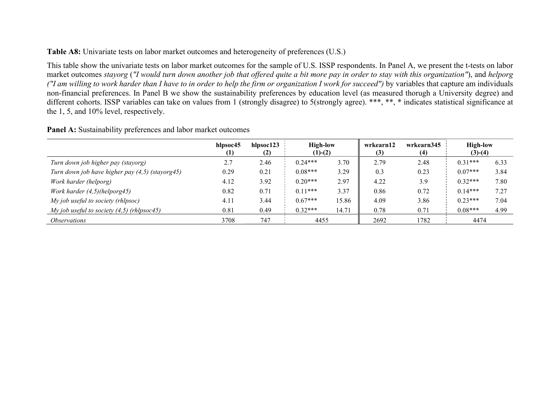Table A8: Univariate tests on labor market outcomes and heterogeneity of preferences (U.S.)

This table show the univariate tests on labor market outcomes for the sample of U.S. ISSP respondents. In Panel A, we present the t-tests on labor market outcomes stayorg ("I would turn down another job that offered quite a bit more pay in order to stay with this organization"), and helporg ("I am willing to work harder than I have to in order to help the firm or organization I work for succeed") by variables that capture am individuals non-financial preferences. In Panel B we show the sustainability preferences by education level (as measured thorugh a University degree) and different cohorts. ISSP variables can take on values from 1 (strongly disagree) to 5(strongly agree). \*\*\*, \*\*, \* indicates statistical significance at the 1, 5, and 10% level, respectively.

| <b>Panel A:</b> Sustainability preferences and labor market outcomes |
|----------------------------------------------------------------------|
|----------------------------------------------------------------------|

|                                                 | hlpsoc45 | hlpsoc123<br>(2) | <b>High-low</b><br>$(1)-(2)$ |       | wrkearn12<br>(3) | wrkearn345<br>(4) | <b>High-low</b><br>$(3)-(4)$ |      |
|-------------------------------------------------|----------|------------------|------------------------------|-------|------------------|-------------------|------------------------------|------|
| Turn down job higher pay (stayorg)              | 2.7      | 2.46             | $0.24***$                    | 3.70  | 2.79             | 2.48              | $0.31***$                    | 6.33 |
| Turn down job have higher pay (4,5) (stayorg45) | 0.29     | 0.21             | $0.08***$                    | 3.29  | 0.3              | 0.23              | $0.07***$                    | 3.84 |
| Work harder (helporg)                           | 4.12     | 3.92             | $0.20***$                    | 2.97  | 4.22             | 3.9               | $0.32***$                    | 7.80 |
| Work harder $(4,5)$ (helporg45)                 | 0.82     | 0.71             | $0.11***$                    | 3.37  | 0.86             | 0.72              | $0.14***$                    | 7.27 |
| My job useful to society (rhlpsoc)              | 4.11     | 3.44             | $0.67***$                    | 5.86  | 4.09             | 3.86              | $0.23***$                    | 7.04 |
| My job useful to society $(4,5)$ (rhlpsoc45)    | 0.81     | 0.49             | $0.32***$                    | 14.71 | 0.78             | 0.71              | $0.08***$                    | 4.99 |
| <i><b>Observations</b></i>                      | 3708     | 747              | 4455                         |       | 2692             | 1782              | 4474                         |      |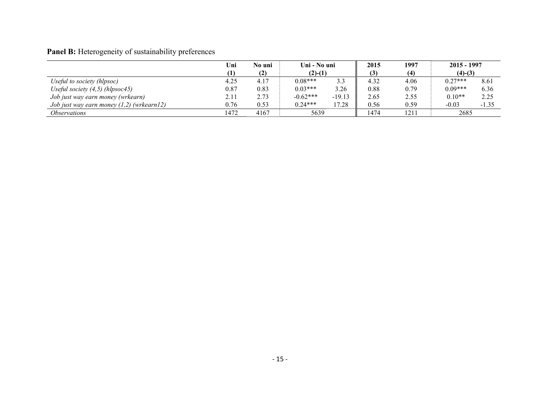# Panel B: Heterogeneity of sustainability preferences

|                                             | Uni  | Uni - No uni<br>No uni |            | 2015     | 1997 | $2015 - 1997$ |           |         |
|---------------------------------------------|------|------------------------|------------|----------|------|---------------|-----------|---------|
|                                             | (1)  | (2)                    | $(2)-(1)$  |          |      | (4)           | $(4)-(3)$ |         |
| Useful to society (hlpsoc)                  | 4.25 | 4.17                   | $0.08***$  | 3.3      | 4.32 | 4.06          | $0.27***$ | 8.61    |
| Useful society $(4,5)$ (hlpsoc45)           | 0.87 | 0.83                   | $0.03***$  | 3.26     | 0.88 | 0.79          | $0.09***$ | 6.36    |
| Job just way earn money (wrkearn)           | 2.11 | 2.73                   | $-0.62***$ | $-19.13$ | 2.65 | 2.55          | $0.10**$  | 2.25    |
| Job just way earn money $(1,2)$ (wrkearn12) | 0.76 | 0.53                   | $0.24***$  | 17.28    | 0.56 | 0.59          | $-0.03$   | $-1.35$ |
| <i>Observations</i>                         | 1472 | 4167                   | 5639       |          | 1474 | 1211          | 2685      |         |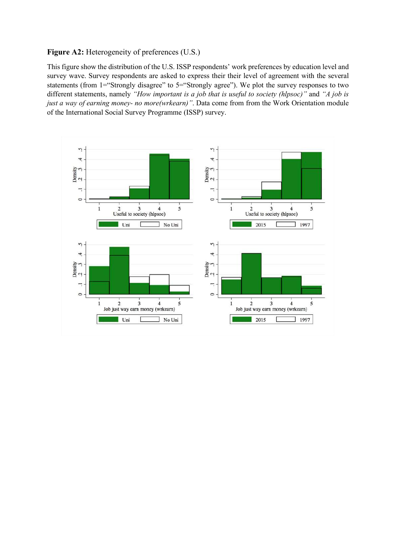#### Figure A2: Heterogeneity of preferences (U.S.)

This figure show the distribution of the U.S. ISSP respondents' work preferences by education level and survey wave. Survey respondents are asked to express their their level of agreement with the several statements (from 1="Strongly disagree" to 5="Strongly agree"). We plot the survey responses to two different statements, namely "How important is a job that is useful to society (hlpsoc)" and "A job is just a way of earning money- no more(wrkearn)". Data come from from the Work Orientation module of the International Social Survey Programme (ISSP) survey.

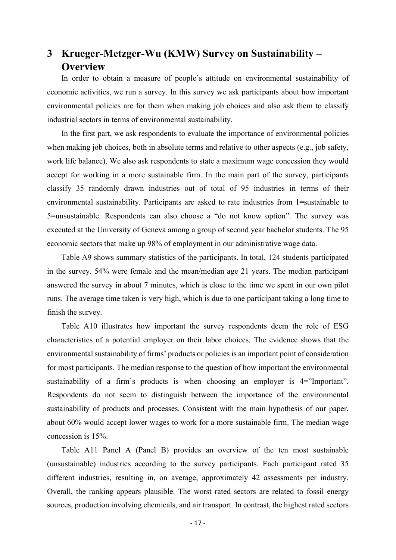# 3 Krueger-Metzger-Wu (KMW) Survey on Sustainability – **Overview**

In order to obtain a measure of people's attitude on environmental sustainability of economic activities, we run a survey. In this survey we ask participants about how important environmental policies are for them when making job choices and also ask them to classify industrial sectors in terms of environmental sustainability.

In the first part, we ask respondents to evaluate the importance of environmental policies when making job choices, both in absolute terms and relative to other aspects (e.g., job safety, work life balance). We also ask respondents to state a maximum wage concession they would accept for working in a more sustainable firm. In the main part of the survey, participants classify 35 randomly drawn industries out of total of 95 industries in terms of their environmental sustainability. Participants are asked to rate industries from 1=sustainable to 5=unsustainable. Respondents can also choose a "do not know option". The survey was executed at the University of Geneva among a group of second year bachelor students. The 95 economic sectors that make up 98% of employment in our administrative wage data.

Table A9 shows summary statistics of the participants. In total, 124 students participated in the survey. 54% were female and the mean/median age 21 years. The median participant answered the survey in about 7 minutes, which is close to the time we spent in our own pilot runs. The average time taken is very high, which is due to one participant taking a long time to finish the survey.

Table A10 illustrates how important the survey respondents deem the role of ESG characteristics of a potential employer on their labor choices. The evidence shows that the environmental sustainability of firms' products or policies is an important point of consideration for most participants. The median response to the question of how important the environmental sustainability of a firm's products is when choosing an employer is 4="Important". Respondents do not seem to distinguish between the importance of the environmental sustainability of products and processes. Consistent with the main hypothesis of our paper, about 60% would accept lower wages to work for a more sustainable firm. The median wage concession is 15%.

Table A11 Panel A (Panel B) provides an overview of the ten most sustainable (unsustainable) industries according to the survey participants. Each participant rated 35 different industries, resulting in, on average, approximately 42 assessments per industry. Overall, the ranking appears plausible. The worst rated sectors are related to fossil energy sources, production involving chemicals, and air transport. In contrast, the highest rated sectors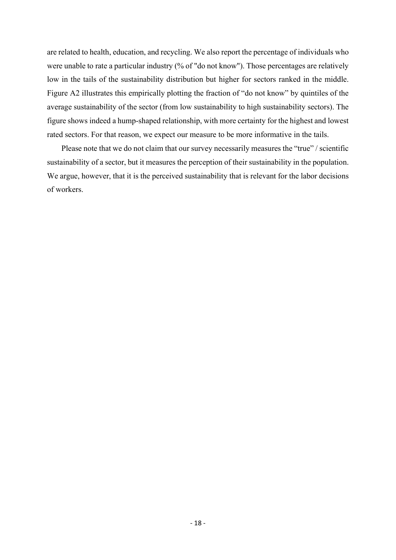are related to health, education, and recycling. We also report the percentage of individuals who were unable to rate a particular industry (% of "do not know"). Those percentages are relatively low in the tails of the sustainability distribution but higher for sectors ranked in the middle. Figure A2 illustrates this empirically plotting the fraction of "do not know" by quintiles of the average sustainability of the sector (from low sustainability to high sustainability sectors). The figure shows indeed a hump-shaped relationship, with more certainty for the highest and lowest rated sectors. For that reason, we expect our measure to be more informative in the tails.

Please note that we do not claim that our survey necessarily measures the "true" / scientific sustainability of a sector, but it measures the perception of their sustainability in the population. We argue, however, that it is the perceived sustainability that is relevant for the labor decisions of workers.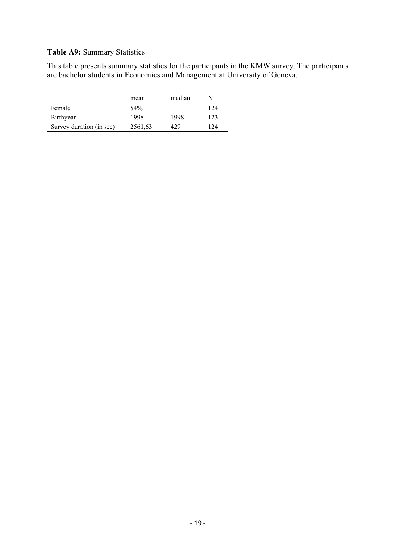### Table A9: Summary Statistics

This table presents summary statistics for the participants in the KMW survey. The participants are bachelor students in Economics and Management at University of Geneva.

|                          | mean            | median |     |
|--------------------------|-----------------|--------|-----|
| Female                   | 54 <sup>%</sup> |        | 124 |
| Birthyear                | 1998            | 1998   | 123 |
| Survey duration (in sec) | 2561,63         | 429    | 124 |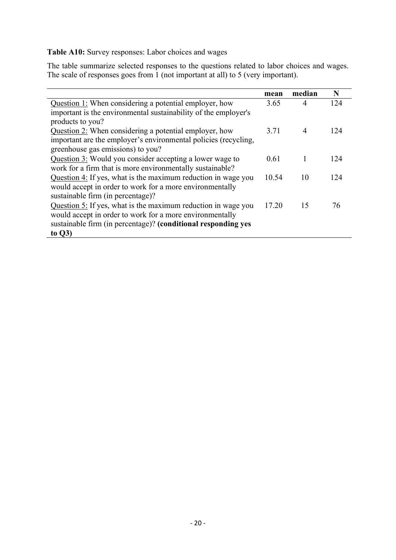Table A10: Survey responses: Labor choices and wages

The table summarize selected responses to the questions related to labor choices and wages. The scale of responses goes from 1 (not important at all) to 5 (very important).

|                                                                                                                                                                                                         | mean  | median         | N   |
|---------------------------------------------------------------------------------------------------------------------------------------------------------------------------------------------------------|-------|----------------|-----|
| Question 1: When considering a potential employer, how                                                                                                                                                  | 3.65  | 4              | 124 |
| important is the environmental sustainability of the employer's<br>products to you?                                                                                                                     |       |                |     |
| Question 2: When considering a potential employer, how<br>important are the employer's environmental policies (recycling,<br>greenhouse gas emissions) to you?                                          | 3.71  | $\overline{4}$ | 124 |
| Question 3: Would you consider accepting a lower wage to<br>work for a firm that is more environmentally sustainable?                                                                                   | 0.61  |                | 124 |
| Question 4: If yes, what is the maximum reduction in wage you<br>would accept in order to work for a more environmentally<br>sustainable firm (in percentage)?                                          | 10.54 | 10             | 124 |
| Question 5: If yes, what is the maximum reduction in wage you<br>would accept in order to work for a more environmentally<br>sustainable firm (in percentage)? (conditional responding yes<br>to $Q3$ ) | 17.20 | 15             | 76  |
|                                                                                                                                                                                                         |       |                |     |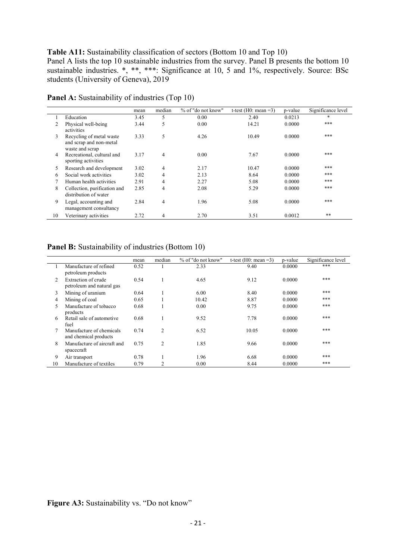#### Table A11: Sustainability classification of sectors (Bottom 10 and Top 10)

Panel A lists the top 10 sustainable industries from the survey. Panel B presents the bottom 10 sustainable industries. \*, \*\*, \*\*\*: Significance at 10, 5 and 1%, respectively. Source: BSc students (University of Geneva), 2019

|    |                                                                        | mean | median         | % of "do not know" | t-test (H0: mean $=3$ ) | p-value | Significance level |
|----|------------------------------------------------------------------------|------|----------------|--------------------|-------------------------|---------|--------------------|
|    | Education                                                              | 3.45 | 5              | 0.00               | 2.40                    | 0.0213  | $\ast$             |
|    | Physical well-being<br>activities                                      | 3.44 | 5              | 0.00               | 14.21                   | 0.0000  | ***                |
| 3  | Recycling of metal waste<br>and scrap and non-metal<br>waste and scrap | 3.33 | 5              | 4.26               | 10.49                   | 0.0000  | ***                |
| 4  | Recreational, cultural and<br>sporting activities                      | 3.17 | $\overline{4}$ | 0.00               | 7.67                    | 0.0000  | ***                |
| 5. | Research and development                                               | 3.02 | 4              | 2.17               | 10.47                   | 0.0000  | ***                |
| 6  | Social work activities                                                 | 3.02 | 4              | 2.13               | 8.64                    | 0.0000  | ***                |
| 7  | Human health activities                                                | 2.91 | 4              | 2.27               | 5.08                    | 0.0000  | ***                |
| 8  | Collection, purification and<br>distribution of water                  | 2.85 | $\overline{4}$ | 2.08               | 5.29                    | 0.0000  | ***                |
| 9  | Legal, accounting and<br>management consultancy                        | 2.84 | $\overline{4}$ | 1.96               | 5.08                    | 0.0000  | ***                |
| 10 | Veterinary activities                                                  | 2.72 | 4              | 2.70               | 3.51                    | 0.0012  | $***$              |

Panel A: Sustainability of industries (Top 10)

#### Panel B: Sustainability of industries (Bottom 10)

|    |                                                   | mean | median         | % of "do not know" | t-test (H0: mean $=3$ ) | p-value | Significance level |
|----|---------------------------------------------------|------|----------------|--------------------|-------------------------|---------|--------------------|
|    | Manufacture of refined<br>petroleum products      | 0.52 |                | 2.33               | 9.40                    | 0.0000  | ***                |
| 2  | Extraction of crude<br>petroleum and natural gas  | 0.54 |                | 4.65               | 9.12                    | 0.0000  | ***                |
| 3  | Mining of uranium                                 | 0.64 |                | 6.00               | 8.40                    | 0.0000  | ***                |
| 4  | Mining of coal                                    | 0.65 |                | 10.42              | 8.87                    | 0.0000  | ***                |
| 5  | Manufacture of tobacco<br>products                | 0.68 |                | 0.00               | 9.75                    | 0.0000  | ***                |
| 6  | Retail sale of automotive<br>fuel                 | 0.68 |                | 9.52               | 7.78                    | 0.0000  | ***                |
| 7  | Manufacture of chemicals<br>and chemical products | 0.74 | 2              | 6.52               | 10.05                   | 0.0000  | ***                |
| 8  | Manufacture of aircraft and<br>spacecraft         | 0.75 | $\overline{2}$ | 1.85               | 9.66                    | 0.0000  | ***                |
| 9  | Air transport                                     | 0.78 |                | 1.96               | 6.68                    | 0.0000  | ***                |
| 10 | Manufacture of textiles                           | 0.79 | $\overline{2}$ | 0.00               | 8.44                    | 0.0000  | ***                |

Figure A3: Sustainability vs. "Do not know"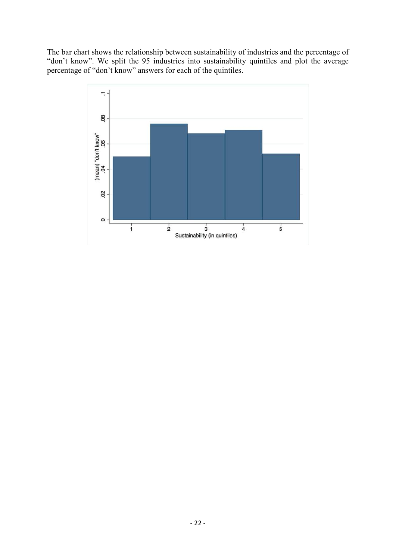The bar chart shows the relationship between sustainability of industries and the percentage of "don't know". We split the 95 industries into sustainability quintiles and plot the average percentage of "don't know" answers for each of the quintiles.

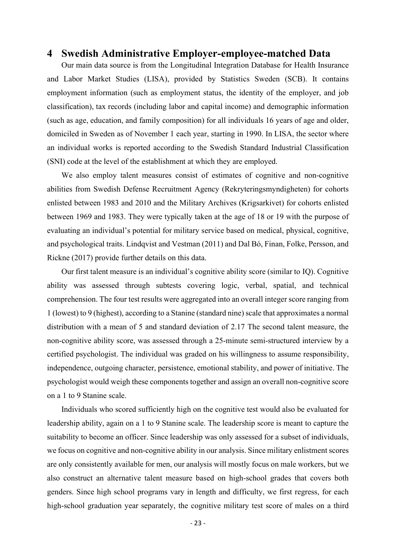## 4 Swedish Administrative Employer-employee-matched Data

Our main data source is from the Longitudinal Integration Database for Health Insurance and Labor Market Studies (LISA), provided by Statistics Sweden (SCB). It contains employment information (such as employment status, the identity of the employer, and job classification), tax records (including labor and capital income) and demographic information (such as age, education, and family composition) for all individuals 16 years of age and older, domiciled in Sweden as of November 1 each year, starting in 1990. In LISA, the sector where an individual works is reported according to the Swedish Standard Industrial Classification (SNI) code at the level of the establishment at which they are employed.

We also employ talent measures consist of estimates of cognitive and non-cognitive abilities from Swedish Defense Recruitment Agency (Rekryteringsmyndigheten) for cohorts enlisted between 1983 and 2010 and the Military Archives (Krigsarkivet) for cohorts enlisted between 1969 and 1983. They were typically taken at the age of 18 or 19 with the purpose of evaluating an individual's potential for military service based on medical, physical, cognitive, and psychological traits. Lindqvist and Vestman (2011) and Dal Bó, Finan, Folke, Persson, and Rickne (2017) provide further details on this data.

Our first talent measure is an individual's cognitive ability score (similar to IQ). Cognitive ability was assessed through subtests covering logic, verbal, spatial, and technical comprehension. The four test results were aggregated into an overall integer score ranging from 1 (lowest) to 9 (highest), according to a Stanine (standard nine) scale that approximates a normal distribution with a mean of 5 and standard deviation of 2.17 The second talent measure, the non-cognitive ability score, was assessed through a 25-minute semi-structured interview by a certified psychologist. The individual was graded on his willingness to assume responsibility, independence, outgoing character, persistence, emotional stability, and power of initiative. The psychologist would weigh these components together and assign an overall non-cognitive score on a 1 to 9 Stanine scale.

Individuals who scored sufficiently high on the cognitive test would also be evaluated for leadership ability, again on a 1 to 9 Stanine scale. The leadership score is meant to capture the suitability to become an officer. Since leadership was only assessed for a subset of individuals, we focus on cognitive and non-cognitive ability in our analysis. Since military enlistment scores are only consistently available for men, our analysis will mostly focus on male workers, but we also construct an alternative talent measure based on high-school grades that covers both genders. Since high school programs vary in length and difficulty, we first regress, for each high-school graduation year separately, the cognitive military test score of males on a third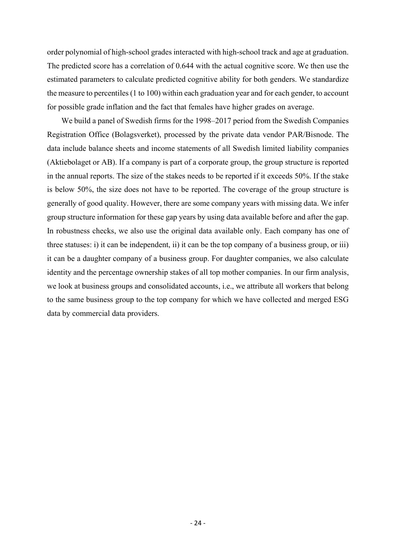order polynomial of high-school grades interacted with high-school track and age at graduation. The predicted score has a correlation of 0.644 with the actual cognitive score. We then use the estimated parameters to calculate predicted cognitive ability for both genders. We standardize the measure to percentiles (1 to 100) within each graduation year and for each gender, to account for possible grade inflation and the fact that females have higher grades on average.

We build a panel of Swedish firms for the 1998–2017 period from the Swedish Companies Registration Office (Bolagsverket), processed by the private data vendor PAR/Bisnode. The data include balance sheets and income statements of all Swedish limited liability companies (Aktiebolaget or AB). If a company is part of a corporate group, the group structure is reported in the annual reports. The size of the stakes needs to be reported if it exceeds 50%. If the stake is below 50%, the size does not have to be reported. The coverage of the group structure is generally of good quality. However, there are some company years with missing data. We infer group structure information for these gap years by using data available before and after the gap. In robustness checks, we also use the original data available only. Each company has one of three statuses: i) it can be independent, ii) it can be the top company of a business group, or iii) it can be a daughter company of a business group. For daughter companies, we also calculate identity and the percentage ownership stakes of all top mother companies. In our firm analysis, we look at business groups and consolidated accounts, i.e., we attribute all workers that belong to the same business group to the top company for which we have collected and merged ESG data by commercial data providers.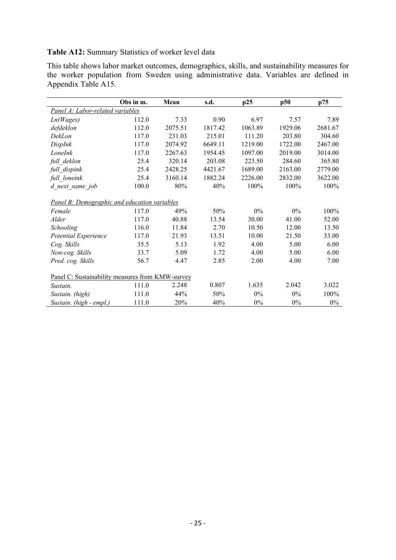Table A12: Summary Statistics of worker level data

This table shows labor market outcomes, demographics, skills, and sustainability measures for the worker population from Sweden using administrative data. Variables are defined in Appendix Table A15.

|                                                  | Obs in m. | Mean    | s.d.    | p25     | p50     | p75     |
|--------------------------------------------------|-----------|---------|---------|---------|---------|---------|
| Panel A: Labor-related variables                 |           |         |         |         |         |         |
| Ln(Wages)                                        | 112.0     | 7.33    | 0.90    | 6.97    | 7.57    | 7.89    |
| defdeklon                                        | 112.0     | 2075.51 | 1817.42 | 1063.89 | 1929.06 | 2681.67 |
| DekLon                                           | 117.0     | 231.03  | 215.01  | 111.20  | 203.80  | 304.60  |
| DispInk                                          | 117.0     | 2074.92 | 6649.11 | 1219.00 | 1722.00 | 2467.00 |
| LoneInk                                          | 117.0     | 2267.63 | 1954.45 | 1097.00 | 2019.00 | 3014.00 |
| full deklon                                      | 25.4      | 320.14  | 203.08  | 223.50  | 284.60  | 365.80  |
| full dispink                                     | 25.4      | 2428.25 | 4421.67 | 1689.00 | 2163.00 | 2779.00 |
| full loneink                                     | 25.4      | 3160.14 | 1882.24 | 2226.00 | 2832.00 | 3622.00 |
| d next same job                                  | 100.0     | 80%     | 40%     | 100%    | 100%    | 100%    |
| Panel B: Demographic and education variables     |           |         |         |         |         |         |
| Female                                           | 117.0     | 49%     | 50%     | $0\%$   | $0\%$   | 100%    |
| Alder                                            | 117.0     | 40.88   | 13.54   | 30.00   | 41.00   | 52.00   |
| Schooling                                        | 116.0     | 11.84   | 2.70    | 10.50   | 12.00   | 13.50   |
| Potential Experience                             | 117.0     | 21.93   | 13.51   | 10.00   | 21.50   | 33.00   |
| Cog. Skills                                      | 35.5      | 5.13    | 1.92    | 4.00    | 5.00    | 6.00    |
| Non-cog. Skills                                  | 33.7      | 5.09    | 1.72    | 4.00    | 5.00    | 6.00    |
| Pred. cog. Skills                                | 56.7      | 4.47    | 2.85    | 2.00    | 4.00    | 7.00    |
| Panel C: Sustainability measures from KMW-survey |           |         |         |         |         |         |
| Sustain.                                         | 111.0     | 2.248   | 0.807   | 1.635   | 2.042   | 3.022   |
| Sustain. (high)                                  | 111.0     | 44%     | 50%     | $0\%$   | $0\%$   | 100%    |
| Sustain. (high - empl.)                          | 111.0     | 20%     | 40%     | $0\%$   | $0\%$   | $0\%$   |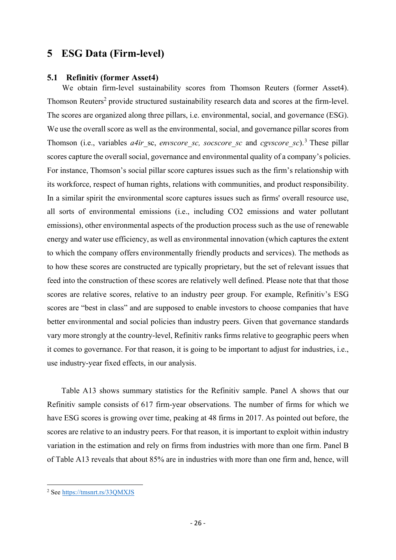## 5 ESG Data (Firm-level)

#### 5.1 Refinitiv (former Asset4)

We obtain firm-level sustainability scores from Thomson Reuters (former Asset4). Thomson Reuters<sup>2</sup> provide structured sustainability research data and scores at the firm-level. The scores are organized along three pillars, i.e. environmental, social, and governance (ESG). We use the overall score as well as the environmental, social, and governance pillar scores from Thomson (i.e., variables  $a4ir$  sc, envscore sc, socscore sc and cgvscore sc).<sup>3</sup> These pillar scores capture the overall social, governance and environmental quality of a company's policies. For instance, Thomson's social pillar score captures issues such as the firm's relationship with its workforce, respect of human rights, relations with communities, and product responsibility. In a similar spirit the environmental score captures issues such as firms' overall resource use, all sorts of environmental emissions (i.e., including CO2 emissions and water pollutant emissions), other environmental aspects of the production process such as the use of renewable energy and water use efficiency, as well as environmental innovation (which captures the extent to which the company offers environmentally friendly products and services). The methods as to how these scores are constructed are typically proprietary, but the set of relevant issues that feed into the construction of these scores are relatively well defined. Please note that that those scores are relative scores, relative to an industry peer group. For example, Refinitiv's ESG scores are "best in class" and are supposed to enable investors to choose companies that have better environmental and social policies than industry peers. Given that governance standards vary more strongly at the country-level, Refinitiv ranks firms relative to geographic peers when it comes to governance. For that reason, it is going to be important to adjust for industries, i.e., use industry-year fixed effects, in our analysis.

Table A13 shows summary statistics for the Refinitiv sample. Panel A shows that our Refinitiv sample consists of 617 firm-year observations. The number of firms for which we have ESG scores is growing over time, peaking at 48 firms in 2017. As pointed out before, the scores are relative to an industry peers. For that reason, it is important to exploit within industry variation in the estimation and rely on firms from industries with more than one firm. Panel B of Table A13 reveals that about 85% are in industries with more than one firm and, hence, will

<sup>&</sup>lt;sup>2</sup> See https://tmsnrt.rs/33QMXJS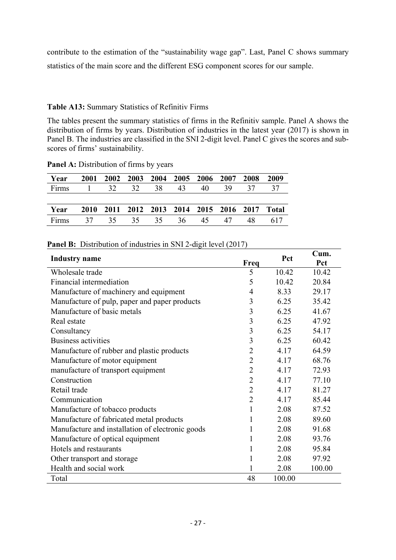contribute to the estimation of the "sustainability wage gap". Last, Panel C shows summary statistics of the main score and the different ESG component scores for our sample.

### Table A13: Summary Statistics of Refinitiv Firms

The tables present the summary statistics of firms in the Refinitiv sample. Panel A shows the distribution of firms by years. Distribution of industries in the latest year (2017) is shown in Panel B. The industries are classified in the SNI 2-digit level. Panel C gives the scores and subscores of firms' sustainability.

| Year  | 2001 |                       |  | 2002 2003 2004 2005 2006 2007                 |    |    | 2008 | 2009 |
|-------|------|-----------------------|--|-----------------------------------------------|----|----|------|------|
| Firms |      | $1 \t 32 \t 32 \t 38$ |  | 43                                            | 40 | 39 | 37   | 37   |
|       |      |                       |  |                                               |    |    |      |      |
| Year  |      |                       |  | 2010 2011 2012 2013 2014 2015 2016 2017 Total |    |    |      |      |
| Firms |      |                       |  | 37 35 35 35 36 45 47                          |    |    | 48   | 617  |

Panel A: Distribution of firms by years

|  |  | <b>Panel B:</b> Distribution of industries in SNI 2-digit level (2017) |  |
|--|--|------------------------------------------------------------------------|--|
|  |  |                                                                        |  |

| <b>Industry</b> name                             | Freq           | Pct    | Cum.<br>Pct |
|--------------------------------------------------|----------------|--------|-------------|
| Wholesale trade                                  | 5              | 10.42  | 10.42       |
| Financial intermediation                         | 5              | 10.42  | 20.84       |
| Manufacture of machinery and equipment           | $\overline{4}$ | 8.33   | 29.17       |
| Manufacture of pulp, paper and paper products    | 3              | 6.25   | 35.42       |
| Manufacture of basic metals                      | 3              | 6.25   | 41.67       |
| Real estate                                      | 3              | 6.25   | 47.92       |
| Consultancy                                      | 3              | 6.25   | 54.17       |
| Business activities                              | 3              | 6.25   | 60.42       |
| Manufacture of rubber and plastic products       | $\overline{2}$ | 4.17   | 64.59       |
| Manufacture of motor equipment                   | $\overline{2}$ | 4.17   | 68.76       |
| manufacture of transport equipment               | $\overline{2}$ | 4.17   | 72.93       |
| Construction                                     | $\overline{2}$ | 4.17   | 77.10       |
| Retail trade                                     | $\overline{2}$ | 4.17   | 81.27       |
| Communication                                    | $\overline{2}$ | 4.17   | 85.44       |
| Manufacture of tobacco products                  | 1              | 2.08   | 87.52       |
| Manufacture of fabricated metal products         | 1              | 2.08   | 89.60       |
| Manufacture and installation of electronic goods | 1              | 2.08   | 91.68       |
| Manufacture of optical equipment                 | 1              | 2.08   | 93.76       |
| Hotels and restaurants                           | 1              | 2.08   | 95.84       |
| Other transport and storage                      | 1              | 2.08   | 97.92       |
| Health and social work                           |                | 2.08   | 100.00      |
| Total                                            | 48             | 100.00 |             |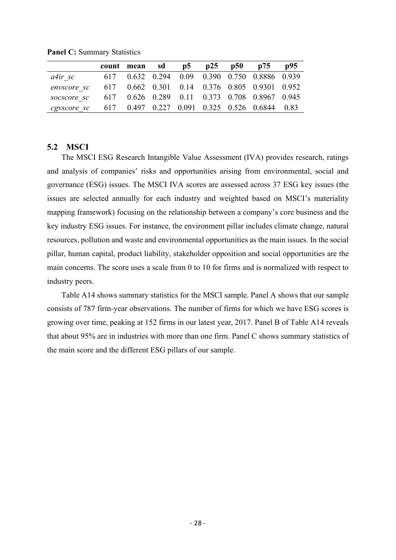|             | count mean sd | p5 | p25 | p50 p75                                       | p95 |
|-------------|---------------|----|-----|-----------------------------------------------|-----|
| a4ir sc     |               |    |     | 617 0.632 0.294 0.09 0.390 0.750 0.8886 0.939 |     |
| envscore sc |               |    |     | 617 0.662 0.301 0.14 0.376 0.805 0.9301 0.952 |     |
| socscore sc |               |    |     | 617 0.626 0.289 0.11 0.373 0.708 0.8967 0.945 |     |
| cgyscore sc |               |    |     | 617 0.497 0.227 0.091 0.325 0.526 0.6844 0.83 |     |

Panel C: Summary Statistics

#### 5.2 MSCI

The MSCI ESG Research Intangible Value Assessment (IVA) provides research, ratings and analysis of companies' risks and opportunities arising from environmental, social and governance (ESG) issues. The MSCI IVA scores are assessed across 37 ESG key issues (the issues are selected annually for each industry and weighted based on MSCI's materiality mapping framework) focusing on the relationship between a company's core business and the key industry ESG issues. For instance, the environment pillar includes climate change, natural resources, pollution and waste and environmental opportunities as the main issues. In the social pillar, human capital, product liability, stakeholder opposition and social opportunities are the main concerns. The score uses a scale from 0 to 10 for firms and is normalized with respect to industry peers.

Table A14 shows summary statistics for the MSCI sample. Panel A shows that our sample consists of 787 firm-year observations. The number of firms for which we have ESG scores is growing over time, peaking at 152 firms in our latest year, 2017. Panel B of Table A14 reveals that about 95% are in industries with more than one firm. Panel C shows summary statistics of the main score and the different ESG pillars of our sample.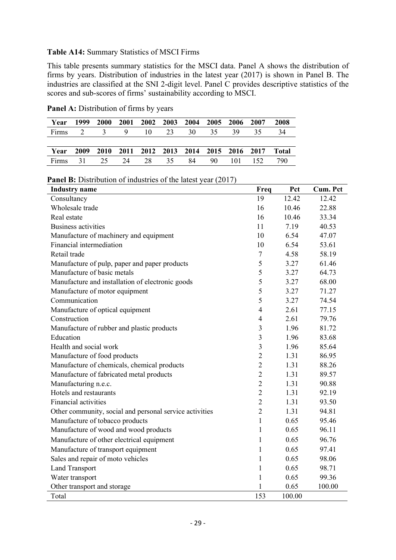#### Table A14: Summary Statistics of MSCI Firms

This table presents summary statistics for the MSCI data. Panel A shows the distribution of firms by years. Distribution of industries in the latest year (2017) is shown in Panel B. The industries are classified at the SNI 2-digit level. Panel C provides descriptive statistics of the scores and sub-scores of firms' sustainability according to MSCI.

| Year                    | 1999 | <b>2000</b>                                  | 2001 2002 2003 2004 2005 2006 2007 |  |    |    | 2008  |
|-------------------------|------|----------------------------------------------|------------------------------------|--|----|----|-------|
| Firms 2 3 9 10 23 30 35 |      |                                              |                                    |  | 39 | 35 | 34    |
|                         |      |                                              |                                    |  |    |    |       |
| Year                    |      | 2009 2010 2011 2012 2013 2014 2015 2016 2017 |                                    |  |    |    | Total |
|                         |      | Firms 31 25 24 28 35 84 90 101 152           |                                    |  |    |    | 790   |

Panel A: Distribution of firms by years

| <b>Panel B:</b> Distribution of industries of the latest year (2017) |  |  |  |
|----------------------------------------------------------------------|--|--|--|
|----------------------------------------------------------------------|--|--|--|

| <b>Industry</b> name                                    | Freq           | Pct    | Cum. Pct |
|---------------------------------------------------------|----------------|--------|----------|
| Consultancy                                             | 19             | 12.42  | 12.42    |
| Wholesale trade                                         | 16             | 10.46  | 22.88    |
| Real estate                                             | 16             | 10.46  | 33.34    |
| <b>Business activities</b>                              | 11             | 7.19   | 40.53    |
| Manufacture of machinery and equipment                  | 10             | 6.54   | 47.07    |
| Financial intermediation                                | 10             | 6.54   | 53.61    |
| Retail trade                                            | $\tau$         | 4.58   | 58.19    |
| Manufacture of pulp, paper and paper products           | 5              | 3.27   | 61.46    |
| Manufacture of basic metals                             | 5              | 3.27   | 64.73    |
| Manufacture and installation of electronic goods        | 5              | 3.27   | 68.00    |
| Manufacture of motor equipment                          | 5              | 3.27   | 71.27    |
| Communication                                           | 5              | 3.27   | 74.54    |
| Manufacture of optical equipment                        | $\overline{4}$ | 2.61   | 77.15    |
| Construction                                            | $\overline{4}$ | 2.61   | 79.76    |
| Manufacture of rubber and plastic products              | $\mathfrak{Z}$ | 1.96   | 81.72    |
| Education                                               | 3              | 1.96   | 83.68    |
| Health and social work                                  | 3              | 1.96   | 85.64    |
| Manufacture of food products                            | $\overline{2}$ | 1.31   | 86.95    |
| Manufacture of chemicals, chemical products             | $\overline{2}$ | 1.31   | 88.26    |
| Manufacture of fabricated metal products                | $\overline{2}$ | 1.31   | 89.57    |
| Manufacturing n.e.c.                                    | $\overline{2}$ | 1.31   | 90.88    |
| Hotels and restaurants                                  | $\overline{2}$ | 1.31   | 92.19    |
| <b>Financial activities</b>                             | $\overline{2}$ | 1.31   | 93.50    |
| Other community, social and personal service activities | $\overline{2}$ | 1.31   | 94.81    |
| Manufacture of tobacco products                         | $\mathbf{1}$   | 0.65   | 95.46    |
| Manufacture of wood and wood products                   | $\mathbf{1}$   | 0.65   | 96.11    |
| Manufacture of other electrical equipment               | 1              | 0.65   | 96.76    |
| Manufacture of transport equipment                      | 1              | 0.65   | 97.41    |
| Sales and repair of moto vehicles                       | 1              | 0.65   | 98.06    |
| <b>Land Transport</b>                                   | 1              | 0.65   | 98.71    |
| Water transport                                         | 1              | 0.65   | 99.36    |
| Other transport and storage                             | 1              | 0.65   | 100.00   |
| Total                                                   | 153            | 100.00 |          |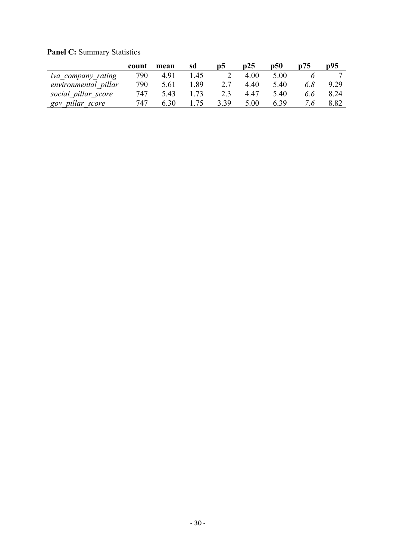|                      | count | mean | sd   | p5   | p25  | p50  | p75 | p95  |
|----------------------|-------|------|------|------|------|------|-----|------|
| iva_company rating   | 790   | 4.91 | 1.45 |      | 4.00 | 5.00 |     | −    |
| environmental pillar | 790   | 5.61 | l.89 | 2.7  | 4.40 | 5.40 | 6.8 | 9.29 |
| social pillar score  | 747   | 5.43 | l.73 | 2.3  | 4.47 | 5.40 | 6.6 | 8.24 |
| gov pillar score     | 747   | 6.30 | .75  | 3.39 | 5.00 | 6.39 | 7.6 | 8.82 |

Panel C: Summary Statistics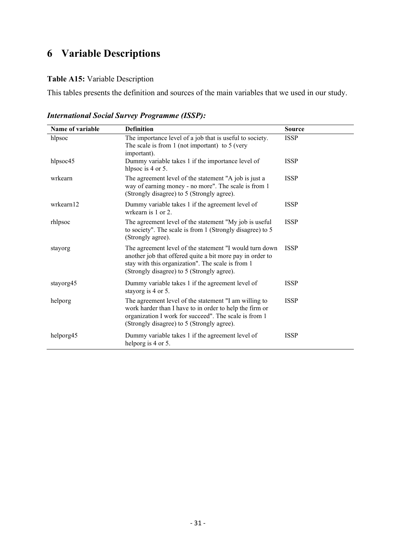# 6 Variable Descriptions

### Table A15: Variable Description

This tables presents the definition and sources of the main variables that we used in our study.

| Name of variable | <b>Definition</b>                                                                                                                                                                                                       | <b>Source</b> |
|------------------|-------------------------------------------------------------------------------------------------------------------------------------------------------------------------------------------------------------------------|---------------|
| hlpsoc           | The importance level of a job that is useful to society.<br>The scale is from 1 (not important) to 5 (very<br>important).                                                                                               | <b>ISSP</b>   |
| hlpsoc45         | Dummy variable takes 1 if the importance level of<br>hlpsoc is 4 or 5.                                                                                                                                                  | <b>ISSP</b>   |
| wrkearn          | The agreement level of the statement "A job is just a<br>way of earning money - no more". The scale is from 1<br>(Strongly disagree) to 5 (Strongly agree).                                                             | <b>ISSP</b>   |
| wrkearn12        | Dummy variable takes 1 if the agreement level of<br>wrkearn is $1$ or $2$ .                                                                                                                                             | <b>ISSP</b>   |
| rhlpsoc          | The agreement level of the statement "My job is useful<br>to society". The scale is from 1 (Strongly disagree) to 5<br>(Strongly agree).                                                                                | <b>ISSP</b>   |
| stayorg          | The agreement level of the statement "I would turn down<br>another job that offered quite a bit more pay in order to<br>stay with this organization". The scale is from 1<br>(Strongly disagree) to 5 (Strongly agree). | <b>ISSP</b>   |
| stayorg45        | Dummy variable takes 1 if the agreement level of<br>stayorg is 4 or 5.                                                                                                                                                  | <b>ISSP</b>   |
| helporg          | The agreement level of the statement "I am willing to<br>work harder than I have to in order to help the firm or<br>organization I work for succeed". The scale is from 1<br>(Strongly disagree) to 5 (Strongly agree). | <b>ISSP</b>   |
| helporg45        | Dummy variable takes 1 if the agreement level of<br>helporg is 4 or 5.                                                                                                                                                  | <b>ISSP</b>   |

International Social Survey Programme (ISSP):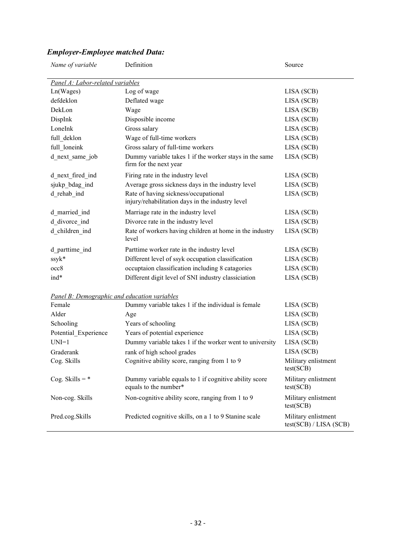| Name of variable                             | Definition                                                                               | Source                                        |  |  |  |
|----------------------------------------------|------------------------------------------------------------------------------------------|-----------------------------------------------|--|--|--|
| Panel A: Labor-related variables             |                                                                                          |                                               |  |  |  |
| Ln(Wages)                                    | Log of wage                                                                              | LISA (SCB)                                    |  |  |  |
| defdeklon                                    | Deflated wage                                                                            | LISA (SCB)                                    |  |  |  |
| DekLon                                       | Wage                                                                                     | LISA (SCB)                                    |  |  |  |
| DispInk                                      | Disposible income                                                                        | LISA (SCB)                                    |  |  |  |
| LoneInk                                      | Gross salary                                                                             | LISA (SCB)                                    |  |  |  |
| full deklon                                  | Wage of full-time workers                                                                | LISA (SCB)                                    |  |  |  |
| full_loneink                                 | Gross salary of full-time workers                                                        | LISA (SCB)                                    |  |  |  |
| d next same job                              | Dummy variable takes 1 if the worker stays in the same<br>firm for the next year         | LISA (SCB)                                    |  |  |  |
| d_next_fired_ind                             | Firing rate in the industry level                                                        | LISA (SCB)                                    |  |  |  |
| sjukp_bdag_ind                               | Average gross sickness days in the industry level                                        | LISA (SCB)                                    |  |  |  |
| d rehab ind                                  | Rate of having sickness/occupational<br>injury/rehabilitation days in the industry level | LISA (SCB)                                    |  |  |  |
| d married ind                                | Marriage rate in the industry level                                                      | LISA (SCB)                                    |  |  |  |
| d divorce ind                                | Divorce rate in the industry level                                                       | LISA (SCB)                                    |  |  |  |
| d_children_ind                               | Rate of workers having children at home in the industry<br>level                         | LISA (SCB)                                    |  |  |  |
| d parttime ind                               | Parttime worker rate in the industry level                                               | LISA (SCB)                                    |  |  |  |
| ssyk*                                        | Different level of ssyk occupation classification                                        | LISA (SCB)                                    |  |  |  |
| occ8                                         | occuptaion classification including 8 catagories                                         | LISA (SCB)                                    |  |  |  |
| ind*                                         | Different digit level of SNI industry classiciation                                      | LISA (SCB)                                    |  |  |  |
| Panel B: Demographic and education variables |                                                                                          |                                               |  |  |  |
| Female                                       | Dummy variable takes 1 if the individual is female                                       | LISA (SCB)                                    |  |  |  |
| Alder                                        | Age                                                                                      | LISA (SCB)                                    |  |  |  |
| Schooling                                    | Years of schooling                                                                       | LISA (SCB)                                    |  |  |  |
| Potential Experience                         | Years of potential experience                                                            | LISA (SCB)                                    |  |  |  |
| $UNI=1$                                      | Dummy variable takes 1 if the worker went to university                                  | LISA (SCB)                                    |  |  |  |
| Graderank                                    | rank of high school grades                                                               | LISA (SCB)                                    |  |  |  |
| Cog. Skills                                  | Cognitive ability score, ranging from 1 to 9                                             | Military enlistment<br>test(SCB)              |  |  |  |
| Cog. Skills = $*$                            | Dummy variable equals to 1 if cognitive ability score<br>equals to the number*           | Military enlistment<br>test(SCB)              |  |  |  |
| Non-cog. Skills                              | Non-cognitive ability score, ranging from 1 to 9                                         | Military enlistment<br>test(SCB)              |  |  |  |
| Pred.cog.Skills                              | Predicted cognitive skills, on a 1 to 9 Stanine scale                                    | Military enlistment<br>test(SCB) / LISA (SCB) |  |  |  |

## Employer-Employee matched Data: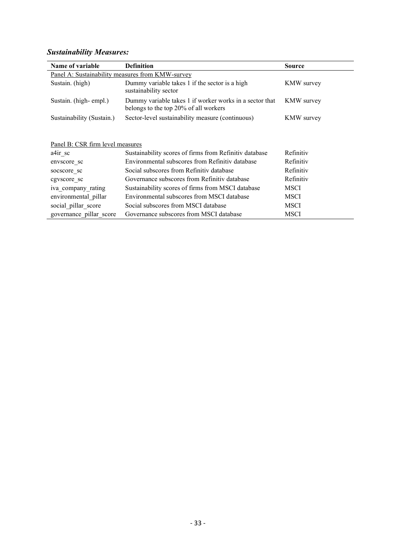## Sustainability Measures:

| Name of variable                                 | <b>Definition</b>                                                                                | <b>Source</b>     |  |  |  |
|--------------------------------------------------|--------------------------------------------------------------------------------------------------|-------------------|--|--|--|
| Panel A: Sustainability measures from KMW-survey |                                                                                                  |                   |  |  |  |
| Sustain. (high)                                  | Dummy variable takes 1 if the sector is a high<br>sustainability sector                          | <b>KMW</b> survey |  |  |  |
| Sustain. (high-empl.)                            | Dummy variable takes 1 if worker works in a sector that<br>belongs to the top 20% of all workers | <b>KMW</b> survey |  |  |  |
| Sustainability (Sustain.)                        | Sector-level sustainability measure (continuous)                                                 | <b>KMW</b> survey |  |  |  |
| Panel B: CSR firm level measures                 |                                                                                                  |                   |  |  |  |
| $a4ir$ sc                                        | Sustainability scores of firms from Refinitiv database                                           | Refinitiv         |  |  |  |
| envscore sc                                      | Environmental subscores from Refinitiv database                                                  | Refinitiv         |  |  |  |
| socscore sc                                      | Social subscores from Refinitiv database                                                         | Refinitiv         |  |  |  |
| cgvscore sc                                      | Governance subscores from Refinitiv database                                                     | Refinitiv         |  |  |  |
| iva company rating                               | Sustainability scores of firms from MSCI database                                                | <b>MSCI</b>       |  |  |  |
| environmental pillar                             | Environmental subscores from MSCI database                                                       | <b>MSCI</b>       |  |  |  |
| social pillar score                              | Social subscores from MSCI database                                                              | <b>MSCI</b>       |  |  |  |
| governance pillar score                          | Governance subscores from MSCI database                                                          | MSCI              |  |  |  |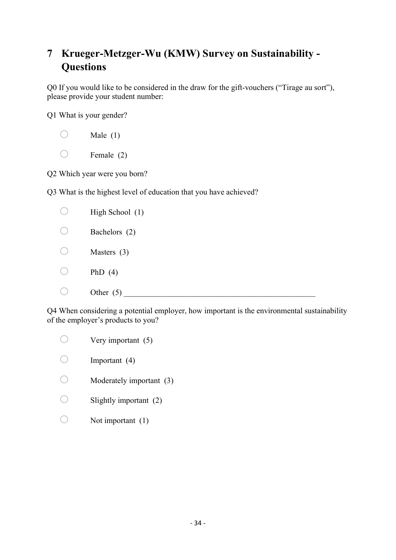# 7 Krueger-Metzger-Wu (KMW) Survey on Sustainability - **Questions**

Q0 If you would like to be considered in the draw for the gift-vouchers ("Tirage au sort"), please provide your student number:

Q1 What is your gender?

 $\bigcirc$  Female (2)

Q2 Which year were you born?

Q3 What is the highest level of education that you have achieved?

| High School (1) |
|-----------------|
| Bachelors (2)   |
| Masters $(3)$   |
| PhD $(4)$       |
| Other $(5)$     |

Q4 When considering a potential employer, how important is the environmental sustainability of the employer's products to you?

| Very important (5)       |
|--------------------------|
| Important $(4)$          |
| Moderately important (3) |
| Slightly important (2)   |
| Not important $(1)$      |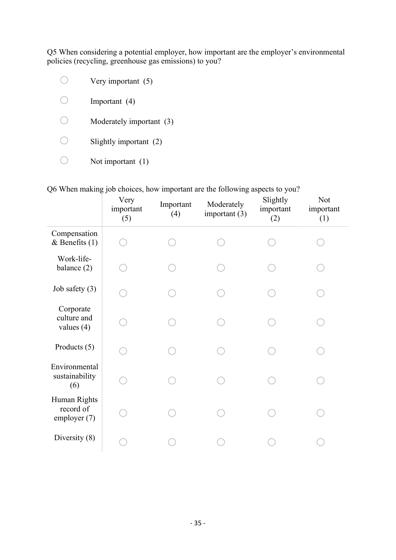Q5 When considering a potential employer, how important are the employer's environmental policies (recycling, greenhouse gas emissions) to you?

| Very important (5)       |
|--------------------------|
| Important $(4)$          |
| Moderately important (3) |
| Slightly important (2)   |
| Not important $(1)$      |

Q6 When making job choices, how important are the following aspects to you?

|                                             | Very<br>important<br>(5) | Important<br>(4) | Moderately<br>important $(3)$ | Slightly<br>important<br>(2) | Not<br>important<br>(1) |
|---------------------------------------------|--------------------------|------------------|-------------------------------|------------------------------|-------------------------|
| Compensation<br>& Benefits $(1)$            |                          |                  |                               |                              |                         |
| Work-life-<br>balance (2)                   |                          |                  |                               |                              |                         |
| Job safety (3)                              |                          |                  |                               |                              |                         |
| Corporate<br>culture and<br>values $(4)$    |                          |                  |                               |                              |                         |
| Products $(5)$                              |                          |                  |                               |                              |                         |
| Environmental<br>sustainability<br>(6)      |                          |                  |                               |                              |                         |
| Human Rights<br>record of<br>employer $(7)$ |                          |                  |                               |                              |                         |
| Diversity (8)                               |                          |                  |                               |                              |                         |